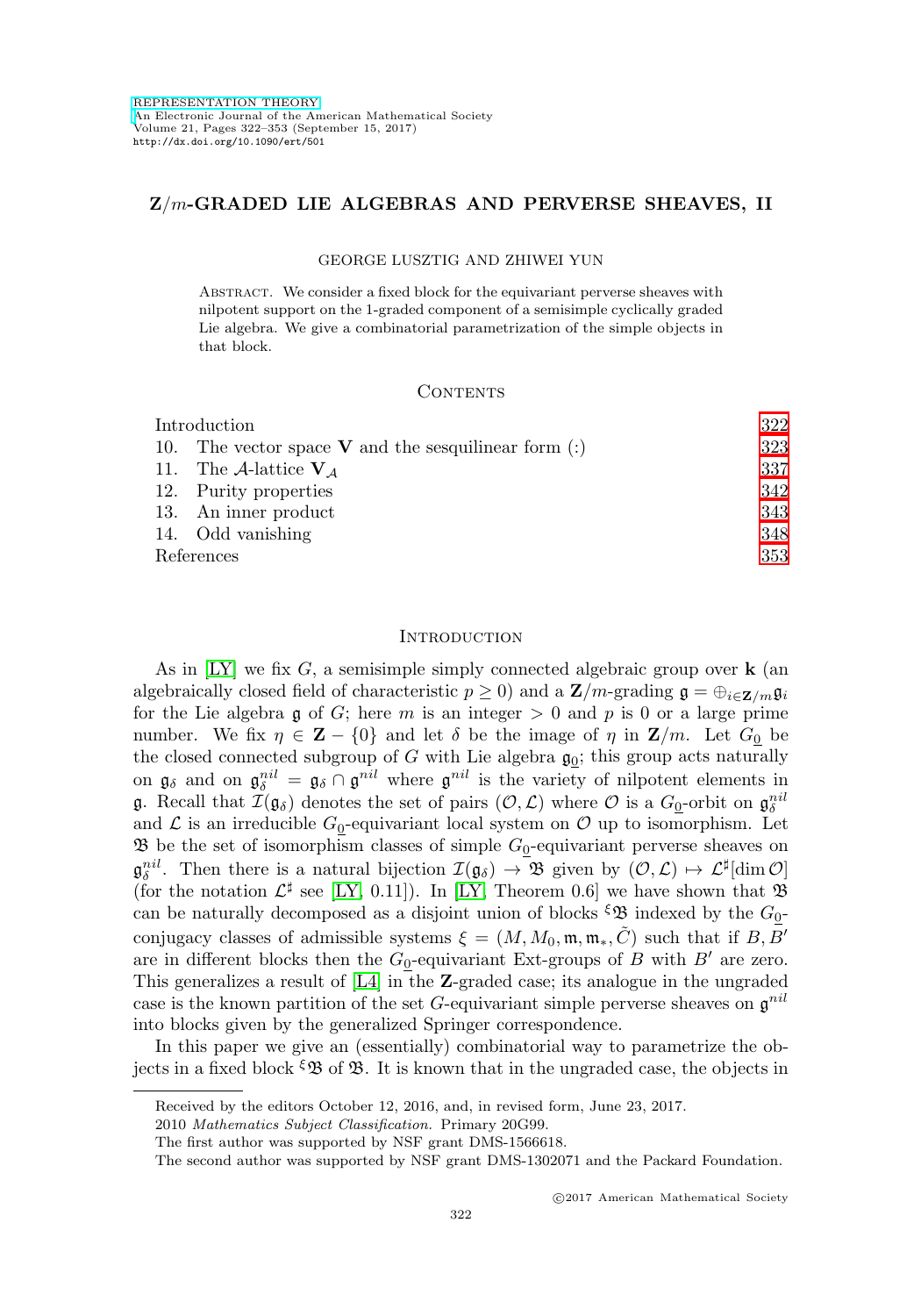# **Z**/m**-GRADED LIE ALGEBRAS AND PERVERSE SHEAVES, II**

#### GEORGE LUSZTIG AND ZHIWEI YUN

Abstract. We consider a fixed block for the equivariant perverse sheaves with nilpotent support on the 1-graded component of a semisimple cyclically graded Lie algebra. We give a combinatorial parametrization of the simple objects in that block.

## CONTENTS

| Introduction |                                                        | 322 |
|--------------|--------------------------------------------------------|-----|
|              | 10. The vector space $V$ and the sesquilinear form (:) | 323 |
|              | 11. The A-lattice $V_A$                                | 337 |
|              | 12. Purity properties                                  | 342 |
|              | 13. An inner product                                   | 343 |
|              | 14. Odd vanishing                                      | 348 |
| References   |                                                        | 353 |

### <span id="page-0-0"></span>**INTRODUCTION**

As in [\[LY\]](#page-31-1) we fix G, a semisimple simply connected algebraic group over **k** (an algebraically closed field of characteristic  $p \ge 0$ ) and a  $\mathbf{Z}/m$ -grading  $\mathbf{g} = \bigoplus_{i \in \mathbf{Z}/m} \mathbf{g}_i$ for the Lie algebra g of G; here m is an integer  $> 0$  and p is 0 or a large prime number. We fix  $\eta \in \mathbf{Z} - \{0\}$  and let  $\delta$  be the image of  $\eta$  in  $\mathbf{Z}/m$ . Let  $G_0$  be the closed connected subgroup of  $G$  with Lie algebra  $\mathfrak{g}_0$ ; this group acts naturally on  $\mathfrak{g}_{\delta}$  and on  $\mathfrak{g}_{\delta}^{nil} = \mathfrak{g}_{\delta} \cap \mathfrak{g}^{nil}$  where  $\mathfrak{g}^{nil}$  is the variety of nilpotent elements in **g**. Recall that  $\mathcal{I}(\mathfrak{g}_{\delta})$  denotes the set of pairs  $(\mathcal{O}, \mathcal{L})$  where  $\mathcal{O}$  is a  $G_0$ -orbit on  $\mathfrak{g}_{\delta}^{nil}$ and  $\mathcal L$  is an irreducible  $G_0$ -equivariant local system on  $\mathcal O$  up to isomorphism. Let  $\mathfrak B$  be the set of isomorphism classes of simple  $G_0$ -equivariant perverse sheaves on  $\mathfrak{g}_{\delta}^{nil}$ . Then there is a natural bijection  $\mathcal{I}(\mathfrak{g}_{\delta}) \to \mathfrak{B}$  given by  $(\mathcal{O}, \mathcal{L}) \mapsto \mathcal{L}^{\sharp}[\dim \mathcal{O}]$ (for the notation  $\mathcal{L}^{\sharp}$  see [\[LY,](#page-31-1) 0.11]). In [LY, Theorem 0.6] we have shown that  $\mathfrak{B}$ can be naturally decomposed as a disjoint union of blocks  $\mathfrak{S} \mathfrak{B}$  indexed by the  $G_0$ conjugacy classes of admissible systems  $\xi = (M, M_0, \mathfrak{m}, \mathfrak{m}_*, \tilde{C})$  such that if B, B' are in different blocks then the  $G_0$ -equivariant Ext-groups of B with B' are zero. This generalizes a result of [\[L4\]](#page-31-2) in the **Z**-graded case; its analogue in the ungraded case is the known partition of the set G-equivariant simple perverse sheaves on  $\mathfrak{g}^{nil}$ into blocks given by the generalized Springer correspondence.

In this paper we give an (essentially) combinatorial way to parametrize the objects in a fixed block  $\mathcal{L} \mathfrak{B}$  of  $\mathfrak{B}$ . It is known that in the ungraded case, the objects in

Received by the editors October 12, 2016, and, in revised form, June 23, 2017.

<sup>2010</sup> Mathematics Subject Classification. Primary 20G99.

The first author was supported by NSF grant DMS-1566618.

The second author was supported by NSF grant DMS-1302071 and the Packard Foundation.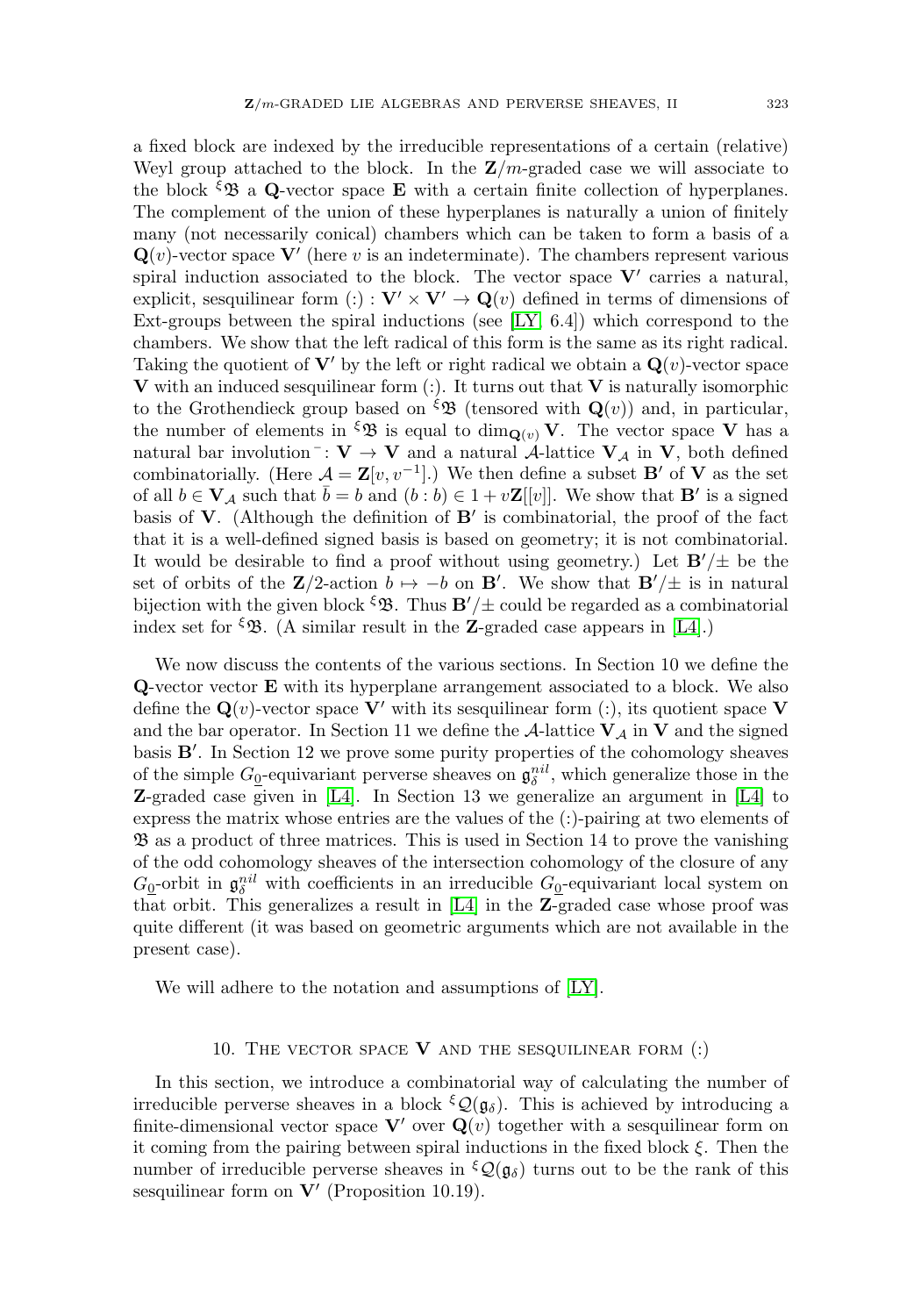a fixed block are indexed by the irreducible representations of a certain (relative) Weyl group attached to the block. In the  $\mathbb{Z}/m$ -graded case we will associate to the block  $\mathcal{L}_B$  a **Q**-vector space **E** with a certain finite collection of hyperplanes. The complement of the union of these hyperplanes is naturally a union of finitely many (not necessarily conical) chambers which can be taken to form a basis of a  $\mathbf{Q}(v)$ -vector space  $\mathbf{V}'$  (here v is an indeterminate). The chambers represent various spiral induction associated to the block. The vector space  $V'$  carries a natural, explicit, sesquilinear form (:) :  $\mathbf{V}' \times \mathbf{V}' \to \mathbf{Q}(v)$  defined in terms of dimensions of Ext-groups between the spiral inductions (see [\[LY,](#page-31-1) 6.4]) which correspond to the chambers. We show that the left radical of this form is the same as its right radical. Taking the quotient of  $V'$  by the left or right radical we obtain a  $Q(v)$ -vector space **V** with an induced sesquilinear form (:). It turns out that **V** is naturally isomorphic to the Grothendieck group based on  $\mathcal{L}(\mathcal{B})$  (tensored with  $\mathbf{Q}(v)$ ) and, in particular, the number of elements in  $\mathcal{L} \mathcal{B}$  is equal to  $\dim_{\mathbf{Q}(v)} \mathbf{V}$ . The vector space **V** has a natural bar involution<sup>-</sup>:  $V \rightarrow V$  and a natural A-lattice  $V_A$  in V, both defined combinatorially. (Here  $\mathcal{A} = \mathbf{Z}[v, v^{-1}]$ .) We then define a subset **B**' of **V** as the set of all  $b \in \mathbf{V}_\mathcal{A}$  such that  $b = b$  and  $(b:b) \in 1 + v\mathbf{Z}[[v]]$ . We show that  $\mathbf{B}'$  is a signed basis of  $V$ . (Although the definition of  $B'$  is combinatorial, the proof of the fact that it is a well-defined signed basis is based on geometry; it is not combinatorial. It would be desirable to find a proof without using geometry.) Let  $B'/\pm$  be the set of orbits of the **Z**/2-action  $b \mapsto -b$  on **B**'. We show that **B**'/ $\pm$  is in natural bijection with the given block  $\mathfrak{g}$ . Thus  $\mathbf{B}'/\pm$  could be regarded as a combinatorial index set for  $\mathcal{L}$ . (A similar result in the **Z**-graded case appears in [\[L4\]](#page-31-2).)

We now discuss the contents of the various sections. In Section 10 we define the **Q**-vector vector **E** with its hyperplane arrangement associated to a block. We also define the  $\mathbf{Q}(v)$ -vector space **V**' with its sesquilinear form (:), its quotient space **V** and the bar operator. In Section 11 we define the  $\mathcal{A}$ -lattice  $V_A$  in  $V$  and the signed basis **B**'. In Section 12 we prove some purity properties of the cohomology sheaves of the simple  $G_{\underline{0}}$ -equivariant perverse sheaves on  $\mathfrak{g}_{\delta}^{nil}$ , which generalize those in the **Z**-graded case given in [\[L4\]](#page-31-2). In Section 13 we generalize an argument in [\[L4\]](#page-31-2) to express the matrix whose entries are the values of the (:)-pairing at two elements of B as a product of three matrices. This is used in Section 14 to prove the vanishing of the odd cohomology sheaves of the intersection cohomology of the closure of any  $G_{\underline{0}}$ -orbit in  $\mathfrak{g}_{\delta}^{nil}$  with coefficients in an irreducible  $G_{\underline{0}}$ -equivariant local system on that orbit. This generalizes a result in [\[L4\]](#page-31-2) in the **Z**-graded case whose proof was quite different (it was based on geometric arguments which are not available in the present case).

<span id="page-1-0"></span>We will adhere to the notation and assumptions of [\[LY\]](#page-31-1).

# 10. The vector space **V** and the sesquilinear form (:)

In this section, we introduce a combinatorial way of calculating the number of irreducible perverse sheaves in a block  $\mathcal{E}\mathcal{Q}(\mathfrak{g}_{\delta})$ . This is achieved by introducing a finite-dimensional vector space  $\mathbf{V}'$  over  $\mathbf{Q}(v)$  together with a sesquilinear form on it coming from the pairing between spiral inductions in the fixed block  $\xi$ . Then the number of irreducible perverse sheaves in  $\mathcal{L}(\mathfrak{g}_{\delta})$  turns out to be the rank of this sesquilinear form on **V'** (Proposition 10.19).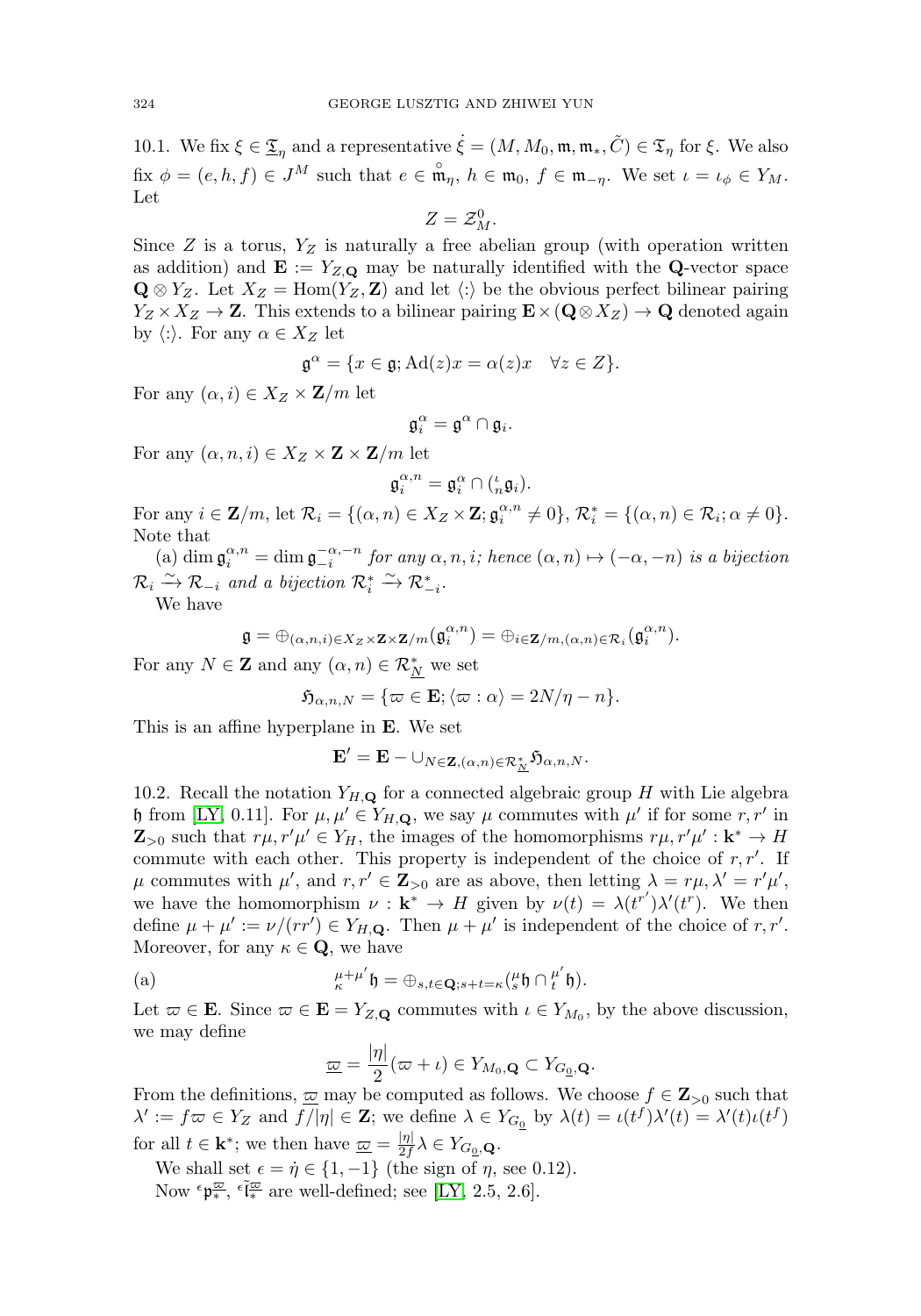10.1. We fix  $\xi \in \underline{\mathfrak{T}}_{\eta}$  and a representative  $\dot{\xi} = (M, M_0, \mathfrak{m}, \mathfrak{m}_*, \tilde{C}) \in \mathfrak{T}_{\eta}$  for  $\xi$ . We also  $\text{fix } \phi = (e, h, f) \in J^M \text{ such that } e \in \mathfrak{m}_{\eta}, h \in \mathfrak{m}_0, f \in \mathfrak{m}_{-\eta}.$  We set  $\iota = \iota_{\phi} \in Y_M$ . Let

$$
Z=\mathcal{Z}_M^0.
$$

Since  $Z$  is a torus,  $Y_Z$  is naturally a free abelian group (with operation written as addition) and  $\mathbf{E} := Y_{Z,\mathbf{Q}}$  may be naturally identified with the **Q**-vector space  $\mathbf{Q} \otimes Y_Z$ . Let  $X_Z = \text{Hom}(Y_Z, \mathbf{Z})$  and let  $\langle \cdot \rangle$  be the obvious perfect bilinear pairing  $Y_Z \times X_Z \to \mathbf{Z}$ . This extends to a bilinear pairing  $\mathbf{E} \times (\mathbf{Q} \otimes X_Z) \to \mathbf{Q}$  denoted again by  $\langle :\rangle$ . For any  $\alpha \in X_Z$  let

$$
\mathfrak{g}^{\alpha} = \{ x \in \mathfrak{g}; \mathrm{Ad}(z)x = \alpha(z)x \quad \forall z \in Z \}.
$$

For any  $(\alpha, i) \in X_Z \times \mathbf{Z}/m$  let

$$
\mathfrak{g}_i^\alpha=\mathfrak{g}^\alpha\cap\mathfrak{g}_i.
$$

For any  $(\alpha, n, i) \in X_Z \times \mathbf{Z} \times \mathbf{Z}/m$  let

$$
\mathfrak{g}_i^{\alpha,n} = \mathfrak{g}_i^{\alpha} \cap \left( \begin{smallmatrix} \iota \\ n \mathfrak{g}_i \end{smallmatrix} \right).
$$

For any  $i \in \mathbf{Z}/m$ , let  $\mathcal{R}_i = \{(\alpha, n) \in X_Z \times \mathbf{Z}; \mathfrak{g}_i^{\alpha, n} \neq 0\}, \mathcal{R}_i^* = \{(\alpha, n) \in \mathcal{R}_i; \alpha \neq 0\}.$ Note that

(a) dim  $\mathfrak{g}_i^{\alpha,n} = \dim \mathfrak{g}_{-i}^{-\alpha,-n}$  for any  $\alpha, n, i$ ; hence  $(\alpha, n) \mapsto (-\alpha, -n)$  is a bijection  $\mathcal{R}_i \xrightarrow{\sim} \mathcal{R}_{-i}$  and a bijection  $\mathcal{R}_i^* \xrightarrow{\sim} \mathcal{R}_{-i}^*$ .

We have

$$
\mathfrak{g}=\oplus_{(\alpha,n,i)\in X_Z\times \mathbf{Z}\times \mathbf{Z}/m}(\mathfrak{g}_{i}^{\alpha,n})=\oplus_{i\in \mathbf{Z}/m,(\alpha,n)\in \mathcal{R}_i}(\mathfrak{g}_{i}^{\alpha,n}).
$$

For any  $N \in \mathbb{Z}$  and any  $(\alpha, n) \in \mathcal{R}_{N}^{*}$  we set

$$
\mathfrak{H}_{\alpha,n,N} = \{ \varpi \in \mathbf{E}; \langle \varpi : \alpha \rangle = 2N/\eta - n \}.
$$

This is an affine hyperplane in **E**. We set

$$
\mathbf{E}' = \mathbf{E} - \cup_{N \in \mathbf{Z}, (\alpha,n) \in \mathcal{R}_\mathbf{M}^*} \mathfrak{H}_{\alpha,n,N}.
$$

10.2. Recall the notation  $Y_{H,Q}$  for a connected algebraic group H with Lie algebra h from [\[LY,](#page-31-1) 0.11]. For  $\mu, \mu' \in Y_{H,\mathbf{Q}}$ , we say  $\mu$  commutes with  $\mu'$  if for some r, r' in  $\mathbf{Z}_{>0}$  such that  $r\mu$ ,  $r'\mu' \in Y_H$ , the images of the homomorphisms  $r\mu$ ,  $r'\mu': \mathbf{k}^* \to H$ commute with each other. This property is independent of the choice of  $r, r'$ . If  $\mu$  commutes with  $\mu'$ , and  $r, r' \in \mathbb{Z}_{>0}$  are as above, then letting  $\lambda = r\mu, \lambda' = r'\mu'$ , we have the homomorphism  $\nu : \mathbf{k}^* \to H$  given by  $\nu(t) = \lambda(t^{r'})\lambda'(t^r)$ . We then define  $\mu + \mu' := \nu/(rr') \in Y_{H,\mathbf{Q}}$ . Then  $\mu + \mu'$  is independent of the choice of r, r'. Moreover, for any  $\kappa \in \mathbf{Q}$ , we have

(a) 
$$
\mu^{+ \mu'}_{\kappa} \mathfrak{h} = \oplus_{s,t \in \mathbf{Q}; s+t = \kappa} \left( \begin{matrix} \mu \\ s \end{matrix} \right) \cap \begin{matrix} \mu' \\ t \end{matrix} \mathfrak{h} \right).
$$

Let  $\varpi \in \mathbf{E}$ . Since  $\varpi \in \mathbf{E} = Y_{Z,\mathbf{Q}}$  commutes with  $\iota \in Y_{M_0}$ , by the above discussion, we may define

$$
\underline{\varpi} = \frac{|\eta|}{2}(\varpi + \iota) \in Y_{M_0, \mathbf{Q}} \subset Y_{G_{\underline{0}}, \mathbf{Q}}.
$$

From the definitions,  $\overline{\omega}$  may be computed as follows. We choose  $f \in \mathbb{Z}_{>0}$  such that  $\lambda' := f \varpi \in Y_Z$  and  $f/|\eta| \in \mathbf{Z}$ ; we define  $\lambda \in Y_{G_0}$  by  $\lambda(t) = \iota(t^f) \lambda'(t) = \lambda'(t) \iota(t^f)$ for all  $t \in \mathbf{k}^*$ ; we then have  $\underline{\omega} = \frac{|\eta|}{2f} \lambda \in Y_{G_0, \mathbf{Q}}$ .

We shall set  $\epsilon = \dot{\eta} \in \{1, -1\}$  (the sign of  $\eta$ , see 0.12).

Now  $\epsilon_{\mathfrak{p}_*^{\overline{\omega}}}$ ,  $\epsilon \tilde{l}_*^{\overline{\omega}}$  are well-defined; see [\[LY,](#page-31-1) 2.5, 2.6].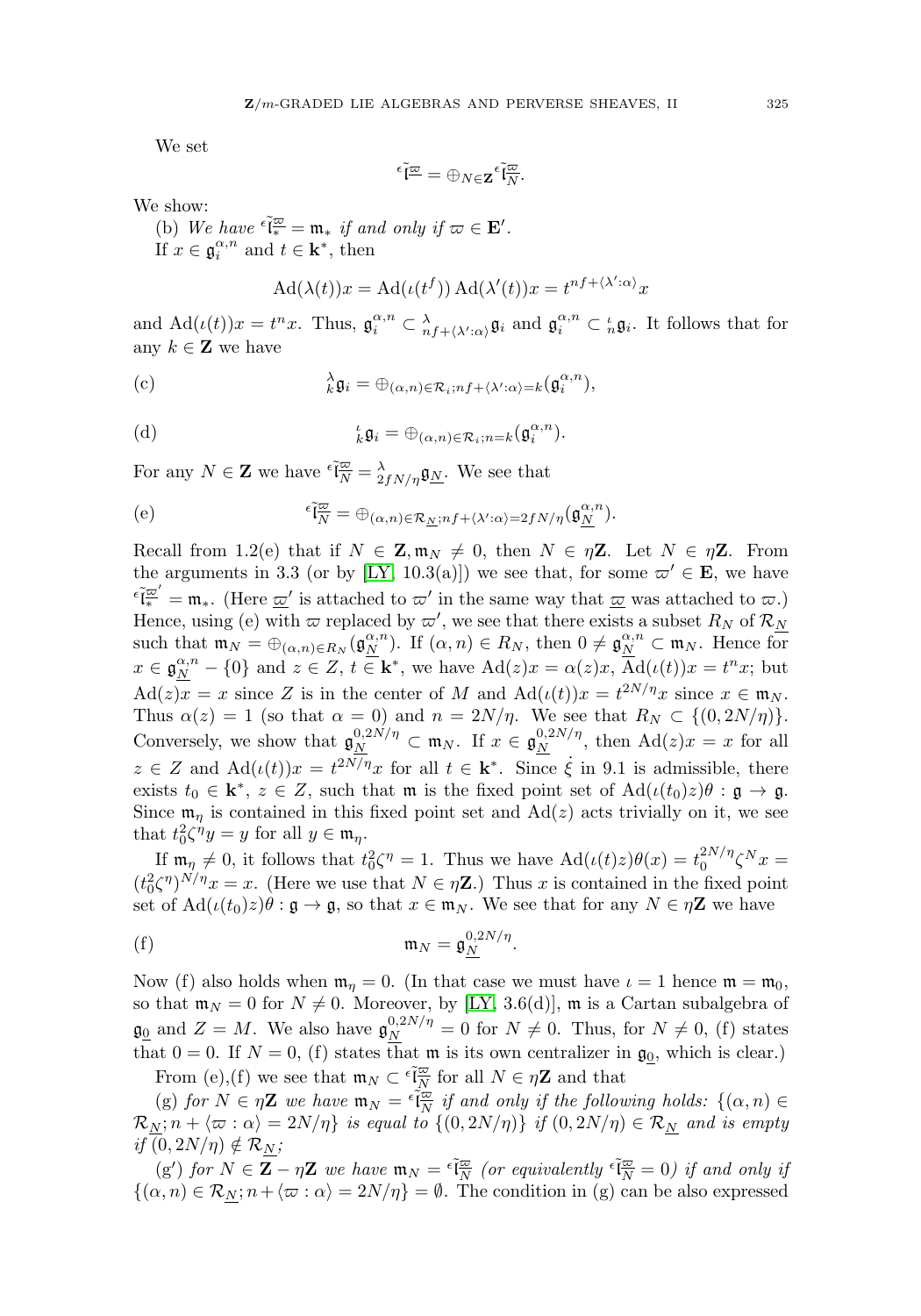We set

$$
^{\epsilon }\widetilde{\mathfrak{l}}^{\underline{\varpi}}=\oplus_{N\in \mathbf{Z}}{^{\epsilon}\widetilde{\mathfrak{l}}^{\underline{\varpi}}_{N}}.
$$

We show:

(b) We have  $\epsilon \tilde{\mathfrak{l}}_*^{\overline{\omega}} = \mathfrak{m}_*$  if and only if  $\omega \in \mathbf{E}'$ . If  $x \in \mathfrak{g}_i^{\alpha,n}$  and  $t \in \mathbf{k}^*$ , then

$$
Ad(\lambda(t))x = Ad(\iota(t^f)) Ad(\lambda'(t))x = t^{nf + \langle \lambda':\alpha \rangle}x
$$

and  $\mathrm{Ad}(\iota(t))x = t^n x$ . Thus,  $\mathfrak{g}_i^{\alpha,n} \subset \frac{\lambda}{n} f + \langle \lambda': \alpha \rangle \mathfrak{g}_i$  and  $\mathfrak{g}_i^{\alpha,n} \subset \frac{\iota}{n} \mathfrak{g}_i$ . It follows that for any  $k \in \mathbf{Z}$  we have

(c) 
$$
\lambda_k^{\lambda} \mathfrak{g}_i = \bigoplus_{(\alpha,n) \in \mathcal{R}_i; nf + \langle \lambda': \alpha \rangle = k} (\mathfrak{g}_i^{\alpha,n}),
$$

(d) 
$$
{}_{k}^{\iota}\mathfrak{g}_{i} = \bigoplus_{(\alpha,n)\in\mathcal{R}_{i};n=k} (\mathfrak{g}_{i}^{\alpha,n}).
$$

For any  $N \in \mathbb{Z}$  we have  $\epsilon \tilde{\mathfrak{l}}_{\overline{N}}^{\overline{\omega}} = \lambda \lambda f N/\eta} \mathfrak{g}_{\underline{N}}$ . We see that

(e) 
$$
\epsilon \tilde{\mathfrak{l}}_{\overline{N}}^{\overline{\omega}} = \bigoplus_{(\alpha,n) \in \mathcal{R}_{\underline{N}}; n} f + \langle \lambda' : \alpha \rangle = 2f N/n \big( \mathfrak{g}_{\underline{N}}^{\alpha,n} \big).
$$

Recall from 1.2(e) that if  $N \in \mathbb{Z}, \mathfrak{m}_N \neq 0$ , then  $N \in \eta \mathbb{Z}$ . Let  $N \in \eta \mathbb{Z}$ . From the arguments in 3.3 (or by [\[LY,](#page-31-1) 10.3(a)]) we see that, for some  $\varpi' \in \mathbf{E}$ , we have  $\epsilon_{\mathbf{k}}^{\mathbf{k}} = \mathbf{m}_*$ . (Here  $\underline{\omega}'$  is attached to  $\varpi'$  in the same way that  $\underline{\omega}$  was attached to  $\underline{\omega}$ .) Hence, using (e) with  $\varpi$  replaced by  $\varpi'$ , we see that there exists a subset  $R_N$  of  $\mathcal{R}_N$ such that  $\mathfrak{m}_N = \bigoplus_{(\alpha,n)\in R_N} (\mathfrak{g}_{\underline{N}}^{\alpha,n})$ . If  $(\alpha,n) \in R_N$ , then  $0 \neq \mathfrak{g}_{\underline{N}}^{\alpha,n} \subset \mathfrak{m}_N$ . Hence for  $x \in \mathfrak{g}_{\underline{N}}^{\alpha,n} - \{0\}$  and  $z \in \mathbb{Z}$ ,  $t \in \mathbf{k}^*$ , we have  $\text{Ad}(z)x = \alpha(z)x$ ,  $\overline{\text{Ad}}(\iota(t))x = t^n x$ ; but  $\text{Ad}(z)x = x$  since Z is in the center of M and  $\text{Ad}(\iota(t))x = t^{2N/\eta}x$  since  $x \in \mathfrak{m}_N$ . Thus  $\alpha(z) = 1$  (so that  $\alpha = 0$ ) and  $n = 2N/\eta$ . We see that  $R_N \subset \{(0, 2N/\eta)\}.$ Conversely, we show that  $\mathfrak{g}_{N}^{0,2N/\eta} \subset \mathfrak{m}_{N}$ . If  $x \in \mathfrak{g}_{N}^{0,2N/\eta}$ , then  $\text{Ad}(z)x = x$  for all  $z \in Z$  and  $\text{Ad}(\iota(t))x = t^{2N/\eta}x$  for all  $t \in \mathbf{k}^*$ . Since  $\dot{\xi}$  in 9.1 is admissible, there exists  $t_0 \in \mathbf{k}^*, z \in Z$ , such that m is the fixed point set of  $\text{Ad}(\iota(t_0)z)\theta : \mathfrak{g} \to \mathfrak{g}$ . Since  $\mathfrak{m}_{\eta}$  is contained in this fixed point set and Ad(*z*) acts trivially on it, we see that  $t_0^2 \zeta^{\eta} y = y$  for all  $y \in \mathfrak{m}_{\eta}$ .

If  $\mathfrak{m}_{\eta} \neq 0$ , it follows that  $t_0^2 \zeta^{\eta} = 1$ . Thus we have  $\text{Ad}(\iota(t)z)\theta(x) = t_0^{2N/\eta} \zeta^N x =$  $(t_0^2 \zeta^{\eta})^{N/\eta} x = x$ . (Here we use that  $N \in \eta \mathbb{Z}$ .) Thus x is contained in the fixed point set of  $\text{Ad}(\iota(t_0)z)\theta : \mathfrak{g} \to \mathfrak{g}$ , so that  $x \in \mathfrak{m}_N$ . We see that for any  $N \in \eta \mathbb{Z}$  we have

$$
\mathfrak{m}_N = \mathfrak{g}_N^{0,2N/\eta}.
$$

Now (f) also holds when  $\mathfrak{m}_n = 0$ . (In that case we must have  $\iota = 1$  hence  $\mathfrak{m} = \mathfrak{m}_0$ , so that  $\mathfrak{m}_N = 0$  for  $N \neq 0$ . Moreover, by [\[LY,](#page-31-1) 3.6(d)],  $\mathfrak{m}$  is a Cartan subalgebra of  $\mathfrak{g}_{\underline{0}}$  and  $Z = M$ . We also have  $\mathfrak{g}_{N}^{0,2N/\eta} = 0$  for  $N \neq 0$ . Thus, for  $N \neq 0$ , (f) states that  $0 = 0$ . If  $N = 0$ , (f) states that m is its own centralizer in  $\mathfrak{g}_0$ , which is clear.)

From (e),(f) we see that  $\mathfrak{m}_N \subset \tilde{\epsilon}^{\frac{7\alpha}{N}}$  for all  $N \in \eta \mathbb{Z}$  and that

(g) for  $N \in \eta$ **Z** we have  $\mathfrak{m}_N = \tilde{\epsilon}_{\overline{N}}^{\overline{\omega}}$  if and only if the following holds:  $\{(\alpha, n) \in$  $\mathcal{R}_N;n+\langle \varpi:\alpha\rangle=2N/\eta\}$  is equal to  $\{(0,2N/\eta)\}$  if  $(0,2N/\eta)\in \mathcal{R}_{\underline{N}}$  and is empty if  $(0, 2N/\eta) \notin \mathcal{R}_N$ ;

 $(g')$  for  $N \in \overline{Z} - \eta \mathbb{Z}$  we have  $\mathfrak{m}_N = \tilde{\epsilon} \frac{\varpi}{N}$  (or equivalently  $\tilde{\epsilon} \frac{\varpi}{N} = 0$ ) if and only if  $\{(\alpha, n) \in \mathcal{R}_N; n + \langle \varpi : \alpha \rangle = 2N/\eta\} = \emptyset$ . The condition in (g) can be also expressed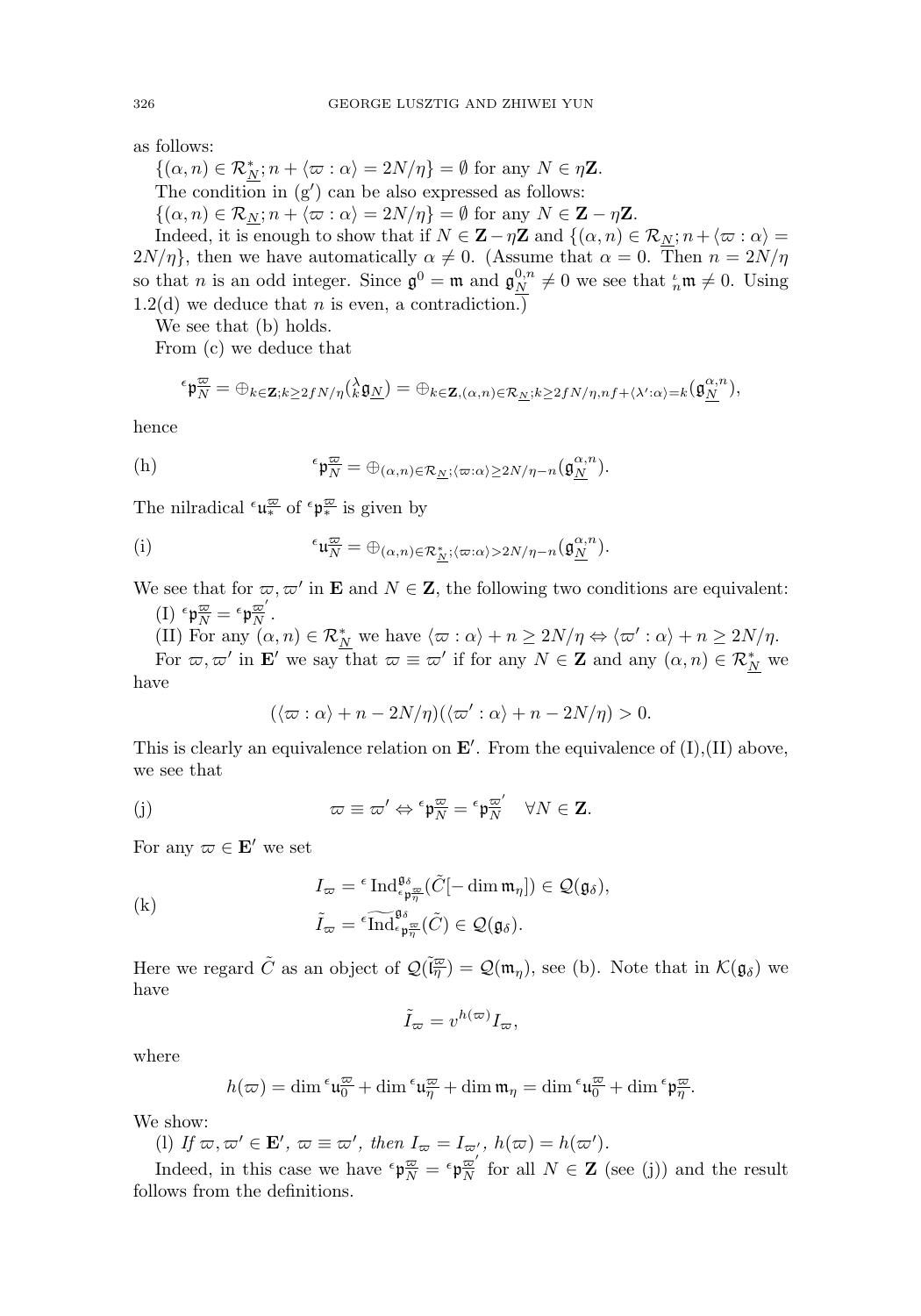as follows:

 $\{(\alpha, n) \in \mathcal{R}_{N}^{*}; n + \langle \varpi : \alpha \rangle = 2N/\eta\} = \emptyset$  for any  $N \in \eta\mathbb{Z}$ . The condition in  $(g')$  can be also expressed as follows:

 $\{(\alpha, n) \in \mathcal{R}_N; n + \langle \varpi : \alpha \rangle = 2N/\eta\} = \emptyset$  for any  $N \in \mathbb{Z} - \eta\mathbb{Z}$ .

Indeed, it is enough to show that if  $N \in \mathbb{Z} - \eta \mathbb{Z}$  and  $\{(\alpha, n) \in \mathcal{R}_{N}; n + \langle \varpi : \alpha \rangle =$  $2N/\eta$ , then we have automatically  $\alpha \neq 0$ . (Assume that  $\alpha = 0$ . Then  $n = 2N/\eta$ so that *n* is an odd integer. Since  $\mathfrak{g}^0 = \mathfrak{m}$  and  $\mathfrak{g}_N^{0,n} \neq 0$  we see that  ${}^{\iota}_{n} \mathfrak{m} \neq 0$ . Using  $1.2(d)$  we deduce that *n* is even, a contradiction.)

We see that (b) holds.

From (c) we deduce that

$$
\epsilon_{\mathbf{p}_{N}^{\underline{\omega}}} = \oplus_{k \in \mathbf{Z}; k \geq 2fN/\eta} \left( \lambda_{k}^{\lambda} \mathfrak{g}_{N} \right) = \oplus_{k \in \mathbf{Z}, (\alpha, n) \in \mathcal{R}_{N} : k \geq 2fN/\eta, nf + \langle \lambda': \alpha \rangle = k} \left( \mathfrak{g}_{N}^{\alpha, n} \right),
$$

hence

(h) 
$$
{}^{\epsilon} \mathfrak{p}_{\overline{N}}^{\underline{\omega}} = \oplus_{(\alpha,n) \in \mathcal{R}_{\underline{N}}; \langle \varpi : \alpha \rangle \geq 2N/\eta - n} (\mathfrak{g}_{\underline{N}}^{\alpha,n}).
$$

The nilradical  $\epsilon \mathfrak{u}_*^{\overline{\omega}}$  of  $\epsilon \mathfrak{p}_*^{\overline{\omega}}$  is given by

(i) 
$$
{}^{\epsilon}\mathfrak{u}_{\overline{N}}^{\underline{\omega}} = \oplus_{(\alpha,n)\in \mathcal{R}_{\underline{N}}^*; \langle \varpi : \alpha \rangle > 2N/\eta - n}(\mathfrak{g}_{\underline{N}}^{\alpha,n}).
$$

We see that for  $\varpi, \varpi'$  in **E** and  $N \in \mathbb{Z}$ , the following two conditions are equivalent: (I)  $\epsilon \mathfrak{p}\frac{\varpi}{N} = \epsilon \mathfrak{p}\frac{\varpi}{N}$ .

(II) For any  $(\alpha, n) \in \mathcal{R}_{N}^{*}$  we have  $\langle \varpi : \alpha \rangle + n \geq 2N/\eta \Leftrightarrow \langle \varpi' : \alpha \rangle + n \geq 2N/\eta$ .

For  $\varpi, \varpi'$  in **E**' we say that  $\varpi \equiv \varpi'$  if for any  $N \in \mathbb{Z}$  and any  $(\alpha, n) \in \mathcal{R}_{N}^{*}$  we have

$$
(\langle \varpi : \alpha \rangle + n - 2N/\eta)(\langle \varpi' : \alpha \rangle + n - 2N/\eta) > 0.
$$

This is clearly an equivalence relation on  $\mathbf{E}'$ . From the equivalence of  $(I), (II)$  above, we see that

(j) 
$$
\varpi \equiv \varpi' \Leftrightarrow {}^{\epsilon} \mathfrak{p}_{N}^{\overline{\omega}} = {}^{\epsilon} \mathfrak{p}_{N}^{\overline{\omega}'} \quad \forall N \in \mathbf{Z}.
$$

For any  $\varpi \in \mathbf{E}'$  we set

For any 
$$
\varpi \in \mathbf{E}'
$$
 we set  
\n
$$
I_{\varpi} = {^{\epsilon} \operatorname{Ind}_{\epsilon_{\mathfrak{p}_{\overline{\eta}}}^{\mathfrak{g}_{\delta}}(\tilde{C}[-\dim \mathfrak{m}_{\eta}]) \in \mathcal{Q}(\mathfrak{g}_{\delta})},
$$
\n(k) 
$$
\tilde{I}_{\varpi} = {^{\epsilon} \operatorname{Ind}_{\epsilon_{\mathfrak{p}_{\overline{\eta}}}^{\mathfrak{g}_{\delta}}(\tilde{C}) \in \mathcal{Q}(\mathfrak{g}_{\delta})}.
$$

Here we regard  $\tilde{C}$  as an object of  $\mathcal{Q}(\tilde{\mathfrak{l}}_n^{\overline{\omega}}) = \mathcal{Q}(\mathfrak{m}_n)$ , see (b). Note that in  $\mathcal{K}(\mathfrak{g}_{\delta})$  we have

$$
\tilde{I}_{\varpi} = v^{h(\varpi)} I_{\varpi},
$$

where

$$
h(\varpi)=\dim {}^\varepsilon \mathfrak{u}^\varpi_0+\dim {}^\varepsilon \mathfrak{u}^\varpi_\eta+\dim \mathfrak{m}_\eta=\dim {}^\varepsilon \mathfrak{u}^\varpi_0+\dim {}^\varepsilon \mathfrak{p}^\varpi_\eta.
$$

We show:

(1) If  $\varpi, \varpi \in \mathbf{E}'$ ,  $\varpi \equiv \varpi'$ , then  $I_{\varpi} = I_{\varpi'}$ ,  $h(\varpi) = h(\varpi')$ .

Indeed, in this case we have  $\epsilon_{\mathfrak{p}_{N}}^{\mathfrak{p}_{\overline{N}}} = \epsilon_{\mathfrak{p}_{N}}^{\mathfrak{p}_{\overline{N}}}$  for all  $N \in \mathbb{Z}$  (see (j)) and the result follows from the definitions.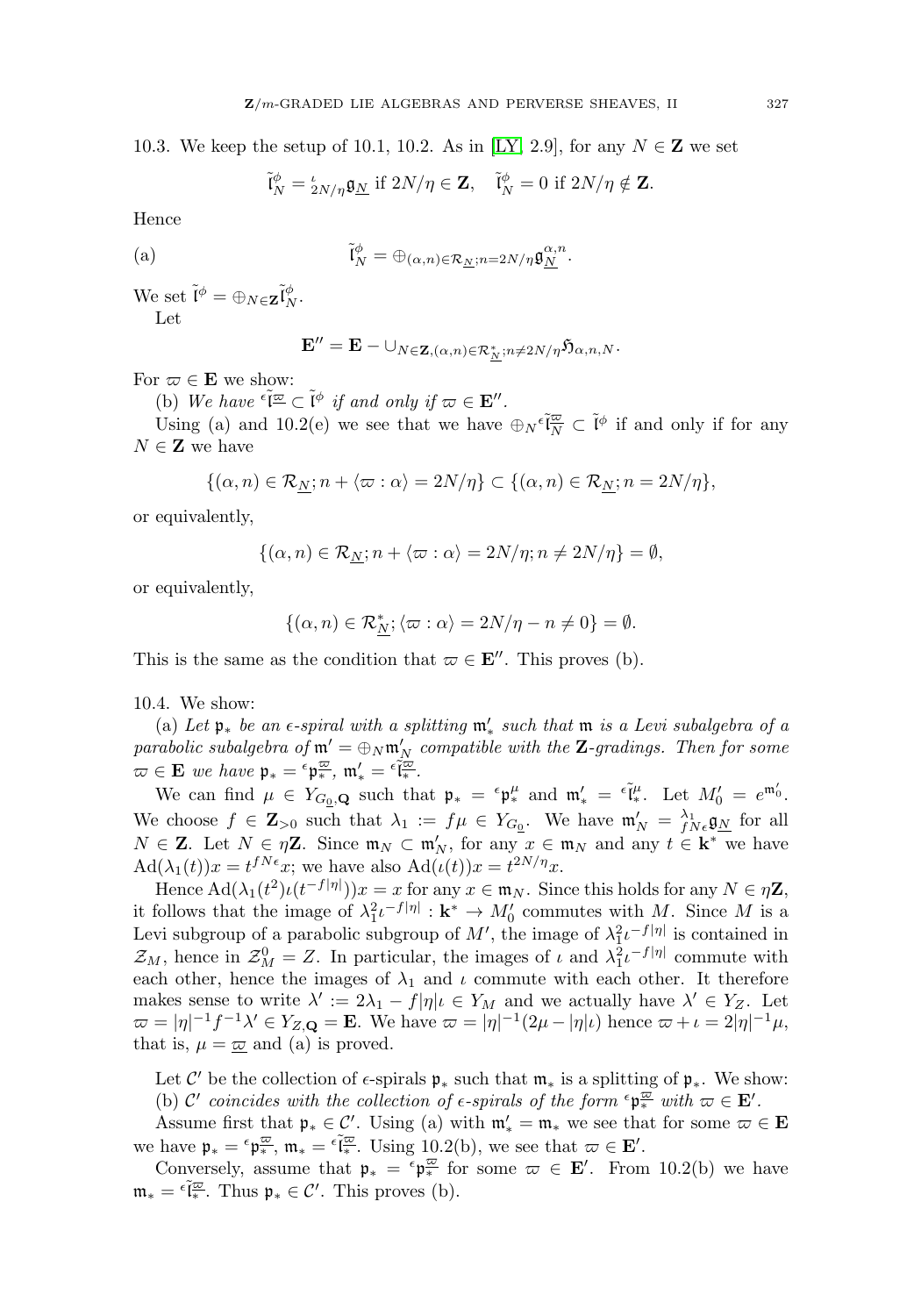10.3. We keep the setup of 10.1, 10.2. As in [\[LY,](#page-31-1) 2.9], for any  $N \in \mathbb{Z}$  we set

$$
\tilde{\mathfrak{l}}_N^{\phi} = \frac{\iota}{2N/\eta} \mathfrak{g}_{\underline{N}} \text{ if } 2N/\eta \in \mathbf{Z}, \quad \tilde{\mathfrak{l}}_N^{\phi} = 0 \text{ if } 2N/\eta \notin \mathbf{Z}.
$$

Hence

(a) 
$$
\tilde{\mathfrak{l}}_N^{\phi} = \bigoplus_{(\alpha,n)\in\mathcal{R}_{\underline{N}}; n=2N/\eta} \mathfrak{g}_{\underline{N}}^{\alpha,n}.
$$

We set  $\tilde{\mathfrak{l}}^{\phi} = \bigoplus_{N \in \mathbf{Z}} \tilde{\mathfrak{l}}_N^{\phi}$ . Let

$$
\mathbf{E}''=\mathbf{E}-\cup_{N\in\mathbf{Z},(\alpha,n)\in\mathcal{R}_{\frac{N}{N}}^*,n\neq 2N/\eta}\mathfrak{H}_{\alpha,n,N}.
$$

For  $\varpi \in \mathbf{E}$  we show:

(b) We have  $\epsilon \tilde{\mathfrak{l}}^{\underline{\omega}} \subset \tilde{\mathfrak{l}}^{\phi}$  if and only if  $\varpi \in \mathbf{E}''$ .

Using (a) and 10.2(e) we see that we have  $\bigoplus_{N} \tilde{\mathfrak{c}}_{N}^{\overline{\omega}} \subset \tilde{\mathfrak{l}}^{\phi}$  if and only if for any  $N \in {\bf Z}$  we have

$$
\{(\alpha, n) \in \mathcal{R}_{\underline{N}}; n + \langle \varpi : \alpha \rangle = 2N/\eta\} \subset \{(\alpha, n) \in \mathcal{R}_{\underline{N}}; n = 2N/\eta\},\
$$

or equivalently,

$$
\{(\alpha, n) \in \mathcal{R}_{\underline{N}}; n + \langle \varpi : \alpha \rangle = 2N/\eta; n \neq 2N/\eta\} = \emptyset,
$$

or equivalently,

$$
\{(\alpha, n) \in \mathcal{R}_{N}^*; \langle \varpi : \alpha \rangle = 2N/\eta - n \neq 0\} = \emptyset.
$$

This is the same as the condition that  $\varpi \in \mathbf{E}''$ . This proves (b).

10.4. We show:

(a) Let  $\mathfrak{p}_*$  be an  $\epsilon$ -spiral with a splitting  $\mathfrak{m}'_*$  such that  $\mathfrak{m}$  is a Levi subalgebra of a parabolic subalgebra of  $\mathfrak{m}' = \oplus_N \mathfrak{m}'_N$  compatible with the **Z**-gradings. Then for some  $\varpi \in \mathbf{E}$  we have  $\mathfrak{p}_* = \epsilon \mathfrak{p}_*^{\overline{\omega}}, \mathfrak{m}_*' = \epsilon \tilde{\mathfrak{l}}_*^{\overline{\omega}}.$ 

We can find  $\mu \in Y_{G_0,\mathbf{Q}}$  such that  $\mathfrak{p}_* = \varepsilon \mathfrak{p}_*^{\mu}$  and  $\mathfrak{m}_* = \varepsilon \tilde{\mathfrak{l}}_*^{\mu}$ . Let  $M'_0 = e^{\mathfrak{m}_0'}$ . We choose  $f \in \mathbf{Z}_{>0}$  such that  $\lambda_1 := f\mu \in Y_{G_0}$ . We have  $\mathfrak{m}'_N = \frac{\lambda_1}{fN \epsilon} \mathfrak{g}_N$  for all  $N \in \mathbb{Z}$ . Let  $N \in \eta\mathbb{Z}$ . Since  $\mathfrak{m}_N \subset \mathfrak{m}'_N$ , for any  $x \in \mathfrak{m}_N$  and any  $t \in \mathbf{k}^*$  we have  $\text{Ad}(\lambda_1(t))x = t^{fN\epsilon}x$ ; we have also  $\text{Ad}(\iota(t))x = t^{2N/\eta}x$ .

Hence  $\text{Ad}(\lambda_1(t^2)\iota(t^{-f|\eta|}))x = x$  for any  $x \in \mathfrak{m}_N$ . Since this holds for any  $N \in \eta\mathbb{Z}$ , it follows that the image of  $\lambda_1^2 \iota^{-f|\eta|} : \mathbf{k}^* \to M'_0$  commutes with M. Since M is a Levi subgroup of a parabolic subgroup of  $M'$ , the image of  $\lambda_1^2 \iota^{-f|\eta|}$  is contained in  $\mathcal{Z}_M$ , hence in  $\mathcal{Z}_M^0 = Z$ . In particular, the images of  $\iota$  and  $\lambda_1^2 \iota^{-f|\eta|}$  commute with each other, hence the images of  $\lambda_1$  and  $\iota$  commute with each other. It therefore makes sense to write  $\lambda' := 2\lambda_1 - f|\eta|\iota \in Y_M$  and we actually have  $\lambda' \in Y_Z$ . Let  $\varpi = |\eta|^{-1} f^{-1} \lambda' \in Y_{Z,\mathbf{Q}} = \mathbf{E}$ . We have  $\varpi = |\eta|^{-1} (2\mu - |\eta| \iota)$  hence  $\varpi + \iota = 2|\eta|^{-1} \mu$ , that is,  $\mu = \overline{\omega}$  and (a) is proved.

Let C' be the collection of  $\epsilon$ -spirals  $\mathfrak{p}_*$  such that  $\mathfrak{m}_*$  is a splitting of  $\mathfrak{p}_*$ . We show: (b) C' coincides with the collection of  $\epsilon$ -spirals of the form  $\epsilon \mathfrak{p}_{*}^{\overline{\omega}}$  with  $\omega \in \mathbf{E}'$ .

Assume first that  $\mathfrak{p}_* \in \mathcal{C}'$ . Using (a) with  $\mathfrak{m}'_* = \mathfrak{m}_*$  we see that for some  $\varpi \in \mathbf{E}$ we have  $\mathfrak{p}_* = \epsilon \mathfrak{p}_*^{\overline{\omega}}, \mathfrak{m}_* = \epsilon \tilde{\mathfrak{l}}_*^{\overline{\omega}}.$  Using 10.2(b), we see that  $\overline{\omega} \in \mathbf{E}'$ .

Conversely, assume that  $\mathfrak{p}_* = \epsilon \mathfrak{p}_*^{\overline{\omega}}$  for some  $\overline{\omega} \in \mathbf{E}'$ . From 10.2(b) we have  $\mathfrak{m}_* = \tilde{\epsilon}_{\ast}^{\overline{\omega}}$ . Thus  $\mathfrak{p}_* \in \mathcal{C}'$ . This proves (b).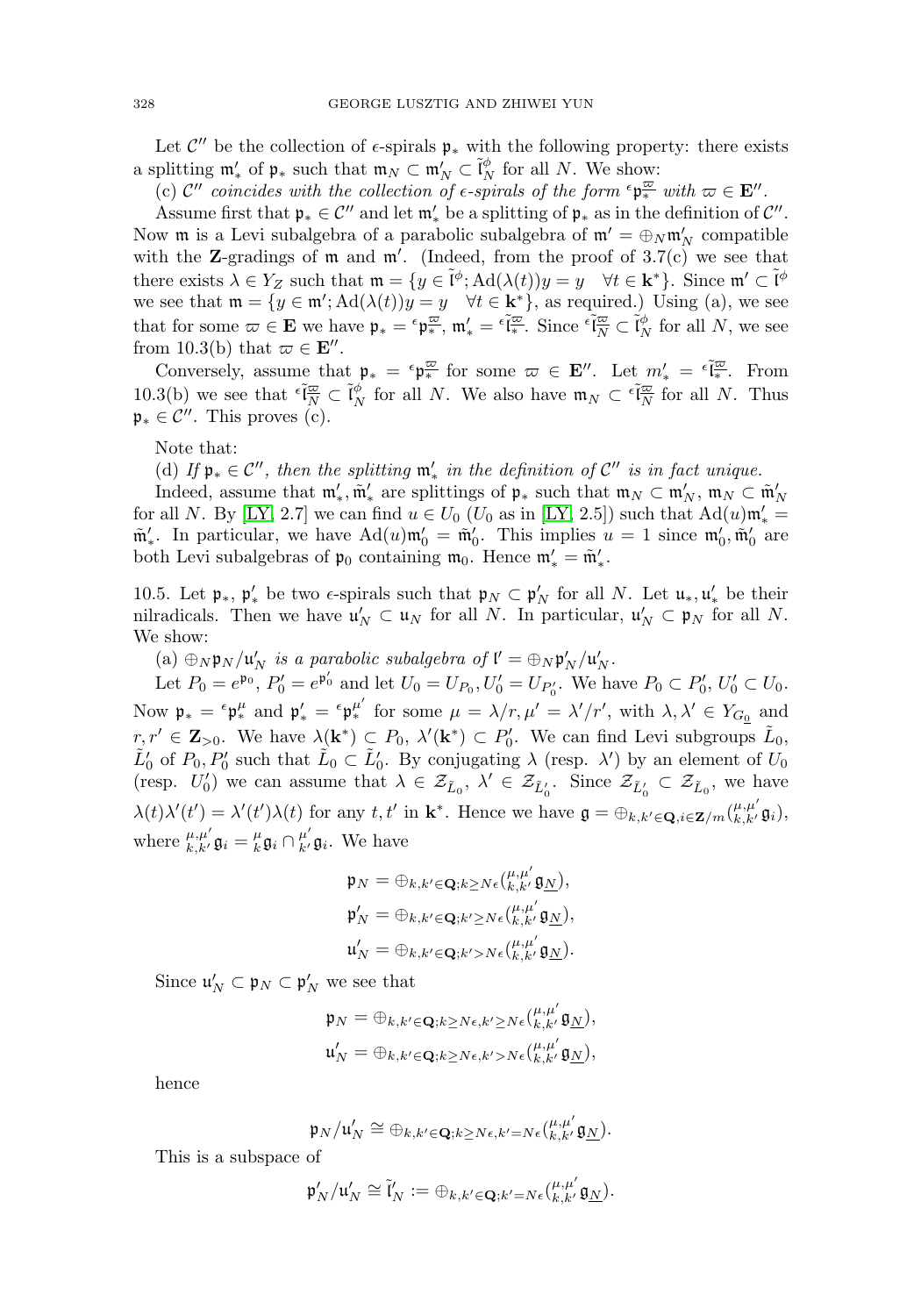Let  $\mathcal{C}''$  be the collection of  $\epsilon$ -spirals  $\mathfrak{p}_*$  with the following property: there exists a splitting  $\mathfrak{m}'_*$  of  $\mathfrak{p}_*$  such that  $\mathfrak{m}_N \subset \mathfrak{m}'_N \subset \tilde{\mathfrak{l}}_N^{\phi}$  for all N. We show:

(c)  $\mathcal{C}''$  coincides with the collection of  $\epsilon$ -spirals of the form  $\epsilon \mathfrak{p}_{*}^{\overline{\omega}}$  with  $\omega \in \mathbf{E}''$ .

Assume first that  $\mathfrak{p}_* \in \mathcal{C}''$  and let  $\mathfrak{m}'_*$  be a splitting of  $\mathfrak{p}_*$  as in the definition of  $\mathcal{C}''$ . Now  $\mathfrak m$  is a Levi subalgebra of a parabolic subalgebra of  $\mathfrak m' = \oplus_N \mathfrak m'_N$  compatible with the **Z**-gradings of  $m$  and  $m'$ . (Indeed, from the proof of 3.7(c) we see that there exists  $\lambda \in Y_Z$  such that  $\mathfrak{m} = \{ y \in \tilde{\mathfrak{l}}^{\phi}; \mathrm{Ad}(\lambda(t)) y = y \quad \forall t \in \mathbf{k}^* \}.$  Since  $\mathfrak{m}' \subset \tilde{\mathfrak{l}}^{\phi}$ we see that  $\mathfrak{m} = \{y \in \mathfrak{m}'; \mathrm{Ad}(\lambda(t))y = y \quad \forall t \in \mathbf{k}^*\},\$ as required.) Using (a), we see that for some  $\varpi \in \mathbf{E}$  we have  $\mathfrak{p}_* = {}^{\epsilon} \mathfrak{p}_*^{\overline{\omega}}, \mathfrak{m}'_* = {}^{\epsilon} \tilde{I}_*^{\overline{\omega}}$ . Since  ${}^{\epsilon} \tilde{I}_N^{\overline{\omega}} \subset \tilde{I}_N^{\phi}$  for all N, we see from 10.3(b) that  $\varpi \in \mathbf{E}''$ .

Conversely, assume that  $\mathfrak{p}_* = \epsilon \mathfrak{p}_*^{\overline{\omega}}$  for some  $\overline{\omega} \in \mathbf{E}''$ . Let  $m'_* = \epsilon \tilde{\mathfrak{l}}_*^{\overline{\omega}}$ . From 10.3(b) we see that  $\epsilon \tilde{I}_{N}^{\overline{\omega}} \subset \tilde{I}_{N}^{\phi}$  for all N. We also have  $\mathfrak{m}_{N} \subset \epsilon \tilde{I}_{N}^{\overline{\omega}}$  for all N. Thus  $\mathfrak{p}_* \in \mathcal{C}''$ . This proves (c).

Note that:

(d) If  $\mathfrak{p}_* \in \mathcal{C}''$ , then the splitting  $\mathfrak{m}'_*$  in the definition of  $\mathcal{C}''$  is in fact unique.

Indeed, assume that  $\mathfrak{m}'_*$ ,  $\tilde{\mathfrak{m}}'_*$  are splittings of  $\mathfrak{p}_*$  such that  $\mathfrak{m}_N \subset \mathfrak{m}'_N$ ,  $\mathfrak{m}_N \subset \tilde{\mathfrak{m}}'_N$ for all N. By [\[LY,](#page-31-1) 2.7] we can find  $u \in U_0$  ( $U_0$  as in [LY, 2.5]) such that  $\text{Ad}(u)\mathfrak{m}'_* =$  $\tilde{\mathfrak{m}}'_s$ . In particular, we have  $\text{Ad}(u)\mathfrak{m}'_0 = \tilde{\mathfrak{m}}'_0$ . This implies  $u = 1$  since  $\mathfrak{m}'_0$ ,  $\tilde{\mathfrak{m}}'_0$  are both Levi subalgebras of  $\mathfrak{p}_0$  containing  $\mathfrak{m}_0$ . Hence  $\mathfrak{m}'_* = \tilde{\mathfrak{m}}'_*.$ 

10.5. Let  $\mathfrak{p}_*, \mathfrak{p}'_*$  be two  $\epsilon$ -spirals such that  $\mathfrak{p}_N \subset \mathfrak{p}'_N$  for all N. Let  $\mathfrak{u}_*, \mathfrak{u}'_*$  be their nilradicals. Then we have  $\mathfrak{u}'_N \subset \mathfrak{u}_N$  for all N. In particular,  $\mathfrak{u}'_N \subset \mathfrak{p}_N$  for all N. We show:

(a)  $\oplus_N \mathfrak{p}_N / \mathfrak{u}'_N$  is a parabolic subalgebra of  $\mathfrak{l}' = \oplus_N \mathfrak{p}'_N / \mathfrak{u}'_N$ .

Let  $P_0 = e^{\mathfrak{p}_0}$ ,  $P'_0 = e^{\mathfrak{p}'_0}$  and let  $U_0 = U_{P_0}, U'_0 = U_{P'_0}$ . We have  $P_0 \subset P'_0$ ,  $U'_0 \subset U_0$ . Now  $\mathfrak{p}_* = {}^{\epsilon} \mathfrak{p}_*^{\mu}$  and  $\mathfrak{p}_*^{\prime} = {}^{\epsilon} \mathfrak{p}_*^{\mu'}$  for some  $\mu = \lambda/r, \mu' = \lambda'/r'$ , with  $\lambda, \lambda' \in Y_{G_{\underline{0}}}$  and  $r, r' \in \mathbb{Z}_{>0}$ . We have  $\lambda(\mathbf{k}^*) \subset P_0$ ,  $\lambda'(\mathbf{k}^*) \subset P'_0$ . We can find Levi subgroups  $\tilde{L}_0$ ,  $\tilde{L}'_0$  of  $P_0, P'_0$  such that  $\tilde{L}_0 \subset \tilde{L}'_0$ . By conjugating  $\lambda$  (resp.  $\lambda'$ ) by an element of  $U_0$ (resp.  $U'_0$ ) we can assume that  $\lambda \in \mathcal{Z}_{\tilde{L}_0}$ ,  $\lambda' \in \mathcal{Z}_{\tilde{L}'_0}$ . Since  $\mathcal{Z}_{\tilde{L}'_0} \subset \mathcal{Z}_{\tilde{L}_0}$ , we have  $\lambda(t)\lambda'(t') = \lambda'(t')\lambda(t)$  for any  $t, t'$  in  $\mathbf{k}^*$ . Hence we have  $\mathfrak{g} = \bigoplus_{k,k' \in \mathbf{Q}, i \in \mathbf{Z}/m} \binom{\mu, \mu'}{k, k'} \mathfrak{g}_i$ , where  $_{k,k'}^{\mu,\mu'}\mathfrak{g}_i = _k^\mu\mathfrak{g}_i \cap _{k'}^{\mu'}\mathfrak{g}_i$ . We have

$$
\begin{aligned} \mathfrak{p}_N &= \oplus_{k,k' \in \mathbf{Q}; k \geq N \epsilon} \binom{\mu, \mu'}{k, k'} \mathfrak{g}_N, \\ \mathfrak{p}'_N &= \oplus_{k,k' \in \mathbf{Q}; k' \geq N \epsilon} \binom{\mu, \mu'}{k, k'} \mathfrak{g}_N, \\ \mathfrak{u}'_N &= \oplus_{k,k' \in \mathbf{Q}; k' > N \epsilon} \binom{\mu, \mu'}{k, k'} \mathfrak{g}_N. \end{aligned}
$$

Since  $\mathfrak{u}_N' \subset \mathfrak{p}_N \subset \mathfrak{p}_N'$  we see that

$$
\mathfrak{p}_N = \oplus_{k,k' \in \mathbf{Q}; k \ge N\epsilon, k' \ge N\epsilon} \binom{\mu, \mu'}{k, k'} \mathfrak{g}_N,
$$
  

$$
\mathfrak{u}'_N = \oplus_{k,k' \in \mathbf{Q}; k \ge N\epsilon, k' > N\epsilon} \binom{\mu, \mu'}{k, k'} \mathfrak{g}_N,
$$

hence

$$
\mathfrak{p}_N/\mathfrak{u}'_N \cong \oplus_{k,k'\in \mathbf{Q}; k\geq N\epsilon, k'=N\epsilon} \tbinom{\mu,\mu'}{k,k'}\mathfrak{g}_{\underline{N}}.
$$

This is a subspace of

$$
\mathfrak{p}_N'/\mathfrak{u}_N'\cong \tilde{\mathfrak{l}}_N':=\oplus_{k,k'\in \mathbf{Q}; k'=N\epsilon} \tbinom{\mu,\mu'}{k,k'}\mathfrak{g}_{\underline{N}}.
$$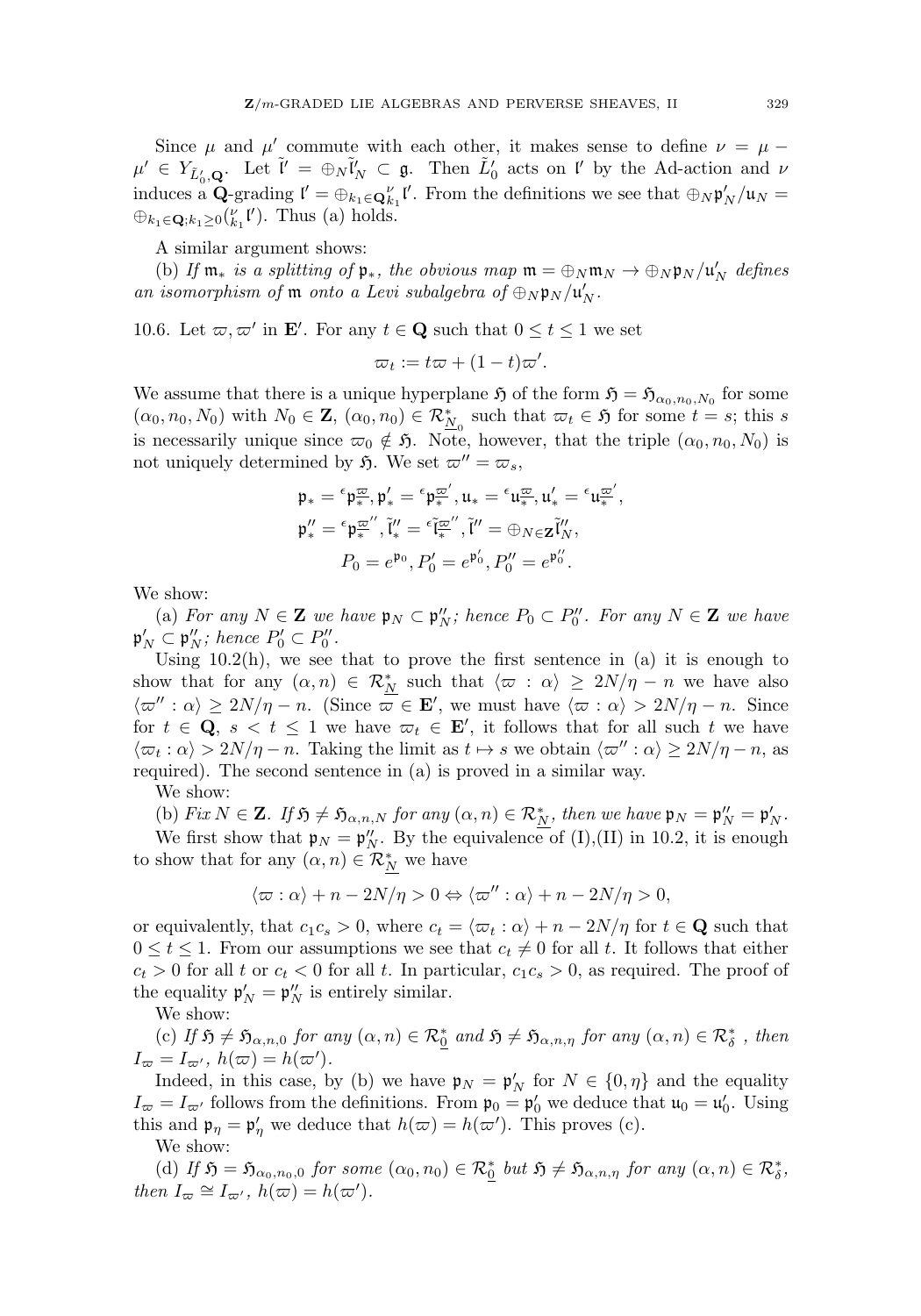Since  $\mu$  and  $\mu'$  commute with each other, it makes sense to define  $\nu = \mu$  –  $\mu' \in Y_{\tilde{L}'_0, \mathbf{Q}}$ . Let  $\tilde{l}' = \bigoplus_N \tilde{l}'_N \subset \mathfrak{g}$ . Then  $\tilde{L}'_0$  acts on l' by the Ad-action and  $\nu$ induces a **Q**-grading  $\mathbf{l}' = \bigoplus_{k_1 \in \mathbf{Q}_{k_1}^{\nu}} \mathbf{l}'$ . From the definitions we see that  $\bigoplus_{N} \mathfrak{p}'_N / \mathfrak{u}_N =$  $\bigoplus_{k_1 \in \mathbf{Q}; k_1 \geq 0} {(\begin{matrix} \nu \\ k_1 \end{matrix})}$ . Thus (a) holds.

A similar argument shows:

(b) If  $\mathfrak{m}_*$  is a splitting of  $\mathfrak{p}_*$ , the obvious  $map \ \mathfrak{m} = \bigoplus_N \mathfrak{m}_N \to \bigoplus_N \mathfrak{p}_N/\mathfrak{u}_N'$  defines an isomorphism of  $\mathfrak m$  onto a Levi subalgebra of  $\oplus_N \mathfrak p_N/\mathfrak u_N'.$ 

10.6. Let  $\varpi, \varpi'$  in **E'**. For any  $t \in \mathbf{Q}$  such that  $0 \le t \le 1$  we set

$$
\varpi_t := t\varpi + (1-t)\varpi'.
$$

We assume that there is a unique hyperplane  $\mathfrak{H}$  of the form  $\mathfrak{H} = \mathfrak{H}_{\alpha_0,n_0,N_0}$  for some  $(\alpha_0, n_0, N_0)$  with  $N_0 \in \mathbb{Z}$ ,  $(\alpha_0, n_0) \in \mathcal{R}_{N_0}^*$  such that  $\varpi_t \in \mathfrak{H}$  for some  $t = s$ ; this s is necessarily unique since  $\varpi_0 \notin \mathfrak{H}$ . Note, however, that the triple  $(\alpha_0, n_0, N_0)$  is not uniquely determined by  $\mathfrak{H}$ . We set  $\varpi'' = \varpi_s$ ,

$$
\mathfrak{p}_* = {}^{\epsilon} \mathfrak{p}_{*}^{\overline{\omega}}, \mathfrak{p}'_* = {}^{\epsilon} \mathfrak{p}_{*}^{\overline{\omega}'}, \mathfrak{u}_* = {}^{\epsilon} \mathfrak{u}_{*}^{\overline{\omega}}, \mathfrak{u}'_* = {}^{\epsilon} \mathfrak{u}_{*}^{\overline{\omega}'},
$$
  

$$
\mathfrak{p}''_* = {}^{\epsilon} \mathfrak{p}_{*}^{\overline{\omega}'}, \tilde{\mathfrak{l}}''_* = {}^{\epsilon} \tilde{\mathfrak{l}}^{\overline{\omega}''}, \tilde{\mathfrak{l}}'' = \oplus_{N \in \mathbf{Z}} \tilde{\mathfrak{l}}''_N,
$$
  

$$
P_0 = e^{\mathfrak{p}_0}, P'_0 = e^{\mathfrak{p}'_0}, P''_0 = e^{\mathfrak{p}''_0}.
$$

We show:

(a) For any  $N \in \mathbf{Z}$  we have  $\mathfrak{p}_N \subset \mathfrak{p}_N''$ ; hence  $P_0 \subset P_0''$ . For any  $N \in \mathbf{Z}$  we have  $\mathfrak{p}_N' \subset \mathfrak{p}_N''$ ; hence  $P_0' \subset P_0''$ .

Using  $10.2(h)$ , we see that to prove the first sentence in  $(a)$  it is enough to show that for any  $(\alpha, n) \in \mathcal{R}_{N}^{*}$  such that  $\langle \varpi : \alpha \rangle \geq 2N/\eta - n$  we have also  $\langle \varpi'' : \alpha \rangle \geq 2N/\eta - n$ . (Since  $\varpi \in \mathbf{E}'$ , we must have  $\langle \varpi : \alpha \rangle > 2N/\eta - n$ . Since for  $t \in \mathbf{Q}$ ,  $s < t \leq 1$  we have  $\varpi_t \in \mathbf{E}'$ , it follows that for all such t we have  $\langle \varpi_t : \alpha \rangle > 2N/\eta - n$ . Taking the limit as  $t \mapsto s$  we obtain  $\langle \varpi'' : \alpha \rangle \geq 2N/\eta - n$ , as required). The second sentence in (a) is proved in a similar way.

We show:

(b) Fix  $N \in \mathbf{Z}$ . If  $\mathfrak{H} \neq \mathfrak{H}_{\alpha,n,N}$  for any  $(\alpha, n) \in \mathcal{R}_{N}^{*}$ , then we have  $\mathfrak{p}_{N} = \mathfrak{p}'_{N} = \mathfrak{p}'_{N}$ .

We first show that  $\mathfrak{p}_N = \mathfrak{p}_N''$ . By the equivalence of (I),(II) in 10.2, it is enough to show that for any  $(\alpha, n) \in \mathcal{R}_{N}^{*}$  we have

$$
\langle \varpi : \alpha \rangle + n - 2N/\eta > 0 \Leftrightarrow \langle \varpi'' : \alpha \rangle + n - 2N/\eta > 0,
$$

or equivalently, that  $c_1 c_s > 0$ , where  $c_t = \langle \varpi_t : \alpha \rangle + n - \frac{2N}{\eta}$  for  $t \in \mathbf{Q}$  such that  $0 \le t \le 1$ . From our assumptions we see that  $c_t \ne 0$  for all t. It follows that either  $c_t > 0$  for all t or  $c_t < 0$  for all t. In particular,  $c_1 c_s > 0$ , as required. The proof of the equality  $\mathfrak{p}'_N = \mathfrak{p}''_N$  is entirely similar.

We show:

(c) If  $\mathfrak{H} \neq \mathfrak{H}_{\alpha,n,0}$  for any  $(\alpha, n) \in \mathcal{R}_{\underline{0}}^*$  and  $\mathfrak{H} \neq \mathfrak{H}_{\alpha,n,\eta}$  for any  $(\alpha, n) \in \mathcal{R}_{\delta}^*$ , then  $I_{\varpi} = I_{\varpi'}$ ,  $h(\varpi) = h(\varpi')$ .

Indeed, in this case, by (b) we have  $\mathfrak{p}_N = \mathfrak{p}'_N$  for  $N \in \{0, \eta\}$  and the equality  $I_{\varpi} = I_{\varpi'}$  follows from the definitions. From  $\mathfrak{p}_0 = \mathfrak{p}'_0$  we deduce that  $\mathfrak{u}_0 = \mathfrak{u}'_0$ . Using this and  $\mathfrak{p}_{\eta} = \mathfrak{p}'_{\eta}$  we deduce that  $h(\varpi) = h(\varpi')$ . This proves (c). We show:

(d) If  $\mathfrak{H} = \mathfrak{H}_{\alpha_0,n_0,0}$  for some  $(\alpha_0,n_0) \in \mathcal{R}_{\underline{0}}^*$  but  $\mathfrak{H} \neq \mathfrak{H}_{\alpha,n,\eta}$  for any  $(\alpha, n) \in \mathcal{R}_{\delta}^*$ , then  $I_{\varpi} \cong I_{\varpi'}$ ,  $h(\varpi) = h(\varpi')$ .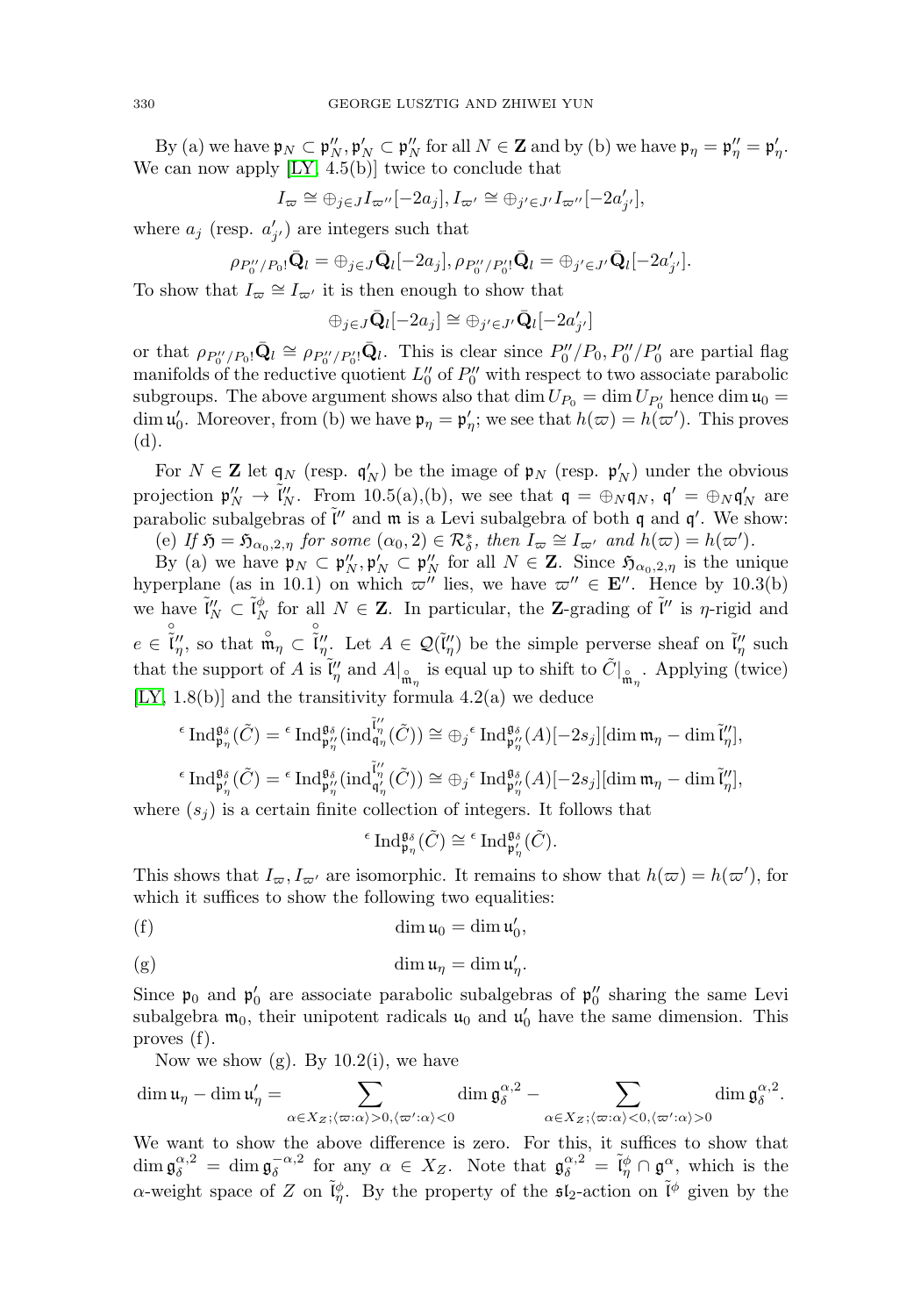By (a) we have  $\mathfrak{p}_N \subset \mathfrak{p}_N''$ ,  $\mathfrak{p}_N' \subset \mathfrak{p}_N''$  for all  $N \in \mathbf{Z}$  and by (b) we have  $\mathfrak{p}_\eta = \mathfrak{p}_\eta'' = \mathfrak{p}_\eta'$ . We can now apply [\[LY,](#page-31-1) 4.5(b)] twice to conclude that

$$
I_{\varpi}\cong \oplus_{j\in J}I_{\varpi''}[-2a_j], I_{\varpi'}\cong \oplus_{j'\in J'}I_{\varpi''}[-2a'_{j'}],
$$

where  $a_j$  (resp.  $a'_{j'}$ ) are integers such that

$$
\rho_{P_0''/P_0!}\bar{\mathbf{Q}}_l = \oplus_{j\in J} \bar{\mathbf{Q}}_l[-2a_j], \rho_{P_0''/P_0'}\bar{\mathbf{Q}}_l = \oplus_{j'\in J'} \bar{\mathbf{Q}}_l[-2a'_{j'}].
$$

To show that  $I_{\varpi} \cong I_{\varpi'}$  it is then enough to show that

 $\bigoplus_{j\in J}\bar{\mathbf{Q}}_l[-2a_j]\cong \bigoplus_{j'\in J'}\bar{\mathbf{Q}}_l[-2a'_{j'}]$ 

or that  $\rho_{P_0''/P_0}$ ,  $\bar{\mathbf{Q}}_l \cong \rho_{P_0''/P_0'}$ ,  $\bar{\mathbf{Q}}_l$ . This is clear since  $P_0''/P_0$ ,  $P_0''/P_0'$  are partial flag manifolds of the reductive quotient  $L_0''$  of  $P_0''$  with respect to two associate parabolic subgroups. The above argument shows also that  $\dim U_{P_0} = \dim U_{P'_0}$  hence  $\dim \mathfrak{u}_0 =$ dim  $\mathfrak{u}'_0$ . Moreover, from (b) we have  $\mathfrak{p}_{\eta} = \mathfrak{p}'_{\eta}$ ; we see that  $h(\varpi) = h(\varpi')$ . This proves (d).

For  $N \in \mathbb{Z}$  let  $\mathfrak{q}_N$  (resp.  $\mathfrak{q}'_N$ ) be the image of  $\mathfrak{p}_N$  (resp.  $\mathfrak{p}'_N$ ) under the obvious projection  $\mathfrak{p}''_N \to \tilde{\mathfrak{l}}''_N$ . From 10.5(a),(b), we see that  $\mathfrak{q} = \bigoplus_N \mathfrak{q}_N$ ,  $\mathfrak{q}' = \bigoplus_N \mathfrak{q}'_N$  are parabolic subalgebras of  $\tilde{l}''$  and  $\mathfrak{m}$  is a Levi subalgebra of both  $\mathfrak{q}$  and  $\mathfrak{q}'$ . We show:

(e) If  $\mathfrak{H} = \mathfrak{H}_{\alpha_0,2,\eta}$  for some  $(\alpha_0, 2) \in \mathcal{R}_{\delta}^*$ , then  $I_{\varpi} \cong I_{\varpi'}$  and  $h(\varpi) = h(\varpi')$ .

By (a) we have  $\mathfrak{p}_N \subset \mathfrak{p}_N''$ ,  $\mathfrak{p}_N'' \subset \mathfrak{p}_N''$  for all  $N \in \mathbb{Z}$ . Since  $\mathfrak{H}_{\alpha_0,2,\eta}$  is the unique hyperplane (as in 10.1) on which  $\varpi''$  lies, we have  $\varpi'' \in \mathbf{E}''$ . Hence by 10.3(b) we have  $\tilde{\mathfrak{l}}''_N \subset \tilde{\mathfrak{l}}''_N$  for all  $N \in \mathbb{Z}$ . In particular, the **Z**-grading of  $\tilde{\mathfrak{l}}''$  is  $\eta$ -rigid and  $e \in \tilde{\tilde{l}}''_{\eta}$ , so that  $\mathring{\tilde{\mathfrak{m}}}_{\eta} \subset \tilde{\tilde{l}}''_{\eta}$ . Let  $A \in \mathcal{Q}(\tilde{l}''_{\eta})$  be the simple perverse sheaf on  $\tilde{l}''_{\eta}$  such that the support of A is  $\tilde{\mathfrak{l}}''_{\eta}$  and  $A|_{\tilde{\mathfrak{m}}_{\eta}}$  is equal up to shift to  $\tilde{C}|_{\tilde{\mathfrak{m}}_{\eta}}$ . Applying (twice) [\[LY,](#page-31-1)  $1.8(b)$ ] and the transitivity formula  $4.2(a)$  we deduce

$$
\begin{aligned} ^\epsilon {\rm Ind}^{\mathfrak{gs}}_{\mathfrak{p}_{\eta}} (\tilde{C}) = {}^\epsilon {\rm Ind}^{\mathfrak{gs}}_{\mathfrak{p}_{\eta}''} ({\rm ind}^{\tilde{\mathfrak{l}}''}_{\mathfrak{q}_{\eta}} (\tilde{C})) \cong \oplus_j {}^\epsilon {\rm Ind}^{\mathfrak{gs}}_{\mathfrak{p}_{\eta}''} (A)[-2s_j] [{\rm dim}\, \mathfrak{m}_{\eta} - {\rm dim}\, \tilde{\mathfrak{l}}''_{\eta}],\\ ^\epsilon {\rm Ind}^{\mathfrak{gs}}_{\mathfrak{p}_{\eta}'} (\tilde{C}) = {}^\epsilon {\rm Ind}^{\mathfrak{gs}}_{\mathfrak{p}_{\eta}''} ({\rm ind}^{\tilde{\mathfrak{l}}''}_{\mathfrak{q}_{\eta}'} (\tilde{C})) \cong \oplus_j {}^\epsilon {\rm Ind}^{\mathfrak{gs}}_{\mathfrak{p}_{\eta}''} (A)[-2s_j] [{\rm dim}\, \mathfrak{m}_{\eta} - {\rm dim}\, \tilde{\mathfrak{l}}''_{\eta}],\\ \end{aligned}
$$

where  $(s_i)$  is a certain finite collection of integers. It follows that

$$
{}^{\epsilon}\operatorname{Ind}_{\mathfrak{p}_{\eta}}^{\mathfrak{g}_{\delta}}(\tilde{C}) \cong {}^{\epsilon}\operatorname{Ind}_{\mathfrak{p}_{\eta}'}^{\mathfrak{g}_{\delta}}(\tilde{C}).
$$

This shows that  $I_{\varpi}$ ,  $I_{\varpi'}$  are isomorphic. It remains to show that  $h(\varpi) = h(\varpi')$ , for which it suffices to show the following two equalities:

$$
\dim \mathfrak{u}_0 = \dim \mathfrak{u}'_0,
$$

$$
\dim \mathfrak{u}_{\eta} = \dim \mathfrak{u}'_{\eta}.
$$

Since  $\mathfrak{p}_0$  and  $\mathfrak{p}'_0$  are associate parabolic subalgebras of  $\mathfrak{p}''_0$  sharing the same Levi<br>subalgebra  $\mathfrak{m}_0$ , their unipotent radicals  $\mathfrak{u}_0$  and  $\mathfrak{u}'_0$  have the same dimension. This<br>proves (f subalgebra  $\mathfrak{m}_0$ , their unipotent radicals  $\mathfrak{u}_0$  and  $\mathfrak{u}'_0$  have the same dimension. This proves (f).

Now we show  $(g)$ . By  $10.2(i)$ , we have

$$
\dim\mathfrak{u}_\eta-\dim\mathfrak{u}_\eta'=\sum_{\alpha\in X_Z;\langle\varpi:\alpha\rangle>0,\langle\varpi':\alpha\rangle<0}\dim\mathfrak{g}_\delta^{\alpha,2}-\sum_{\alpha\in X_Z;\langle\varpi:\alpha\rangle<0,\langle\varpi':\alpha\rangle>0}\dim\mathfrak{g}_\delta^{\alpha,2}.
$$

We want to show the above difference is zero. For this, it suffices to show that  $\dim \mathfrak{g}_{\delta}^{\alpha,2} = \dim \mathfrak{g}_{\delta}^{-\alpha,2}$  for any  $\alpha \in X_Z$ . Note that  $\mathfrak{g}_{\delta}^{\alpha,2} = \tilde{\mathfrak{l}}_{\eta}^{\phi} \cap \mathfrak{g}^{\alpha}$ , which is the  $\alpha$ -weight space of Z on  $\tilde{\mathfrak{l}}_p^{\phi}$ . By the property of the  $\mathfrak{sl}_2$ -action on  $\tilde{\mathfrak{l}}^{\phi}$  given by the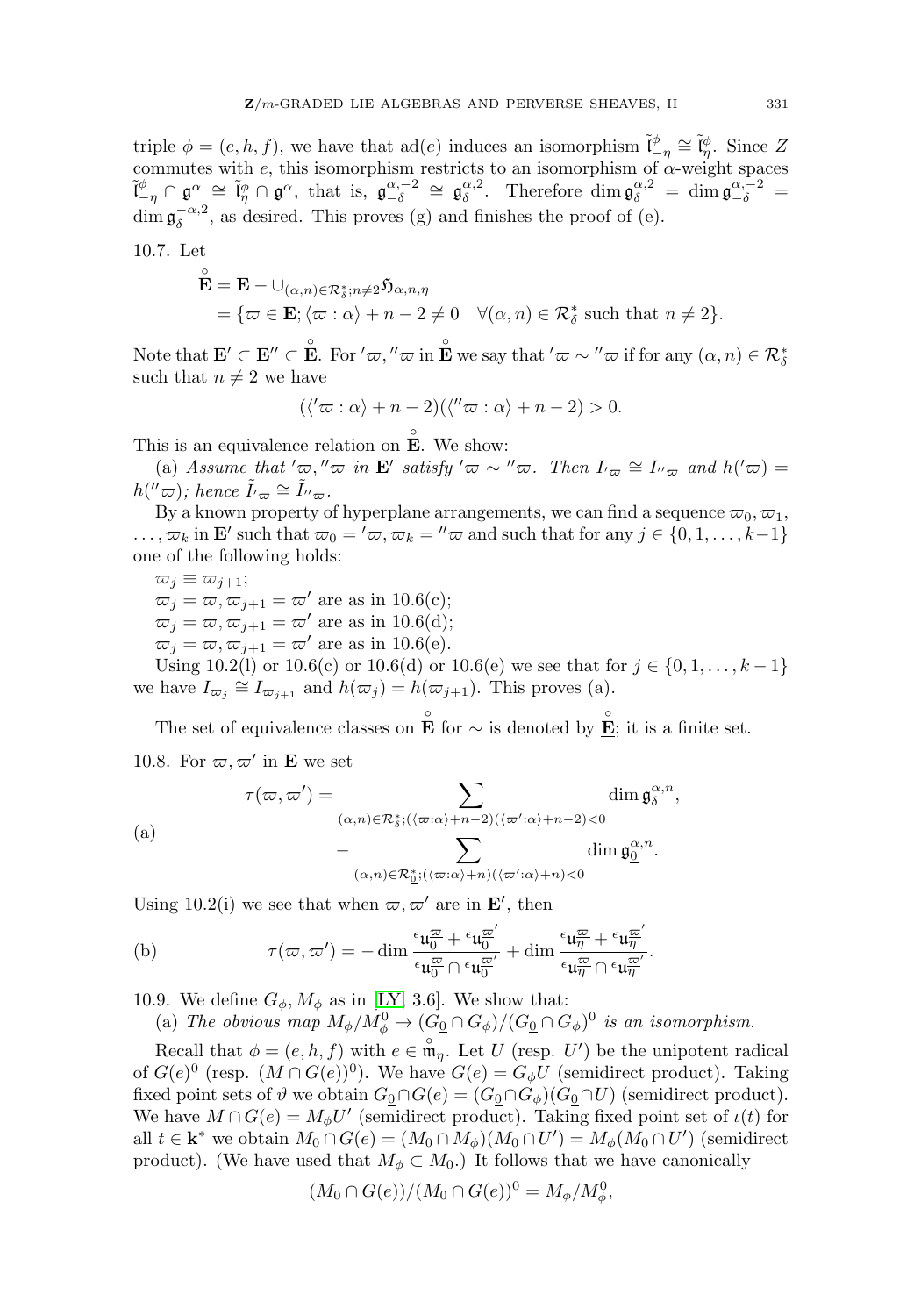triple  $\phi = (e, h, f)$ , we have that  $ad(e)$  induces an isomorphism  $\tilde{l}_{-\eta}^{\phi} \cong \tilde{l}_{\eta}^{\phi}$ . Since Z commutes with e, this isomorphism restricts to an isomorphism of  $\alpha$ -weight spaces  $\tilde{\mathfrak{l}}_{-\eta}^{\phi} \cap \mathfrak{g}^{\alpha} \cong \tilde{\mathfrak{l}}_{\eta}^{\phi} \cap \mathfrak{g}^{\alpha}$ , that is,  $\mathfrak{g}_{-\delta}^{\alpha,-2} \cong \mathfrak{g}_{\delta}^{\alpha,2}$ . Therefore  $\dim \mathfrak{g}_{\delta}^{\alpha,2} = \dim \mathfrak{g}_{-\delta}^{\alpha,-2} =$  $\dim \mathfrak{g}_{\delta}^{-\alpha,2}$ , as desired. This proves (g) and finishes the proof of (e).

10.7. Let

$$
\tilde{\mathbf{E}} = \mathbf{E} - \bigcup_{(\alpha,n) \in \mathcal{R}_{\delta}^* : n \neq 2} \tilde{\mathfrak{H}}_{\alpha,n,\eta}
$$
  
= { $\varpi \in \mathbf{E}; \langle \varpi : \alpha \rangle + n - 2 \neq 0 \quad \forall (\alpha, n) \in \mathcal{R}_{\delta}^*$  such that  $n \neq 2$  }.

Note that  $\mathbf{E}' \subset \mathbf{E}'' \subset \mathbf{E}$ . For  $'\varpi,''\varpi$  in  $\mathbf{E}$  we say that  $'\varpi \sim''\varpi$  if for any  $(\alpha, n) \in \mathcal{R}_\delta^*$ such that  $n \neq 2$  we have

$$
(\langle'\varpi:\alpha\rangle+n-2)(\langle''\varpi:\alpha\rangle+n-2)>0.
$$

This is an equivalence relation on  $\mathbf{E}$ . We show:

(a) Assume that  $'\varpi$ ,  $''\varpi$  in **E**' satisfy  $'\varpi \sim$   $''\varpi$ . Then  $I_{\tau_{\varpi}} \cong I_{\tau_{\varpi}}$  and  $h(\tau_{\varpi}) =$  $h(" \varpi);$  hence  $\tilde{I'}_{\varpi} \cong \tilde{I''}_{\varpi}.$ 

By a known property of hyperplane arrangements, we can find a sequence  $\varpi_0, \varpi_1$ ,  $\ldots, \varpi_k$  in **E**' such that  $\varpi_0 = \langle \varpi, \varpi_k = \langle \varpi \rangle$  and such that for any  $j \in \{0, 1, \ldots, k-1\}$ one of the following holds:

 $\overline{\omega}_j \equiv \overline{\omega}_{j+1};$  $\overline{\omega}_i = \overline{\omega}, \overline{\omega}_{i+1} = \overline{\omega}'$  are as in 10.6(c);  $\overline{\omega}_j = \overline{\omega}, \overline{\omega}_{j+1} = \overline{\omega}'$  are as in 10.6(d);  $\overline{\omega}_j = \overline{\omega}, \overline{\omega}_{j+1} = \overline{\omega}'$  are as in 10.6(e).

Using 10.2(l) or 10.6(c) or 10.6(d) or 10.6(e) we see that for  $j \in \{0, 1, ..., k-1\}$ we have  $I_{\varpi_j} \cong I_{\varpi_{j+1}}$  and  $h(\varpi_j) = h(\varpi_{j+1})$ . This proves (a).

The set of equivalence classes on  $\mathbf{E}$  for  $\sim$  is denoted by  $\mathbf{E}$ ; it is a finite set. 10.8. For  $\varpi, \varpi'$  in **E** we set and  $h(\varpi_j) = h(\varpi_{j+1}).$ <br>
nce classes on  $\mathbf{E}$  for  $\sim$ <br>
we set<br>  $) = \sum$ 

10.8. For 
$$
\varpi, \varpi'
$$
 in **E** we set  
\n
$$
\tau(\varpi, \varpi') = \sum_{(\alpha, n) \in \mathcal{R}_{\delta}^* : ((\varpi : \alpha) + n - 2)(\langle \varpi' : \alpha \rangle + n - 2) < 0} \dim \mathfrak{g}_{\delta}^{\alpha, n},
$$
\n(a) 
$$
- \sum_{(\alpha, n) \in \mathcal{R}_{\underline{\delta}}^* : ((\varpi : \alpha) + n)((\varpi' : \alpha) + n) < 0} \dim \mathfrak{g}_{\underline{0}}^{\alpha, n}.
$$

Using 10.2(i) we see that when  $\varpi, \varpi'$  are in **E'**, then

(b) 
$$
\tau(\varpi, \varpi') = -\dim \frac{\epsilon_{\mathfrak{u}_0^{\overline{\omega}}} + \epsilon_{\mathfrak{u}_0^{\overline{\omega}'}}}{\epsilon_{\mathfrak{u}_0^{\overline{\omega}}} \cap \epsilon_{\mathfrak{u}_0^{\overline{\omega}'}}} + \dim \frac{\epsilon_{\mathfrak{u}_\eta^{\overline{\omega}}} + \epsilon_{\mathfrak{u}_\eta^{\overline{\omega}'}}}{\epsilon_{\mathfrak{u}_\eta^{\overline{\omega}}} \cap \epsilon_{\mathfrak{u}_\eta^{\overline{\omega}'}}}.
$$

10.9. We define  $G_{\phi}$ ,  $M_{\phi}$  as in [\[LY,](#page-31-1) 3.6]. We show that:

(a) The obvious map  $M_{\phi}/M_{\phi}^0 \to (G_0 \cap G_{\phi})/(G_0 \cap G_{\phi})^0$  is an isomorphism.

Recall that  $\phi = (e, h, f)$  with  $e \in \mathfrak{m}_{\eta}$ . Let U (resp. U') be the unipotent radical of  $G(e)^0$  (resp.  $(M \cap G(e))^0$ ). We have  $G(e) = G_{\phi}U$  (semidirect product). Taking fixed point sets of  $\vartheta$  we obtain  $G_0 \cap G(e)=(G_0 \cap G_{\phi})(G_0 \cap U)$  (semidirect product). We have  $M \cap G(e) = M_{\phi}U'$  (semidirect product). Taking fixed point set of  $\iota(t)$  for all  $t \in \mathbf{k}^*$  we obtain  $M_0 \cap G(e) = (M_0 \cap M_\phi)(M_0 \cap U') = M_\phi(M_0 \cap U')$  (semidirect product). (We have used that  $M_{\phi} \subset M_0$ .) It follows that we have canonically

$$
(M_0 \cap G(e))/(M_0 \cap G(e))^0 = M_{\phi}/M_{\phi}^0,
$$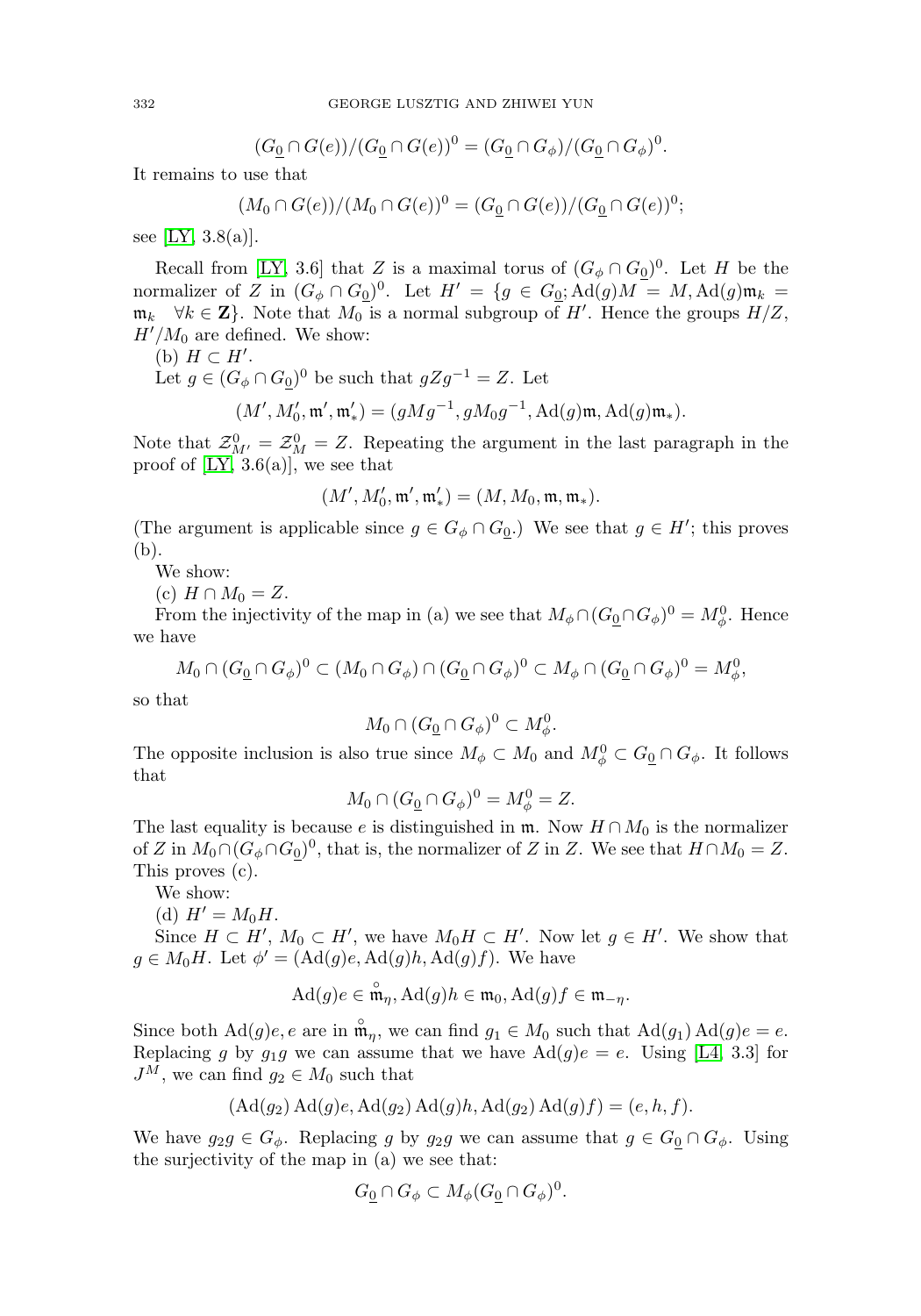$$
(G_{\underline{0}} \cap G(e))/(G_{\underline{0}} \cap G(e))^0 = (G_{\underline{0}} \cap G_{\phi})/(G_{\underline{0}} \cap G_{\phi})^0.
$$

It remains to use that

$$
(M_0 \cap G(e))/(M_0 \cap G(e))^0 = (G_0 \cap G(e))/(G_0 \cap G(e))^0;
$$

see [\[LY,](#page-31-1)  $3.8(a)$ ].

Recall from [\[LY,](#page-31-1) 3.6] that Z is a maximal torus of  $(G_{\phi} \cap G_0)^0$ . Let H be the normalizer of Z in  $(G_{\phi} \cap G_0)^0$ . Let  $H' = \{g \in G_0; \text{Ad}(g)M = M, \text{Ad}(g)\mathfrak{m}_k = \emptyset\}$  $\mathfrak{m}_k \quad \forall k \in \mathbf{Z}$ . Note that  $M_0$  is a normal subgroup of H'. Hence the groups  $H/Z$ ,  $H'/M_0$  are defined. We show:

(b)  $H \subset H'.$ 

Let  $g \in (G_{\phi} \cap G_0)^0$  be such that  $gZg^{-1} = Z$ . Let

$$
(M', M'_0, \mathfrak{m}', \mathfrak{m}'_*) = (gMg^{-1}, gM_0g^{-1}, \text{Ad}(g)\mathfrak{m}, \text{Ad}(g)\mathfrak{m}_*).
$$

Note that  $\mathcal{Z}_{M'}^0 = \mathcal{Z}_M^0 = Z$ . Repeating the argument in the last paragraph in the proof of  $[LY, 3.6(a)]$  $[LY, 3.6(a)]$ , we see that

$$
(M', M'_0, \mathfrak{m}', \mathfrak{m}'_*) = (M, M_0, \mathfrak{m}, \mathfrak{m}_*).
$$

(The argument is applicable since  $g \in G_\phi \cap G_0$ .) We see that  $g \in H'$ ; this proves (b).

We show:

(c)  $H \cap M_0 = Z$ .

From the injectivity of the map in (a) we see that  $M_{\phi} \cap (G_{{\underline{0}}} \cap G_{\phi})^0 = M_{\phi}^0$ . Hence we have

$$
M_0 \cap (G_{\underline{0}} \cap G_{\phi})^0 \subset (M_0 \cap G_{\phi}) \cap (G_{\underline{0}} \cap G_{\phi})^0 \subset M_{\phi} \cap (G_{\underline{0}} \cap G_{\phi})^0 = M_{\phi}^0,
$$

so that

$$
M_0 \cap (G_0 \cap G_{\phi})^0 \subset M_{\phi}^0.
$$

The opposite inclusion is also true since  $M_{\phi} \subset M_0$  and  $M_{\phi}^0 \subset G_0 \cap G_{\phi}$ . It follows that

$$
M_0 \cap (G_0 \cap G_{\phi})^0 = M_{\phi}^0 = Z.
$$

The last equality is because e is distinguished in  $\mathfrak{m}$ . Now  $H \cap M_0$  is the normalizer of Z in  $M_0 \cap (G_{\phi} \cap G_0)^0$ , that is, the normalizer of Z in Z. We see that  $H \cap M_0 = Z$ . This proves (c).

We show:

(d) 
$$
H' = M_0 H.
$$

Since  $H \subset H'$ ,  $M_0 \subset H'$ , we have  $M_0 H \subset H'$ . Now let  $g \in H'$ . We show that  $g \in M_0H$ . Let  $\phi' = (\text{Ad}(g)e, \text{Ad}(g)h, \text{Ad}(g)f)$ . We have

$$
\mathrm{Ad}(g)e \in \overset{\circ}{\mathfrak{m}}_{\eta}, \mathrm{Ad}(g)h \in \mathfrak{m}_0, \mathrm{Ad}(g)f \in \mathfrak{m}_{-\eta}.
$$

Since both  $\text{Ad}(g)e, e$  are in  $\mathfrak{m}_{\eta}$ , we can find  $g_1 \in M_0$  such that  $\text{Ad}(g_1) \text{Ad}(g)e = e$ . Replacing g by  $g_1g$  we can assume that we have  $\text{Ad}(g)e = e$ . Using [\[L4,](#page-31-2) 3.3] for  $J^M$ , we can find  $g_2 \in M_0$  such that

$$
(\mathrm{Ad}(g_2)\mathrm{Ad}(g)e, \mathrm{Ad}(g_2)\mathrm{Ad}(g)h, \mathrm{Ad}(g_2)\mathrm{Ad}(g)f) = (e, h, f).
$$

We have  $g_2g \in G_{\phi}$ . Replacing g by  $g_2g$  we can assume that  $g \in G_0 \cap G_{\phi}$ . Using the surjectivity of the map in (a) we see that:

$$
G_0 \cap G_{\phi} \subset M_{\phi}(G_0 \cap G_{\phi})^0.
$$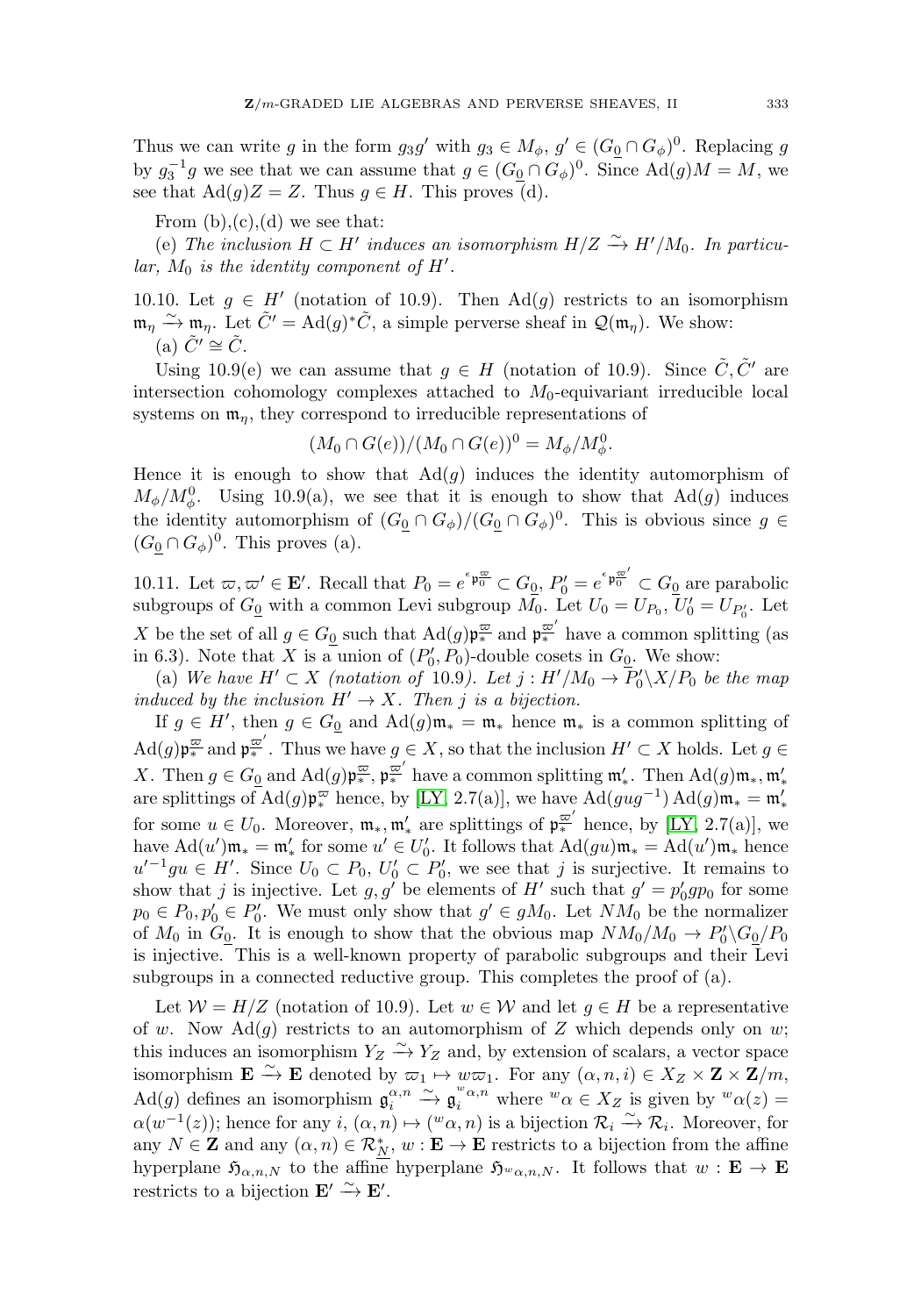Thus we can write g in the form  $g_3g'$  with  $g_3 \in M_\phi$ ,  $g' \in (G_0 \cap G_\phi)^0$ . Replacing g by  $g_3^{-1}g$  we see that we can assume that  $g \in (G_0 \cap G_\phi)^0$ . Since  $\text{Ad}(g)M = M$ , we see that  $\text{Ad}(g)Z = Z$ . Thus  $g \in H$ . This proves (d).

From  $(b),(c),(d)$  we see that:

(e) The inclusion  $H \subset H'$  induces an isomorphism  $H/Z \stackrel{\sim}{\rightarrow} H'/M_0$ . In particu $lar, M_0$  is the identity component of  $H'.$ 

10.10. Let  $g \in H'$  (notation of 10.9). Then Ad(g) restricts to an isomorphism  $\mathfrak{m}_{\eta} \xrightarrow{\sim} \mathfrak{m}_{\eta}$ . Let  $\tilde{C}' = \text{Ad}(g)^* \tilde{C}$ , a simple perverse sheaf in  $\mathcal{Q}(\mathfrak{m}_{\eta})$ . We show: (a)  $\tilde{C}' \cong \tilde{C}$ .

Using 10.9(e) we can assume that  $g \in H$  (notation of 10.9). Since  $\tilde{C}, \tilde{C}'$  are intersection cohomology complexes attached to  $M_0$ -equivariant irreducible local systems on  $\mathfrak{m}_n$ , they correspond to irreducible representations of

$$
(M_0 \cap G(e))/(M_0 \cap G(e))^0 = M_{\phi}/M_{\phi}^0.
$$

Hence it is enough to show that  $\text{Ad}(g)$  induces the identity automorphism of  $M_{\phi}/M_{\phi}^0$ . Using 10.9(a), we see that it is enough to show that Ad(g) induces the identity automorphism of  $(G_0 \cap G_{\phi})/(G_0 \cap G_{\phi})^0$ . This is obvious since  $g \in$  $(G_0 \cap G_{\phi})^0$ . This proves (a).

10.11. Let  $\varpi, \varpi' \in \mathbf{E}'$ . Recall that  $P_0 = e^{i \varphi_0^{\underline{\varpi}}} \subset G_0$ ,  $P'_0 = e^{i \varphi_0^{\underline{\varpi}'}} \subset G_0$  are parabolic subgroups of  $G_0$  with a common Levi subgroup  $M_0$ . Let  $U_0 = U_{P_0}$ ,  $U'_0 = U_{P'_0}$ . Let X be the set of all  $g \in G_0$  such that  $\text{Ad}(g) \mathfrak{p}_{*}^{\overline{\omega}}$  and  $\mathfrak{p}_{*}^{\overline{\omega}'}$  have a common splitting (as in 6.3). Note that X is a union of  $(P'_0, P_0)$ -double cosets in  $G_0$ . We show:

(a) We have  $H' \subset X$  (notation of 10.9). Let  $j : H'/M_0 \to P'_0\backslash X/P_0$  be the map induced by the inclusion  $H' \to X$ . Then j is a bijection.

If  $g \in H'$ , then  $g \in G_0$  and  $\text{Ad}(g) \mathfrak{m}_* = \mathfrak{m}_*$  hence  $\mathfrak{m}_*$  is a common splitting of  $\mathrm{Ad}(g) \mathfrak{p}_*^{\overline{\omega}}$  and  $\mathfrak{p}_*^{\overline{\omega}'}$ . Thus we have  $g \in X$ , so that the inclusion  $H' \subset X$  holds. Let  $g \in X$ X. Then  $g \in G_0$  and  $\text{Ad}(g) \mathfrak{p}_*^{\overline{\omega}}, \mathfrak{p}_*^{\overline{\omega}'}$  have a common splitting  $\mathfrak{m}_*'.$  Then  $\text{Ad}(g) \mathfrak{m}_*, \mathfrak{m}_*'.$ are splittings of  $\text{Ad}(g)\mathfrak{p}_*^{\varpi}$  hence, by [\[LY,](#page-31-1) 2.7(a)], we have  $\text{Ad}(gug^{-1}) \text{Ad}(g)\mathfrak{m}_* = \mathfrak{m}'_*$ for some  $u \in U_0$ . Moreover,  $\mathfrak{m}_*, \mathfrak{m}'_*$  are splittings of  $\mathfrak{p}_{*}^{\overline{\omega}'}$  hence, by [\[LY,](#page-31-1) 2.7(a)], we have  $\text{Ad}(u')\mathfrak{m}_* = \mathfrak{m}'_*$  for some  $u' \in U'_0$ . It follows that  $\text{Ad}(gu)\mathfrak{m}_* = \text{Ad}(u')\mathfrak{m}_*$  hence  $u'^{-1}gu \in H'$ . Since  $U_0 \subset P_0$ ,  $U'_0 \subset P'_0$ , we see that j is surjective. It remains to show that j is injective. Let  $g, g'$  be elements of H' such that  $g' = p'_0 gp_0$  for some  $p_0 \in P_0, p'_0 \in P'_0$ . We must only show that  $g' \in gM_0$ . Let  $NM_0$  be the normalizer of  $M_0$  in  $G_0$ . It is enough to show that the obvious map  $NM_0/M_0 \to P'_0 \backslash G_0/P_0$ is injective. This is a well-known property of parabolic subgroups and their Levi subgroups in a connected reductive group. This completes the proof of (a).

Let  $W = H/Z$  (notation of 10.9). Let  $w \in W$  and let  $q \in H$  be a representative of w. Now  $\text{Ad}(g)$  restricts to an automorphism of Z which depends only on w; this induces an isomorphism  $Y_Z \nightharpoonup Y_Z$  and, by extension of scalars, a vector space isomorphism  $\mathbf{E} \xrightarrow{\sim} \mathbf{E}$  denoted by  $\varpi_1 \mapsto w\varpi_1$ . For any  $(\alpha, n, i) \in X_Z \times \mathbf{Z} \times \mathbf{Z}/m$ ,  $\text{Ad}(g)$  defines an isomorphism  $\mathfrak{g}_i^{\alpha,n} \xrightarrow{\sim} \mathfrak{g}_i^{w_{\alpha,n}}$  where  $w_{\alpha} \in X_Z$  is given by  $w_{\alpha}(z) =$  $\alpha(w^{-1}(z))$ ; hence for any  $i, (\alpha, n) \mapsto ({}^w \alpha, n)$  is a bijection  $\mathcal{R}_i \xrightarrow{\sim} \mathcal{R}_i$ . Moreover, for any  $N \in \mathbf{Z}$  and any  $(\alpha, n) \in \mathcal{R}_{N}^{*}$ ,  $w : \mathbf{E} \to \mathbf{E}$  restricts to a bijection from the affine hyperplane  $\mathfrak{H}_{\alpha,n,N}$  to the affine hyperplane  $\mathfrak{H}_{w_{\alpha,n,N}}$ . It follows that  $w : \mathbf{E} \to \mathbf{E}$ restricts to a bijection  $\mathbf{E}' \xrightarrow{\sim} \mathbf{E}'$ .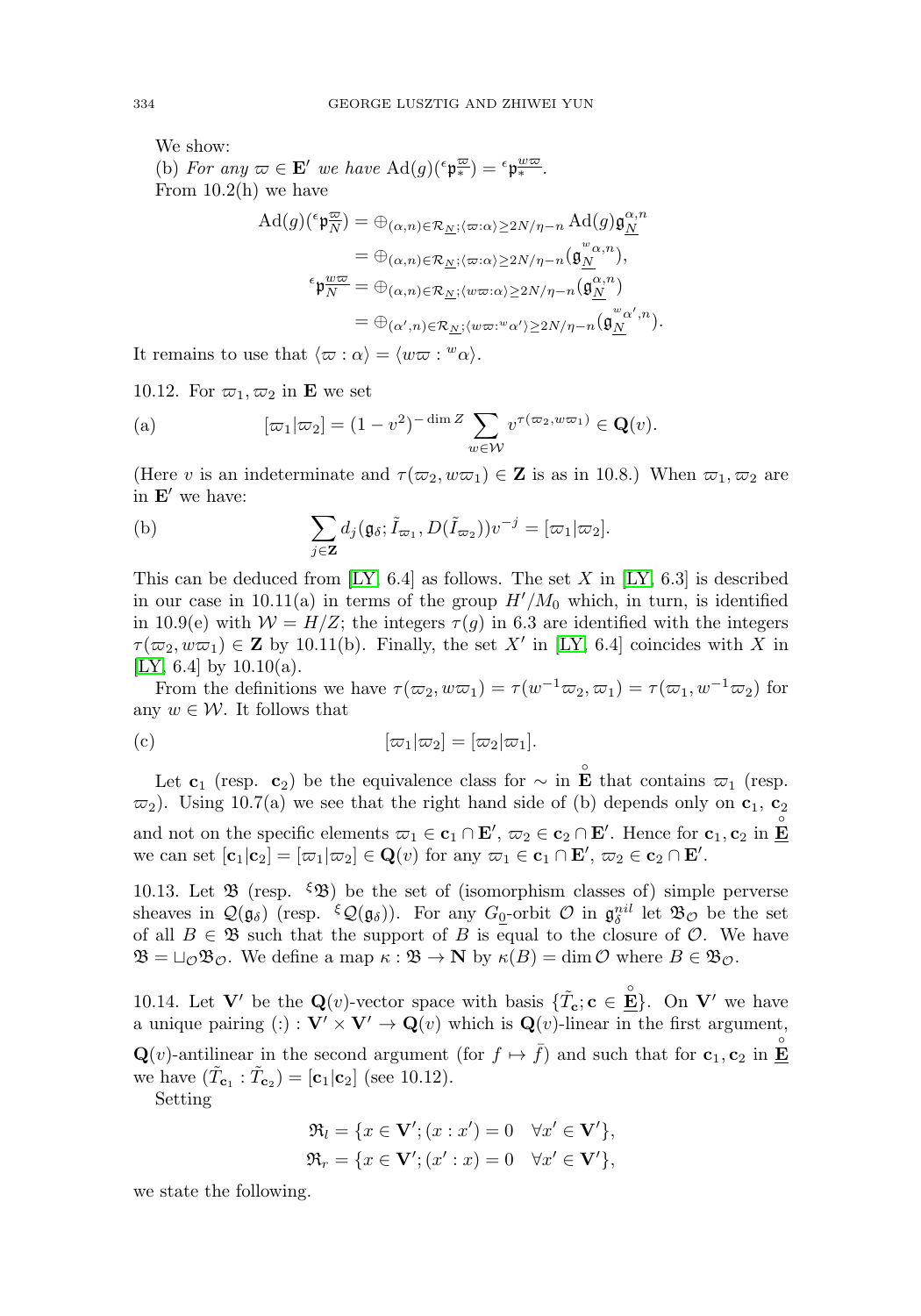We show: (b) For any  $\varpi \in \mathbf{E}'$  we have  $\text{Ad}(g)(\epsilon \mathfrak{p}_*^{\underline{\varpi}}) = \epsilon \mathfrak{p}_*^{\underline{w}\underline{\varpi}}$ . From  $10.2(h)$  we have

$$
Ad(g)(^{\epsilon} \mathfrak{p}_{N}^{\overline{\omega}}) = \oplus_{(\alpha,n) \in \mathcal{R}_{\underline{N}}; \langle \varpi : \alpha \rangle \ge 2N/\eta - n} Ad(g) \mathfrak{g}_{N}^{\alpha,n}
$$
  
\n
$$
= \oplus_{(\alpha,n) \in \mathcal{R}_{\underline{N}}; \langle \varpi : \alpha \rangle \ge 2N/\eta - n} (\mathfrak{g}_{\underline{N}}^{\omega, n}),
$$
  
\n
$$
^{\epsilon} \mathfrak{p}_{N}^{\underline{w}\overline{\omega}} = \oplus_{(\alpha,n) \in \mathcal{R}_{\underline{N}}; \langle w\varpi : \alpha \rangle \ge 2N/\eta - n} (\mathfrak{g}_{N}^{\alpha,n})
$$
  
\n
$$
= \oplus_{(\alpha',n) \in \mathcal{R}_{\underline{N}}; \langle w\varpi : w\alpha' \rangle \ge 2N/\eta - n} (\mathfrak{g}_{\underline{N}}^{\omega_{\alpha',n}}).
$$
  
\nse that  $\langle \varpi : \alpha \rangle = \langle w\varpi : w\alpha \rangle$ .  
\n
$$
\varpi_2
$$
 in **E** we set  
\n
$$
[\varpi_1 | \varpi_2] = (1 - v^2)^{-\dim Z} \sum_{\gamma} v^{\tau(\varpi_2, w\varpi_1)} \in \mathbf{Q}(v).
$$

It remains to use that  $\langle \varpi : \alpha \rangle = \langle w\varpi : w\alpha \rangle$ .

10.12. For  $\varpi_1, \varpi_2$  in **E** we set

(a) 
$$
[\varpi_1|\varpi_2] = (1 - v^2)^{-\dim Z} \sum_{w \in \mathcal{W}} v^{\tau(\varpi_2, w\varpi_1)} \in \mathbf{Q}(v).
$$
  
(Here  $v$  is an indeterminate and  $\tau(\varpi_2, w\varpi_1) \in \mathbf{Z}$  is as in 10.8.) V  
in **E'** we have:  
(b) 
$$
\sum d_i(\mathfrak{g}_{\delta}; \tilde{I}_{\varpi_1}, D(\tilde{I}_{\varpi_2}))v^{-j} = [\varpi_1|\varpi_2].
$$

(Here v is an indeterminate and  $\tau(\varpi_2, w\varpi_1) \in \mathbb{Z}$  is as in 10.8.) When  $\varpi_1, \varpi_2$  are in  $E'$  we have:

(b) 
$$
\sum_{j\in\mathbf{Z}}d_j(\mathfrak{g}_{\delta};\tilde{I}_{\varpi_1},D(\tilde{I}_{\varpi_2}))v^{-j}=[\varpi_1|\varpi_2].
$$

This can be deduced from  $[LY, 6.4]$  $[LY, 6.4]$  as follows. The set X in  $[LY, 6.3]$  is described in our case in  $10.11(a)$  in terms of the group  $H'/M_0$  which, in turn, is identified in 10.9(e) with  $W = H/Z$ ; the integers  $\tau(q)$  in 6.3 are identified with the integers  $\tau(\varpi_2, w\varpi_1) \in \mathbf{Z}$  by 10.11(b). Finally, the set X' in [\[LY,](#page-31-1) 6.4] coincides with X in [\[LY,](#page-31-1) 6.4] by  $10.10(a)$ .

From the definitions we have  $\tau(\varpi_2, w\varpi_1) = \tau(w^{-1}\varpi_2, \varpi_1) = \tau(\varpi_1, w^{-1}\varpi_2)$  for any  $w \in \mathcal{W}$ . It follows that

(c) 
$$
[\varpi_1|\varpi_2] = [\varpi_2|\varpi_1].
$$

Let **c**<sub>1</sub> (resp. **c**<sub>2</sub>) be the equivalence class for  $\sim$  in  $\mathbf{E}$  that contains  $\varpi_1$  (resp.  $\varpi_2$ ). Using 10.7(a) we see that the right hand side of (b) depends only on **c**<sub>1</sub>, **c**<sub>2</sub> and not on the specific elements  $\varpi_1 \in \mathbf{c}_1 \cap \mathbf{E}'$ ,  $\varpi_2 \in \mathbf{c}_2 \cap \mathbf{E}'$ . Hence for  $\mathbf{c}_1, \mathbf{c}_2$  in  $\mathbf{E}$ we can set  $[\mathbf{c}_1|\mathbf{c}_2] = [\varpi_1|\varpi_2] \in \mathbf{Q}(v)$  for any  $\varpi_1 \in \mathbf{c}_1 \cap \mathbf{E}'$ ,  $\varpi_2 \in \mathbf{c}_2 \cap \mathbf{E}'$ .

10.13. Let  $\mathfrak{B}$  (resp.  $\mathfrak{B}$ ) be the set of (isomorphism classes of) simple perverse sheaves in  $\mathcal{Q}(\mathfrak{g}_{\delta})$  (resp.  $\xi \mathcal{Q}(\mathfrak{g}_{\delta})$ ). For any  $G_0$ -orbit  $\mathcal{O}$  in  $\mathfrak{g}_{\delta}^{nil}$  let  $\mathfrak{B}_{\mathcal{O}}$  be the set of all  $B \in \mathfrak{B}$  such that the support of B is equal to the closure of  $\mathcal{O}$ . We have  $\mathfrak{B} = \sqcup_{\mathcal{O}} \mathfrak{B}_{\mathcal{O}}$ . We define a map  $\kappa : \mathfrak{B} \to \mathbb{N}$  by  $\kappa(B) = \dim \mathcal{O}$  where  $B \in \mathfrak{B}_{\mathcal{O}}$ .

10.14. Let **V**' be the  $\mathbf{Q}(v)$ -vector space with basis  $\{\tilde{T}_{\mathbf{c}}; \mathbf{c} \in \mathbf{E}\}$ . On **V**' we have a unique pairing (:) :  $\mathbf{V}' \times \mathbf{V}' \to \mathbf{Q}(v)$  which is  $\mathbf{Q}(v)$ -linear in the first argument, **Q**(*v*)-antilinear in the second argument (for  $f \mapsto \bar{f}$ ) and such that for **c**<sub>1</sub>, **c**<sub>2</sub> in  $\mathbf{E}$ we have  $(\tilde{T}_{c_1} : \tilde{T}_{c_2}) = [c_1|c_2]$  (see 10.12).

Setting

$$
\mathfrak{R}_l = \{x \in \mathbf{V}'; (x : x') = 0 \quad \forall x' \in \mathbf{V}'\},\newline \mathfrak{R}_r = \{x \in \mathbf{V}'; (x' : x) = 0 \quad \forall x' \in \mathbf{V}'\},\newline
$$

we state the following.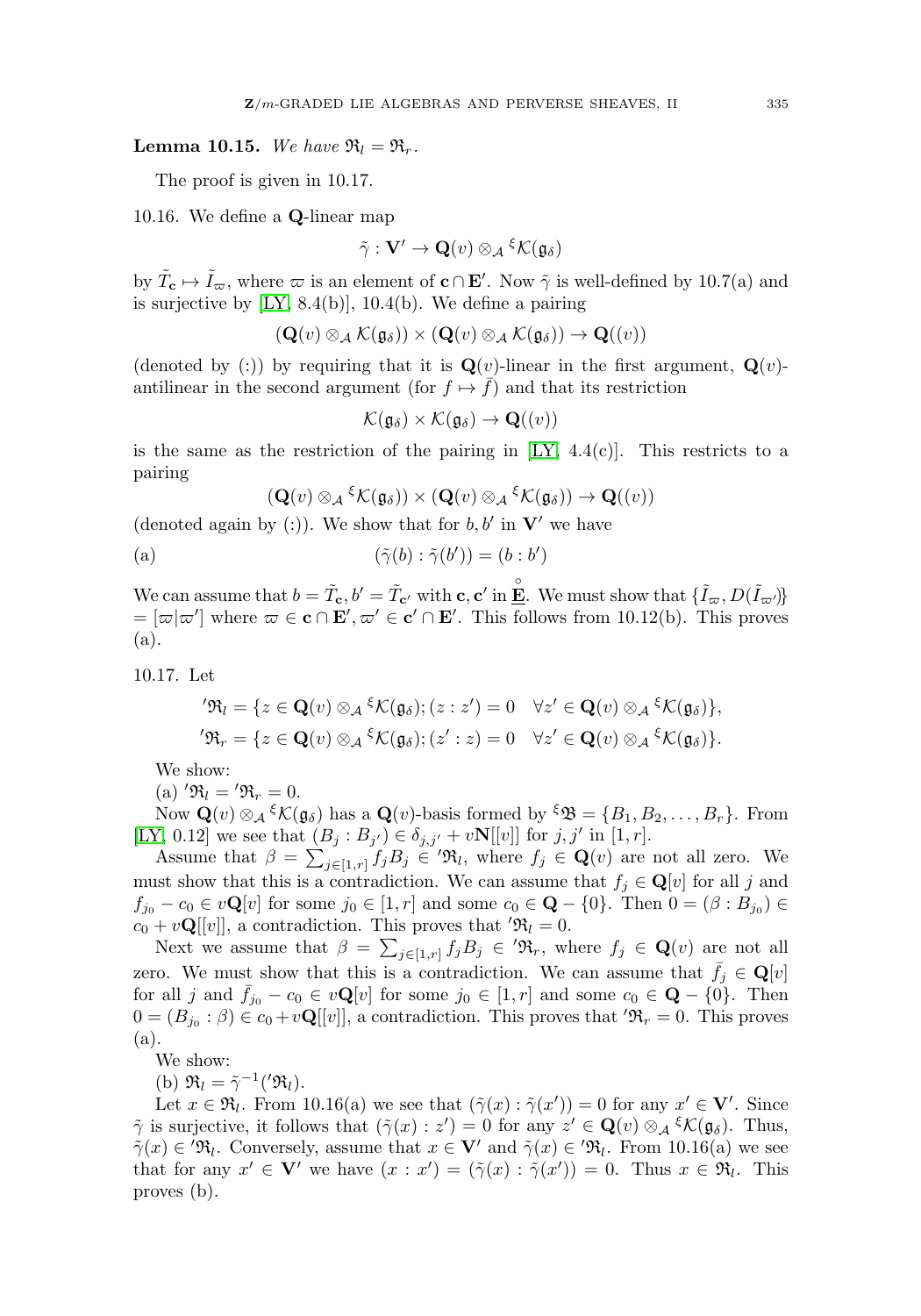# **Lemma 10.15.** We have  $\mathfrak{R}_l = \mathfrak{R}_r$ .

The proof is given in 10.17.

10.16. We define a **Q**-linear map

$$
\tilde{\gamma}: \mathbf{V}' \to \mathbf{Q}(v) \otimes_{\mathcal{A}} {}^{\xi} \mathcal{K}(\mathfrak{g}_{\delta})
$$

by  $\tilde{T}_{\mathbf{c}} \mapsto \tilde{I}_{\varpi}$ , where  $\varpi$  is an element of  $\mathbf{c} \cap \mathbf{E}'$ . Now  $\tilde{\gamma}$  is well-defined by 10.7(a) and is surjective by [\[LY,](#page-31-1) 8.4(b)], 10.4(b). We define a pairing

$$
(\mathbf{Q}(v) \otimes_{\mathcal{A}} \mathcal{K}(\mathfrak{g}_{\delta})) \times (\mathbf{Q}(v) \otimes_{\mathcal{A}} \mathcal{K}(\mathfrak{g}_{\delta})) \to \mathbf{Q}((v))
$$

(denoted by (:)) by requiring that it is  $\mathbf{Q}(v)$ -linear in the first argument,  $\mathbf{Q}(v)$ antilinear in the second argument (for  $f \mapsto \overline{f}$ ) and that its restriction

$$
\mathcal{K}(\mathfrak{g}_{\delta}) \times \mathcal{K}(\mathfrak{g}_{\delta}) \to \mathbf{Q}((v))
$$

is the same as the restriction of the pairing in  $[LY, 4.4(c)]$  $[LY, 4.4(c)]$ . This restricts to a pairing

$$
(\mathbf{Q}(v) \otimes_{\mathcal{A}} \xi \mathcal{K}(\mathfrak{g}_{\delta})) \times (\mathbf{Q}(v) \otimes_{\mathcal{A}} \xi \mathcal{K}(\mathfrak{g}_{\delta})) \to \mathbf{Q}((v))
$$

(denoted again by  $(.)$ ). We show that for  $b, b'$  in **V**' we have

(a) 
$$
(\tilde{\gamma}(b) : \tilde{\gamma}(b')) = (b : b')
$$

We can assume that  $b = \tilde{T}_{\mathbf{c}}, b' = \tilde{T}_{\mathbf{c}'}$  with  $\mathbf{c}, \mathbf{c}'$  in  $\mathbf{E}$ . We must show that  $\{\tilde{I}_{\varpi}, D(\tilde{I}_{\varpi'})\}$  $=[\varpi|\varpi']$  where  $\varpi \in \mathbf{c} \cap \mathbf{E}', \varpi' \in \mathbf{c}' \cap \mathbf{E}'.$  This follows from 10.12(b). This proves (a).

10.17. Let

$$
'\mathfrak{R}_l = \{ z \in \mathbf{Q}(v) \otimes_{\mathcal{A}} \xi \mathcal{K}(\mathfrak{g}_{\delta}); (z : z') = 0 \quad \forall z' \in \mathbf{Q}(v) \otimes_{\mathcal{A}} \xi \mathcal{K}(\mathfrak{g}_{\delta}) \},
$$
  

$$
'\mathfrak{R}_r = \{ z \in \mathbf{Q}(v) \otimes_{\mathcal{A}} \xi \mathcal{K}(\mathfrak{g}_{\delta}); (z' : z) = 0 \quad \forall z' \in \mathbf{Q}(v) \otimes_{\mathcal{A}} \xi \mathcal{K}(\mathfrak{g}_{\delta}) \}.
$$

We show:

(a)  $'\mathfrak{R}_l = \mathfrak{R}_r = 0.$ 

Now  $\mathbf{Q}(v) \otimes_{\mathcal{A}} {^{\xi}}\mathcal{K}(\mathfrak{g}_{\delta})$  has a  $\mathbf{Q}(v)$ -basis formed by  ${^{\xi}}\mathfrak{B} = \{B_1, B_2, \ldots, B_r\}$ . From [\[LY,](#page-31-1) 0.12] we see that  $(B_j : B_{j'}) \in \delta_{j,j'} + vN[[v]]$  for  $j, j'$  in [1, r]. We show:<br>
(a) ' $\mathfrak{R}_l = \{x \in \mathfrak{S}_l\}$ <br>
(a) ' $\mathfrak{R}_l = \{ \mathfrak{R}_r = 0.$ <br>
Now  $\mathbf{Q}(v) \otimes_{\mathcal{A}} \{K(\mathfrak{g}_{\delta})\}$ <br>  $K$ , 0.12] we see that  $(i)$ <br>
Assume that  $\beta = \sum_{l=1}^{n}$ 

 $j \in [1,r]$   $f_j B_j \in \mathfrak{R}_l$ , where  $f_j \in \mathbf{Q}(v)$  are not all zero. We must show that this is a contradiction. We can assume that  $f_i \in \mathbf{Q}[v]$  for all j and  $f_{j_0} - c_0 \in v\mathbf{Q}[v]$  for some  $j_0 \in [1, r]$  and some  $c_0 \in \mathbf{Q} - \{0\}$ . Then  $0 = (\beta : B_{j_0}) \in$  $c_0 + v \mathbf{Q}[[v]],$  a contradiction. This proves that  $\mathfrak{R}_l = 0$ .  $\ell$ , 0.12] we see that  $(B_j : B_{j'})$  (Assume that  $\beta = \sum_{j \in [1,r]} f_j E$ <br>ist show that this is a contradio<br> $-c_0 \in v\mathbf{Q}[v]$  for some  $j_0 \in [1, + v\mathbf{Q}[[v]],$  a contradiction. Thin Next we assume that  $\beta = \sum$ 

 $j \in [1,r]$   $f_j B_j \in ' \mathfrak{R}_r$ , where  $f_j \in \mathbf{Q}(v)$  are not all zero. We must show that this is a contradiction. We can assume that  $\bar{f}_j \in \mathbf{Q}[v]$ for all j and  $\bar{f}_{j_0} - c_0 \in v\mathbf{Q}[v]$  for some  $j_0 \in [1, r]$  and some  $c_0 \in \mathbf{Q} - \{0\}$ . Then  $0 = (B_{j_0} : \beta) \in c_0 + v\mathbf{Q}[[v]]$ , a contradiction. This proves that  $\mathfrak{R}_r = 0$ . This proves (a).

We show:

(b)  $\mathfrak{R}_l = \tilde{\gamma}^{-1}(\mathfrak{R}_l).$ 

Let  $x \in \mathfrak{R}_l$ . From 10.16(a) we see that  $(\tilde{\gamma}(x) : \tilde{\gamma}(x')) = 0$  for any  $x' \in V'$ . Since  $\tilde{\gamma}$  is surjective, it follows that  $(\tilde{\gamma}(x): z') = 0$  for any  $z' \in \mathbf{Q}(v) \otimes_{\mathcal{A}} {^{\xi} \mathcal{K}(\mathfrak{g}_{\delta})}$ . Thus,  $\tilde{\gamma}(x) \in \mathcal{R}_l$ . Conversely, assume that  $x \in \mathbf{V}'$  and  $\tilde{\gamma}(x) \in \mathcal{R}_l$ . From 10.16(a) we see that for any  $x' \in V'$  we have  $(x : x') = (\tilde{\gamma}(x) : \tilde{\gamma}(x')) = 0$ . Thus  $x \in \mathfrak{R}_l$ . This proves (b).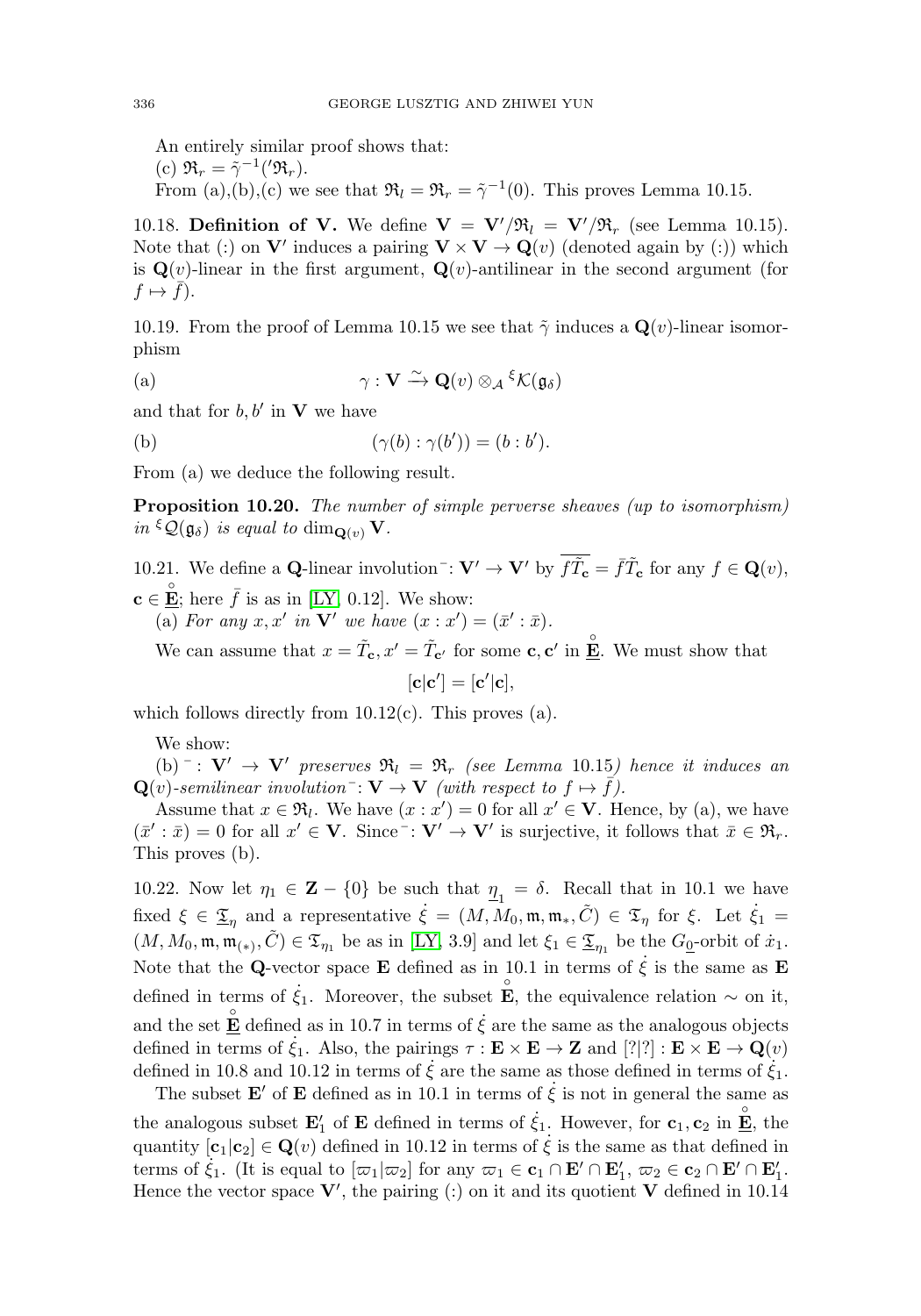An entirely similar proof shows that: (c)  $\mathfrak{R}_r = \tilde{\gamma}^{-1}(\mathfrak{R}_r).$ From (a),(b),(c) we see that  $\mathfrak{R}_l = \mathfrak{R}_r = \tilde{\gamma}^{-1}(0)$ . This proves Lemma 10.15.

10.18. **Definition of V.** We define  $V = V'/\mathfrak{R}_l = V'/\mathfrak{R}_r$  (see Lemma 10.15). Note that (:) on **V**' induces a pairing  $\mathbf{V} \times \mathbf{V} \to \mathbf{Q}(v)$  (denoted again by (:)) which is  $\mathbf{Q}(v)$ -linear in the first argument,  $\mathbf{Q}(v)$ -antilinear in the second argument (for  $f \mapsto f$ ).

10.19. From the proof of Lemma 10.15 we see that  $\tilde{\gamma}$  induces a  $\mathbf{Q}(v)$ -linear isomorphism

(a) 
$$
\gamma : \mathbf{V} \xrightarrow{\sim} \mathbf{Q}(v) \otimes_{\mathcal{A}} \xi \mathcal{K}(\mathfrak{g}_{\delta})
$$

and that for  $b, b'$  in **V** we have

(b) 
$$
(\gamma(b) : \gamma(b')) = (b : b').
$$

From (a) we deduce the following result.

**Proposition 10.20.** The number of simple perverse sheaves (up to isomorphism) in  $\mathcal{L}(\mathfrak{g}_{\delta})$  is equal to  $\dim_{\mathbf{Q}(v)} \mathbf{V}$ .

10.21. We define a **Q**-linear involution<sup>-</sup>:  $\mathbf{V}' \to \mathbf{V}'$  by  $\overline{f\tilde{T}_{c}} = \overline{f}\tilde{T}_{c}$  for any  $f \in \mathbf{Q}(v)$ ,  $\mathbf{c} \in \mathbf{\mathring{E}}$ ; here  $\bar{f}$  is as in [\[LY,](#page-31-1) 0.12]. We show: (a) For any  $x, x'$  in **V**' we have  $(x : x') = (\bar{x}' : \bar{x})$ .

We can assume that  $x = \tilde{T}_{c}$ ,  $x' = \tilde{T}_{c'}$  for some **c**, **c**' in  $\mathbf{E}$ . We must show that

$$
[\mathbf{c}|\mathbf{c}'] = [\mathbf{c}'|\mathbf{c}],
$$

which follows directly from  $10.12(c)$ . This proves (a).

We show:

(b)  $\bar{C}$  :  $V' \rightarrow V'$  preserves  $\Re_l = \Re_r$  (see Lemma 10.15) hence it induces an  $\mathbf{Q}(v)$ -semilinear involution<sup>-</sup>:  $\mathbf{V} \to \mathbf{V}$  (with respect to  $f \mapsto \bar{f}$ ).

Assume that  $x \in \mathfrak{R}_l$ . We have  $(x : x') = 0$  for all  $x' \in V$ . Hence, by (a), we have  $(\bar{x}' : \bar{x}) = 0$  for all  $x' \in \mathbf{V}$ . Since  $\bar{x} : \mathbf{V}' \to \mathbf{V}'$  is surjective, it follows that  $\bar{x} \in \mathfrak{R}_r$ . This proves (b).

10.22. Now let  $\eta_1 \in \mathbf{Z} - \{0\}$  be such that  $\eta_1 = \delta$ . Recall that in 10.1 we have fixed  $\xi \in \underline{\mathfrak{T}}_{\eta}$  and a representative  $\dot{\xi} = (M, M_0, \mathfrak{m}, \mathfrak{m}_*, \tilde{C}) \in \mathfrak{T}_{\eta}$  for  $\xi$ . Let  $\dot{\xi}_1 =$  $(M, M_0, \mathfrak{m}, \mathfrak{m}_{(*)}, \tilde{C}) \in \mathfrak{T}_{\eta_1}$  be as in [\[LY,](#page-31-1) 3.9] and let  $\xi_1 \in \underline{\mathfrak{T}}_{\eta_1}$  be the  $G_0$ -orbit of  $\dot{x}_1$ . Note that the **Q**-vector space **E** defined as in 10.1 in terms of  $\dot{\xi}$  is the same as **E** defined in terms of  $\dot{\xi}_1$ . Moreover, the subset  $\mathbf{\hat{E}}$ , the equivalence relation  $\sim$  on it, and the set  $\mathbf{E}$  defined as in 10.7 in terms of  $\dot{\xi}$  are the same as the analogous objects defined in terms of  $\dot{\xi}_1$ . Also, the pairings  $\tau : \mathbf{E} \times \mathbf{E} \to \mathbf{Z}$  and  $[?]$  :  $\mathbf{E} \times \mathbf{E} \to \mathbf{Q}(v)$ defined in 10.8 and 10.12 in terms of  $\dot{\xi}$  are the same as those defined in terms of  $\dot{\xi}_1$ .

The subset **E**' of **E** defined as in 10.1 in terms of  $\dot{\xi}$  is not in general the same as the analogous subset  $\mathbf{E}'_1$  of  $\mathbf{E}$  defined in terms of  $\dot{\xi}_1$ . However, for  $\mathbf{c}_1, \mathbf{c}_2$  in  $\mathbf{E}'$ , the quantity  $[\mathbf{c}_1|\mathbf{c}_2] \in \mathbf{Q}(v)$  defined in 10.12 in terms of  $\dot{\xi}$  is the same as that defined in terms of  $\dot{\xi}_1$ . (It is equal to  $[\varpi_1|\varpi_2]$  for any  $\varpi_1 \in \mathbf{c}_1 \cap \mathbf{E}' \cap \mathbf{E}'_1$ ,  $\varpi_2 \in \mathbf{c}_2 \cap \mathbf{E}' \cap \mathbf{E}'_1$ . Hence the vector space  $\mathbf{V}'$ , the pairing (:) on it and its quotient  $\mathbf{V}$  defined in 10.14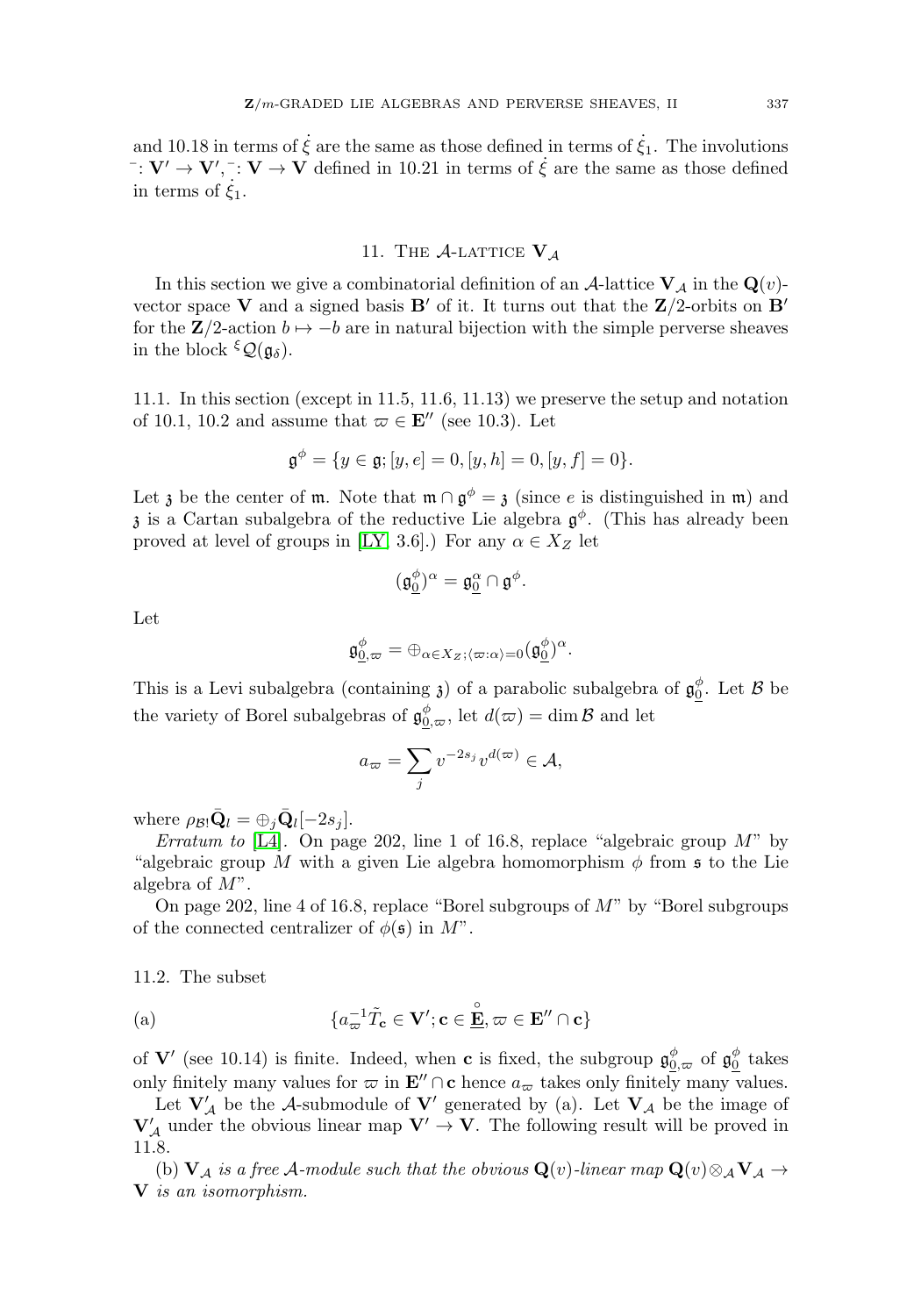and 10.18 in terms of  $\dot{\xi}$  are the same as those defined in terms of  $\dot{\xi}_1$ . The involutions  $\vec{v}$  :  $\vec{V}' \rightarrow \vec{V}'$ ,  $\vec{v}$ :  $\vec{V} \rightarrow \vec{V}$  defined in 10.21 in terms of  $\dot{\xi}$  are the same as those defined in terms of  $\dot{\xi}_1$ .

# 11. The  $A$ -Lattice  $V_A$

<span id="page-15-0"></span>In this section we give a combinatorial definition of an  $\mathcal{A}$ -lattice  $\mathbf{V}_{\mathcal{A}}$  in the  $\mathbf{Q}(v)$ vector space **V** and a signed basis **B**' of it. It turns out that the  $\mathbb{Z}/2$ -orbits on **B**' for the  $\mathbb{Z}/2$ -action  $b \mapsto -b$  are in natural bijection with the simple perverse sheaves in the block  $\mathfrak{c}(\mathfrak{g}_{\delta}).$ 

11.1. In this section (except in 11.5, 11.6, 11.13) we preserve the setup and notation of 10.1, 10.2 and assume that  $\varpi \in \mathbf{E}''$  (see 10.3). Let

$$
\mathfrak{g}^{\phi} = \{ y \in \mathfrak{g}; [y, e] = 0, [y, h] = 0, [y, f] = 0 \}.
$$

Let z be the center of m. Note that  $\mathfrak{m} \cap \mathfrak{g}^{\phi} = \mathfrak{z}$  (since e is distinguished in m) and  $\mathfrak z$  is a Cartan subalgebra of the reductive Lie algebra  $\mathfrak g^{\phi}$ . (This has already been proved at level of groups in [\[LY,](#page-31-1) 3.6].) For any  $\alpha \in X_Z$  let

$$
(\mathfrak{g}_\underline{0}^\phi)^\alpha=\mathfrak{g}_\underline{0}^\alpha\cap\mathfrak{g}^\phi.
$$

Let

$$
\mathfrak{g}_{\underline{0},\varpi}^{\phi}=\oplus_{\alpha\in X_Z;\langle\varpi:\alpha\rangle=0}(\mathfrak{g}_{\underline{0}}^{\phi})^{\alpha}.
$$

This is a Levi subalgebra (containing  $\mathfrak{z}$ ) of a parabolic subalgebra of  $\mathfrak{g}_0^{\phi}$ . Let  $\mathcal B$  be the variety of Borel subalgebras of  $\mathfrak{g}^{\phi}_{0,\varpi}$ , let  $d(\varpi) = \dim \mathcal{B}$  and let  $\begin{align} \frac{\partial}{\partial \rho} &= \bigoplus_{\alpha} \ \text{Intaining} \\\\ \text{or} \quad \text{or} \quad \text{of} \quad \mathfrak{g}_{\underline{0}, \alpha}^{\phi} \\\\ a_{\varpi} &= \sum_{\alpha} \end{align}$ 

$$
a_{\varpi} = \sum_{j} v^{-2s_j} v^{d(\varpi)} \in \mathcal{A},
$$

where  $\rho_{\mathcal{B}!} \mathbf{Q}_l = \bigoplus_i \mathbf{Q}_l[-2s_i]$ .

Erratum to [\[L4\]](#page-31-2). On page 202, line 1 of 16.8, replace "algebraic group  $M$ " by "algebraic group M with a given Lie algebra homomorphism  $\phi$  from s to the Lie algebra of  $M$ ".

On page 202, line 4 of 16.8, replace "Borel subgroups of  $M$ " by "Borel subgroups of the connected centralizer of  $\phi(\mathfrak{s})$  in  $M^"$ .

## 11.2. The subset

(a) 
$$
\{a_{\varpi}^{-1}\tilde{T}_{\mathbf{c}} \in \mathbf{V}'; \mathbf{c} \in \mathbf{E}, \varpi \in \mathbf{E}'' \cap \mathbf{c}\}
$$

of **V**' (see 10.14) is finite. Indeed, when **c** is fixed, the subgroup  $\mathfrak{g}_{0,\varpi}^{\phi}$  of  $\mathfrak{g}_{0}^{\phi}$  takes only finitely many values for  $\varpi$  in  $\mathbf{E}'' \cap \mathbf{c}$  hence  $a_{\varpi}$  takes only finitely many values.

Let  $V'_{\mathcal{A}}$  be the A-submodule of  $V'$  generated by (a). Let  $V_{\mathcal{A}}$  be the image of  $\mathbf{V}'_{\mathcal{A}}$  under the obvious linear map  $\mathbf{V}' \to \mathbf{V}$ . The following result will be proved in 11.8.

(b)  $V_A$  is a free A-module such that the obvious  $Q(v)$ -linear map  $Q(v) \otimes_A V_A \rightarrow$ **V** is an isomorphism.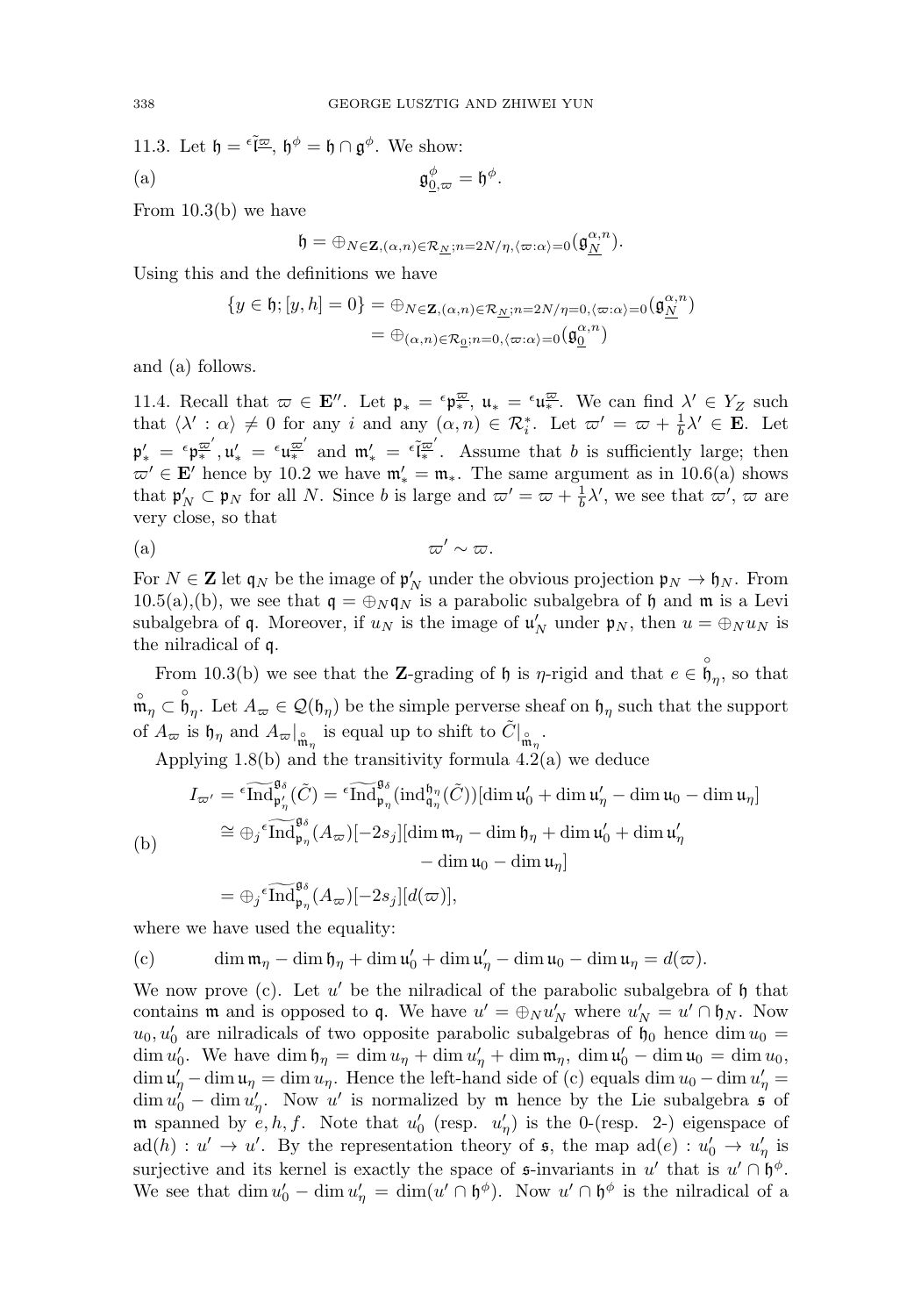11.3. Let  $\mathfrak{h} = \tilde{\epsilon} \overline{\tilde{\epsilon} \mathfrak{m}}, \mathfrak{h}^{\phi} = \mathfrak{h} \cap \mathfrak{g}^{\phi}$ . We show: (a)  $\mathfrak{g}_0^{\phi}$  $\mathfrak{g}_{0,\varpi}^{\phi} = \mathfrak{h}^{\phi}.$ 

From 10.3(b) we have

$$
\mathfrak{h}=\oplus_{N\in{\bf Z},(\alpha,n)\in\mathcal{R}_{\underline{N}};n=2N/\eta,\langle\varpi:\alpha\rangle=0}\big(\mathfrak{g}_{\underline{N}}^{\alpha,n}\big).
$$

Using this and the definitions we have

$$
\{y \in \mathfrak{h}; [y,h] = 0\} = \oplus_{N \in \mathbf{Z}, (\alpha,n) \in \mathcal{R}_{\underline{N}}; n = 2N/\eta = 0, \langle \varpi : \alpha \rangle = 0} (\mathfrak{g}_{\underline{N}}^{\alpha,n})
$$

$$
= \oplus_{(\alpha,n) \in \mathcal{R}_{\underline{0}}; n = 0, \langle \varpi : \alpha \rangle = 0} (\mathfrak{g}_{\underline{0}}^{\alpha,n})
$$

and (a) follows.

11.4. Recall that  $\varpi \in \mathbf{E}''$ . Let  $\mathfrak{p}_* = \varepsilon \mathfrak{p}_*^{\overline{\omega}}$ ,  $\mathfrak{u}_* = \varepsilon \mathfrak{u}_*^{\overline{\omega}}$ . We can find  $\lambda' \in Y_Z$  such that  $\langle \lambda' : \alpha \rangle \neq 0$  for any i and any  $(\alpha, n) \in \mathcal{R}_i^*$ . Let  $\omega' = \omega + \frac{1}{b} \lambda' \in \mathbf{E}$ . Let  $\mathfrak{p}'_* = \epsilon \mathfrak{p}^{\overline{\omega}'}_*$ ,  $\mathfrak{u}'_* = \epsilon \mathfrak{u}^{\overline{\omega}'}_*$  and  $\mathfrak{m}'_* = \epsilon \tilde{\mathfrak{l}^{\omega}'}_*$ . Assume that b is sufficiently large; then  $\varpi' \in \mathbf{E}'$  hence by 10.2 we have  $\mathfrak{m}'_* = \mathfrak{m}_*$ . The same argument as in 10.6(a) shows that  $\mathfrak{p}'_N \subset \mathfrak{p}_N$  for all N. Since b is large and  $\omega' = \omega + \frac{1}{b} \lambda'$ , we see that  $\omega'$ ,  $\omega$  are very close, so that

(a) 
$$
\varpi' \sim \varpi
$$
.

For  $N \in \mathbb{Z}$  let  $\mathfrak{q}_N$  be the image of  $\mathfrak{p}'_N$  under the obvious projection  $\mathfrak{p}_N \to \mathfrak{h}_N$ . From 10.5(a),(b), we see that  $q = \bigoplus_{N} q_N$  is a parabolic subalgebra of h and m is a Levi subalgebra of **q**. Moreover, if  $u_N$  is the image of  $\mathfrak{u}'_N$  under  $\mathfrak{p}_N$ , then  $u = \bigoplus_N u_N$  is the nilradical of q.

From 10.3(b) we see that the **Z**-grading of h is  $\eta$ -rigid and that  $e \in \overset{\circ}{\mathfrak{h}}_{\eta}$ , so that  $\mathfrak{m}_{\eta} \subset \mathfrak{h}_{\eta}$ . Let  $A_{\varpi} \in \mathcal{Q}(\mathfrak{h}_{\eta})$  be the simple perverse sheaf on  $\mathfrak{h}_{\eta}$  such that the support of  $A_{\varpi}$  is  $\mathfrak{h}_{\eta}$  and  $A_{\varpi}|_{\mathfrak{m}_{\eta}}^{\circ}$  is equal up to shift to  $\tilde{C}|_{\mathfrak{m}_{\eta}}^{\circ}$ .  $A_{\varpi} \in \mathcal{Q}(\mathfrak{h}_{\eta})$  be t<br>
d  $A_{\varpi}|_{\hat{\mathfrak{m}}_{\eta}}$  is equa<br>
8(b) and the tra<br>  $\widetilde{\text{Ind}}_{\mathfrak{p}'}^{\mathfrak{g}_{\delta}}(\tilde{C}) = \widetilde{\text{Ind}}$ 

Applying 1.8(b) and the transitivity formula 4.2(a) we deduce

of 
$$
A_{\varpi}
$$
 is  $\mathfrak{h}_{\eta}$  and  $A_{\varpi}|_{\mathfrak{m}_{\eta}}$  is equal up to shift to  $C|_{\mathfrak{m}_{\eta}}$ .  
\nApplying 1.8(b) and the transitivity formula 4.2(a) we deduce  
\n
$$
I_{\varpi'} = {}^{\epsilon} \widehat{\text{Ind}}_{\mathfrak{p}_{\eta}}^{\mathfrak{g}_{\delta}}(\tilde{C}) = {}^{\epsilon} \widehat{\text{Ind}}_{\mathfrak{p}_{\eta}}^{\mathfrak{g}_{\delta}}(\text{ind}_{\mathfrak{q}_{\eta}}^{\mathfrak{h}_{\eta}}(\tilde{C}))[\dim \mathfrak{u}_{0}' + \dim \mathfrak{u}_{\eta}' - \dim \mathfrak{u}_{0} - \dim \mathfrak{u}_{\eta}]
$$
\n(b) 
$$
\cong \bigoplus_{j} {}^{\epsilon} \widehat{\text{Ind}}_{\mathfrak{p}_{\eta}}^{\mathfrak{g}_{\delta}}(A_{\varpi})[-2s_{j}][\dim \mathfrak{m}_{\eta} - \dim \mathfrak{h}_{\eta} + \dim \mathfrak{u}_{0}' + \dim \mathfrak{u}_{\eta}'
$$
\n
$$
-\dim \mathfrak{u}_{0} - \dim \mathfrak{u}_{\eta}]
$$
\n
$$
= \bigoplus_{j} {}^{\epsilon} \widehat{\text{Ind}}_{\mathfrak{p}_{\eta}}^{\mathfrak{g}_{\delta}}(A_{\varpi})[-2s_{j}][d(\varpi)],
$$

$$
=\oplus_j{}^{\epsilon}\widetilde{\operatorname{Ind}}_{\mathfrak{p}_{\eta}}^{\mathfrak{g}_{\delta}}(A_{\varpi})[-2s_j][d(\varpi)],
$$

where we have used the equality:

(c) dim  $\mathfrak{m}_{\eta} - \dim \mathfrak{h}_{\eta} + \dim \mathfrak{u}'_0 + \dim \mathfrak{u}'_{\eta} - \dim \mathfrak{u}_0 - \dim \mathfrak{u}_{\eta} = d(\varpi)$ .

We now prove (c). Let u' be the nilradical of the parabolic subalgebra of  $\mathfrak h$  that contains **m** and is opposed to **q**. We have  $u' = \bigoplus_{N} u'_{N}$  where  $u'_{N} = u' \cap \mathfrak{h}_{N}$ . Now  $u_0, u'_0$  are nilradicals of two opposite parabolic subalgebras of  $\mathfrak{h}_0$  hence  $\dim u_0 =$ dim  $u'_0$ . We have dim  $\mathfrak{h}_{\eta} = \dim u_{\eta} + \dim u'_{\eta} + \dim \mathfrak{m}_{\eta}$ , dim  $\mathfrak{u}'_0 - \dim \mathfrak{u}_0 = \dim u_0$ ,  $\dim u'_{\eta} - \dim u_{\eta} = \dim u_{\eta}$ . Hence the left-hand side of (c) equals  $\dim u_0 - \dim u'_{\eta} =$  $\dim u'_0 - \dim u'_n$ . Now u' is normalized by m hence by the Lie subalgebra  $\mathfrak s$  of **m** spanned by  $e, h, f$ . Note that  $u'_0$  (resp.  $u'_\eta$ ) is the 0-(resp. 2-) eigenspace of  $ad(h) : u' \to u'$ . By the representation theory of  $\mathfrak{s}$ , the map  $ad(e) : u'_{0} \to u'_{\eta}$  is surjective and its kernel is exactly the space of  $\mathfrak s$ -invariants in u' that is  $u' \cap \mathfrak h^{\phi}$ . We see that  $\dim u_0' - \dim u_\eta' = \dim(u' \cap \mathfrak{h}^\phi)$ . Now  $u' \cap \mathfrak{h}^\phi$  is the nilradical of a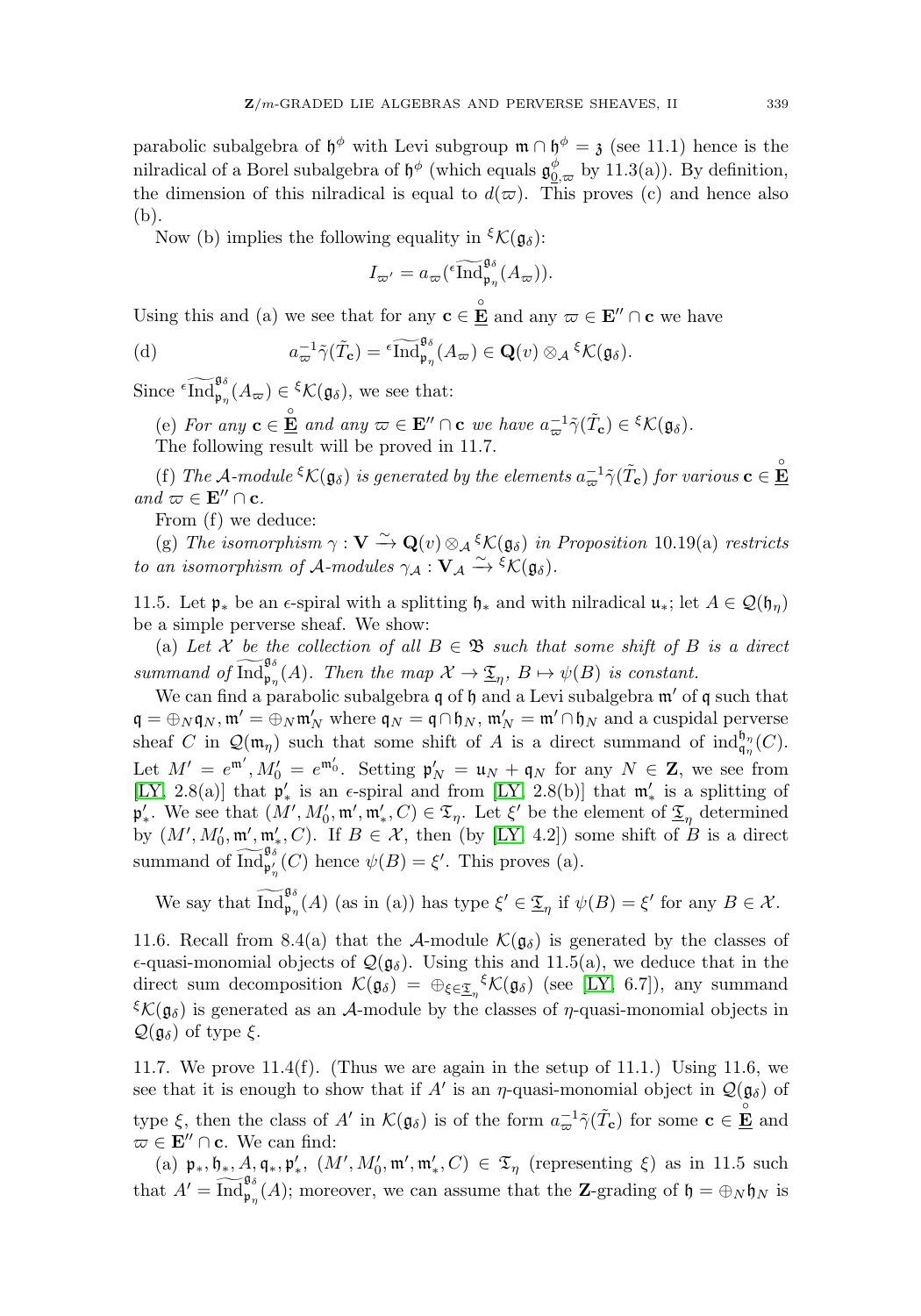parabolic subalgebra of  $\mathfrak{h}^{\phi}$  with Levi subgroup  $\mathfrak{m} \cap \mathfrak{h}^{\phi} = \mathfrak{z}$  (see 11.1) hence is the nilradical of a Borel subalgebra of  $\mathfrak{h}^{\phi}$  (which equals  $\mathfrak{g}^{\phi}_{0,\varpi}$  by 11.3(a)). By definition, the dimension of this nilradical is equal to  $d(\varpi)$ . This proves (c) and hence also (b).  $\frac{\text{tch}}{\text{tch}}$ <br> $\frac{\text{in}}{\text{Ind}}$ 

Now (b) implies the following equality in  ${}^{\xi} \mathcal{K}(\mathfrak{g}_{\delta})$ :

$$
I_{\varpi'} = a_{\varpi} (\iota \operatorname{Ind}_{\mathfrak{p}_\eta}^{\mathfrak{g}_\delta}(A_{\varpi})).
$$
  
at for any  $\mathbf{c} \in \mathbf{E}$  and any  
 $= \iota \operatorname{Ind}_{\mathfrak{p}_\eta}^{\mathfrak{g}_\delta}(A_{\varpi}) \in \mathbf{Q}(v)$ 

Using this and (a) we see that for any  $\mathbf{c} \in \mathbf{E}^{\circ}$  and any  $\varpi \in \mathbf{E}^{\prime\prime} \cap \mathbf{c}$  we have

Using this and (a) we see that for any 
$$
\mathbf{c} \in \mathbf{E}
$$
 and any  $\varpi \in \mathbf{E}''$  (d)  
\n
$$
a_{\varpi}^{-1} \tilde{\gamma}(\tilde{T}_{\mathbf{c}}) = \operatorname{End}_{\mathfrak{p}_{\eta}}^{\mathfrak{g}_{\delta}}(A_{\varpi}) \in \mathbf{Q}(v) \otimes_{\mathcal{A}} \mathcal{E} \mathcal{K}(\mathfrak{g}_{\delta}).
$$
\nSince  $\operatorname{Ind}_{\mathfrak{p}_{\eta}}^{\mathfrak{g}_{\delta}}(A_{\varpi}) \in \mathcal{K}(\mathfrak{g}_{\delta})$ , we see that:

(e) For any  $\mathbf{c} \in \mathbf{E}$  and any  $\varpi \in \mathbf{E}'' \cap \mathbf{c}$  we have  $a_{\varpi}^{-1} \tilde{\gamma}(\tilde{T}_{\mathbf{c}}) \in {^{\xi\mathcal{K}}}(\mathfrak{g}_{\delta}).$ The following result will be proved in 11.7.

(f) The A-module  ${}^{\xi}K(\mathfrak{g}_{\delta})$  is generated by the elements  $a_{\varpi}^{-1} \tilde{\gamma}(\tilde{T}_{c})$  for various  $\mathbf{c} \in \mathbf{\underline{\mathring{E}}}$ and  $\varpi \in \mathbf{E}'' \cap \mathbf{c}$ .

From (f) we deduce:

(g) The isomorphism  $\gamma : \mathbf{V} \xrightarrow{\sim} \mathbf{Q}(v) \otimes_{\mathcal{A}} {\xi} \mathcal{K}(\mathfrak{g}_{\delta})$  in Proposition 10.19(a) restricts to an isomorphism of A-modules  $\gamma_{\mathcal{A}} : \mathbf{V}_{\mathcal{A}} \xrightarrow{\sim} {}^{\xi} \mathcal{K}(\mathfrak{g}_{\delta}).$ 

11.5. Let  $\mathfrak{p}_*$  be an  $\epsilon$ -spiral with a splitting  $\mathfrak{h}_*$  and with nilradical  $\mathfrak{u}_*$ ; let  $A \in \mathcal{Q}(\mathfrak{h}_n)$ be a simple perverse sheaf. We show:

(a) Let X be the collection of all  $B \in \mathfrak{B}$  such that some shift of B is a direct to an isomorphism of *A*-modules  $γ_A : ∇A → γ(µ_\delta)$ .<br>
11.5. Let  $\mathfrak{p}_*$  be an  $\epsilon$ -spiral with a splitting  $\mathfrak{h}_*$  and with nilradical  $\mathfrak{u}_*$ ; let<br>
be a simple perverse sheaf. We show:<br>
(a) Let *X* be the collect

We can find a parabolic subalgebra  $\mathfrak q$  of  $\mathfrak h$  and a Levi subalgebra  $\mathfrak m'$  of  $\mathfrak q$  such that  $\mathfrak{q} = \bigoplus_N \mathfrak{q}_N, \mathfrak{m}' = \bigoplus_N \mathfrak{m}'_N$  where  $\mathfrak{q}_N = \mathfrak{q} \cap \mathfrak{h}_N, \mathfrak{m}'_N = \mathfrak{m}' \cap \mathfrak{h}_N$  and a cuspidal perverse sheaf C in  $\mathcal{Q}(\mathfrak{m}_{\eta})$  such that some shift of A is a direct summand of  $\text{ind}_{\mathfrak{q}_{\eta}}^{\mathfrak{h}_{\eta}}(C)$ . Let  $M' = e^{\mathfrak{m}'}, M'_0 = e^{\mathfrak{m}'_0}$ . Setting  $\mathfrak{p}'_N = \mathfrak{u}_N + \mathfrak{q}_N$  for any  $N \in \mathbb{Z}$ , we see from [\[LY,](#page-31-1) 2.8(a)] that  $\mathfrak{p}'_*$  is an  $\epsilon$ -spiral and from [LY, 2.8(b)] that  $\mathfrak{m}'_*$  is a splitting of  $\mathfrak{p}'_*.$  We see that  $(M', M'_0, \mathfrak{m}', \mathfrak{m}'_*, C) \in \mathfrak{T}_\eta$ . Let  $\xi'$  be the element of  $\underline{\mathfrak{T}}_n$  determined by  $(M', M'_0, \mathfrak{m}', \mathfrak{m}'_*, C)$ . If  $B \in \mathcal{X}$ , then (by [\[LY,](#page-31-1) 4.2]) some shift of B is a direct Let  $M' = e^{\mathfrak{m}'}, M_0$ <br>[LY, 2.8(a)] that  $\mathfrak{p}'_*$ . We see that (*i*<br>by  $(M', M'_0, \mathfrak{m}', \mathfrak{m}'_{\mathfrak{p}'})$ <br>summand of  $\text{Ind}_{\mathfrak{p}'}^{\mathfrak{g}_{\delta}}$  $\mathfrak{p}_{\eta}^{\circ}(C)$  hence  $\psi(B) = \xi'$ . This proves (a). We see that  $(M', M'_0, m', m'_*)$ <br>mmand of  $\overline{Ind}_{\mathfrak{p}'_{\gamma}}^{\mathfrak{g}_{\delta}}$ <br>We say that  $\overline{Ind}$ 

 $\mathfrak{g}_{\mathfrak{p}_{\eta}}(\Lambda)$  (as in (a)) has type  $\xi' \in \underline{\mathfrak{T}}_{\eta}$  if  $\psi(B) = \xi'$  for any  $B \in \mathcal{X}$ .

11.6. Recall from 8.4(a) that the A-module  $\mathcal{K}(\mathfrak{g}_{\delta})$  is generated by the classes of  $\epsilon$ -quasi-monomial objects of  $\mathcal{Q}(\mathfrak{g}_{\delta})$ . Using this and 11.5(a), we deduce that in the direct sum decomposition  $\mathcal{K}(\mathfrak{g}_{\delta}) = \bigoplus_{\xi \in \underline{\mathfrak{T}}_{\eta}} \mathcal{K}(\mathfrak{g}_{\delta})$  (see [\[LY,](#page-31-1) 6.7]), any summand  $\mathcal{K}(\mathfrak{g}_{\delta})$  is generated as an A-module by the classes of  $\eta$ -quasi-monomial objects in  $\mathcal{Q}(\mathfrak{g}_{\delta})$  of type  $\xi$ .

11.7. We prove 11.4(f). (Thus we are again in the setup of 11.1.) Using 11.6, we see that it is enough to show that if A' is an  $\eta$ -quasi-monomial object in  $\mathcal{Q}(\mathfrak{g}_{\delta})$  of type  $\xi$ , then the class of A' in  $\mathcal{K}(\mathfrak{g}_{\delta})$  is of the form  $a_{\varpi}^{-1} \tilde{\gamma}(\tilde{T}_{c})$  for some  $c \in \mathbf{\underline{\mathring{E}}}$  and  $\varpi \in \mathbf{E}'' \cap \mathbf{c}$ . We can find: see that it is  $\mathfrak{e}$ <br>type  $\xi$ , then t<br> $\varpi \in \mathbf{E}'' \cap \mathbf{c}$ .  $\mathbf{V}$ <br>(a)  $\mathfrak{p}_*, \mathfrak{h}_*, \mathfrak{t}$ <br>that  $A' = \overline{\text{Ind}}$ 

(a)  $\mathfrak{p}_*, \mathfrak{h}_*, A, \mathfrak{q}_*, \mathfrak{p}'_*, \ (M', M'_0, \mathfrak{m}', \mathfrak{m}'_*, C) \in \mathfrak{T}_{\eta}$  (representing  $\xi$ ) as in 11.5 such  $\mathfrak{g}_{\mathfrak{p}_{n}}(\mathcal{A})$ ; moreover, we can assume that the **Z**-grading of  $\mathfrak{h} = \bigoplus_{N} \mathfrak{h}_{N}$  is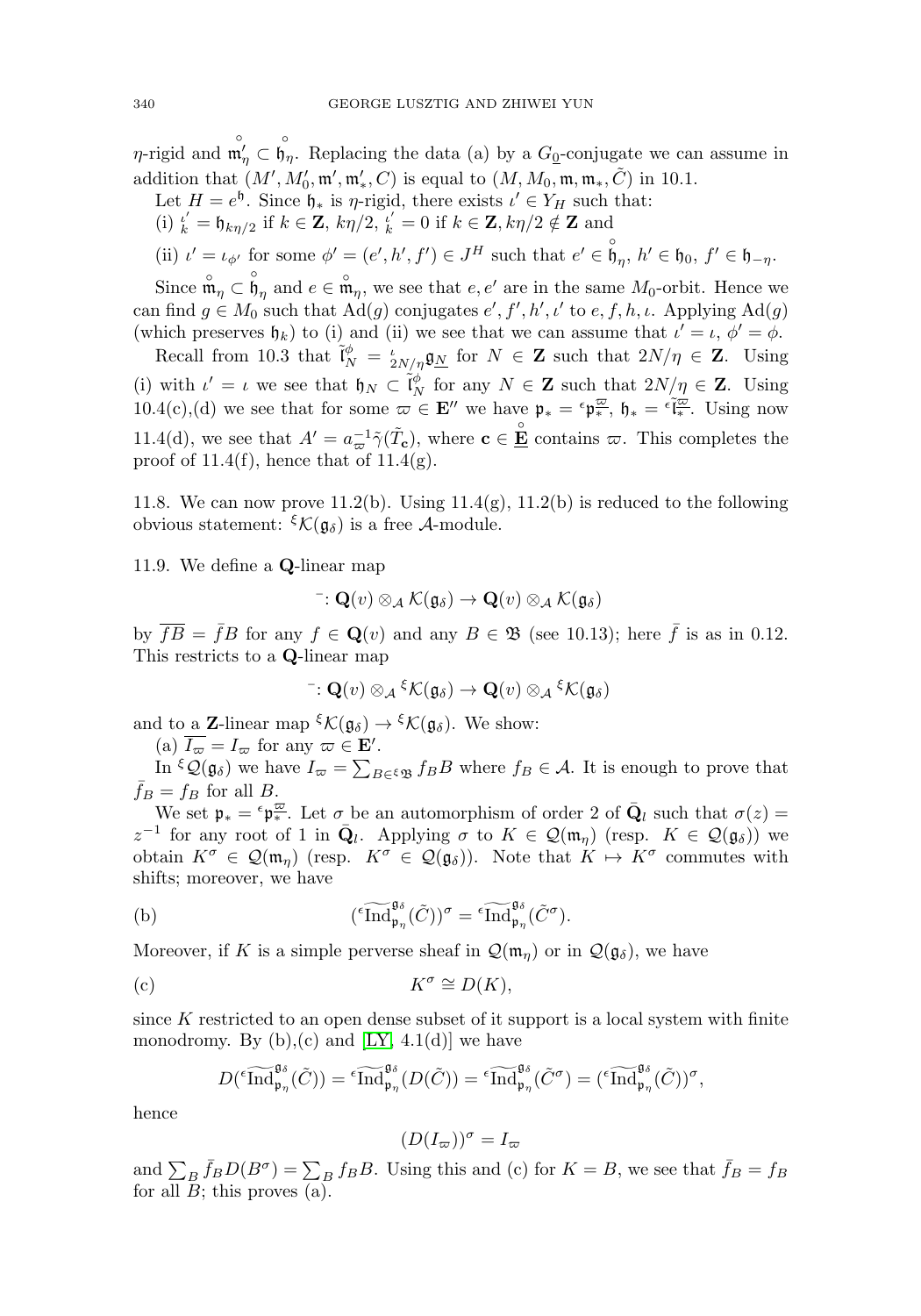$\eta$ -rigid and  $\mathfrak{m}'_{\eta} \subset \mathfrak{h}_{\eta}$ . Replacing the data (a) by a  $G_0$ -conjugate we can assume in addition that  $(M', M'_0, \mathfrak{m}', \mathfrak{m}'_*, C)$  is equal to  $(M, M_0, \mathfrak{m}, \mathfrak{m}_*, \tilde{C})$  in 10.1.

Let  $H = e^{\mathfrak{h}}$ . Since  $\mathfrak{h}_*$  is  $\eta$ -rigid, there exists  $\iota' \in Y_H$  such that:

(i)  $\frac{i'}{k} = \mathfrak{h}_{k\eta/2}$  if  $k \in \mathbb{Z}$ ,  $k\eta/2$ ,  $\frac{i'}{k} = 0$  if  $k \in \mathbb{Z}$ ,  $k\eta/2 \notin \mathbb{Z}$  and

(ii) 
$$
\iota' = \iota_{\phi'}
$$
 for some  $\phi' = (e', h', f') \in J^H$  such that  $e' \in \mathring{b}_{\eta}, h' \in \mathfrak{h}_0, f' \in \mathfrak{h}_{-\eta}$ .

Since  $\mathring{\mathfrak{m}}_{\eta} \subset \mathring{\mathfrak{h}}_{\eta}$  and  $e \in \mathring{\mathfrak{m}}_{\eta}$ , we see that  $e, e'$  are in the same  $M_0$ -orbit. Hence we can find  $g \in M_0$  such that  $\text{Ad}(g)$  conjugates  $e', f', h', \iota'$  to  $e, f, h, \iota$ . Applying  $\text{Ad}(g)$ (which preserves  $\mathfrak{h}_k$ ) to (i) and (ii) we see that we can assume that  $\iota' = \iota, \, \phi' = \phi$ .

Recall from 10.3 that  $\tilde{\mathfrak{l}}_N^{\phi} = \frac{\iota}{2N}{\pi} \mathfrak{g}_{\underline{N}}$  for  $N \in \mathbb{Z}$  such that  $2N/\eta \in \mathbb{Z}$ . Using (i) with  $\iota' = \iota$  we see that  $\mathfrak{h}_N \subset \tilde{\mathfrak{l}}_N^{\phi}$  for any  $N \in \mathbb{Z}$  such that  $2N/\eta \in \mathbb{Z}$ . Using 10.4(c),(d) we see that for some  $\overline{\omega} \in \mathbf{E}''$  we have  $\mathfrak{p}_* = \epsilon \mathfrak{p}_*^{\overline{\omega}}$ ,  $\mathfrak{h}_* = \epsilon \overline{\mathfrak{l}_*^{\overline{\omega}}}$ . Using now 11.4(d), we see that  $A' = a_{\varpi}^{-1} \tilde{\gamma}(\tilde{T}_{c})$ , where  $c \in \underline{\mathbf{E}}$  contains  $\varpi$ . This completes the proof of 11.4(f), hence that of  $11.4(g)$ .

11.8. We can now prove 11.2(b). Using  $11.4(g)$ ,  $11.2(b)$  is reduced to the following obvious statement:  ${}^{\xi} \mathcal{K}(\mathfrak{g}_{\delta})$  is a free A-module.

11.9. We define a **Q**-linear map

$$
\bar{\phantom{a}}: \mathbf{Q}(v) \otimes_{\mathcal{A}} \mathcal{K}(\mathfrak{g}_{\delta}) \to \mathbf{Q}(v) \otimes_{\mathcal{A}} \mathcal{K}(\mathfrak{g}_{\delta})
$$

by  $\overline{fB} = \overline{f}B$  for any  $f \in \mathbf{Q}(v)$  and any  $B \in \mathcal{B}$  (see 10.13); here  $\overline{f}$  is as in 0.12. This restricts to a **Q**-linear map

$$
\bar{\phantom{a}}: \mathbf{Q}(v) \otimes_{\mathcal{A}} \xi \mathcal{K}(\mathfrak{g}_{\delta}) \to \mathbf{Q}(v) \otimes_{\mathcal{A}} \xi \mathcal{K}(\mathfrak{g}_{\delta})
$$

and to a **Z**-linear map  ${}^{\xi} \mathcal{K}(\mathfrak{g}_{\delta}) \to {}^{\xi} \mathcal{K}(\mathfrak{g}_{\delta})$ . We show:

(a)  $\overline{I_{\overline{\omega}}} = I_{\overline{\omega}}$  for any  $\overline{\omega} \in \mathbf{E}'$ .

Is restricts to a **Q**-linear map<br>  $\vdots$  **Q**(v)  $\otimes_{\mathcal{A}}{}^{\xi} \mathcal{K}(\mathfrak{g}_{\delta}) \to \mathbf{Q}(v) \otimes_{\mathcal{A}}{}^{\xi} \mathcal{K}(\mathfrak{g}_{\delta})$ <br>
d to a **Z**-linear map  ${}^{\xi} \mathcal{K}(\mathfrak{g}_{\delta}) \to {}^{\xi} \mathcal{K}(\mathfrak{g}_{\delta})$ . We show:<br>
(a)  $\overline{I_{\varpi}} = I_{$  $\bar{f}_B = f_B$  for all B.

We set  $\mathfrak{p}_* = \epsilon \mathfrak{p}_*^{\overline{\omega}}$ . Let  $\sigma$  be an automorphism of order 2 of  $\overline{\mathbf{Q}}_l$  such that  $\sigma(z) =$ We set  $\mathfrak{p}_* = \mathfrak{p}_*^{\text{max}}$ . Let  $\sigma$  be an automorphism of order 2 of  $\mathbf{Q}_l$  such that  $\sigma(z) = z^{-1}$  for any root of 1 in  $\bar{\mathbf{Q}}_l$ . Applying  $\sigma$  to  $K \in \mathcal{Q}(\mathfrak{m}_{\eta})$  (resp.  $K^{\sigma} \in \mathcal{Q}(\mathfrak{g}_{\delta})$ ) we ob obtain  $K^{\sigma} \in \mathcal{Q}(\mathfrak{m}_n)$  (resp.  $K^{\sigma} \in \mathcal{Q}(\mathfrak{g}_{\delta})$ ). Note that  $K \mapsto K^{\sigma}$  commutes with shifts; moreover, we have

(b) 
$$
({}^{\epsilon}\widetilde{\text{Ind}}_{\mathfrak{p}_{\eta}}^{\mathfrak{g}_{\delta}}(\tilde{C}))^{\sigma} = {}^{\epsilon}\widetilde{\text{Ind}}_{\mathfrak{p}_{\eta}}^{\mathfrak{g}_{\delta}}(\tilde{C}^{\sigma}).
$$

Moreover, if K is a simple perverse sheaf in  $\mathcal{Q}(\mathfrak{m}_n)$  or in  $\mathcal{Q}(\mathfrak{g}_{\delta})$ , we have

(c) 
$$
K^{\sigma} \cong D(K),
$$

since  $K$  restricted to an open dense subset of it support is a local system with finite monodromy. By  $(b)$ ,  $(c)$  and  $[LY, 4.1(d)]$  $[LY, 4.1(d)]$  we have  $K^{\sigma} \cong D(K),$ <br>ted to an open dense subset of it s<br>3y (b),(c) and [LY, 4.1(d)] we have<br> $\widetilde{\text{Ind}}_{\mathfrak{p}_n}^{\mathfrak{g}_{\delta}}(\tilde{C})) = \widetilde{\text{Ind}}_{\mathfrak{p}_n}^{\mathfrak{g}_{\delta}}(D(\tilde{C})) = \widetilde{\text{Ind}}$ oca<br>Ind

$$
D({}^{\epsilon}\widetilde{\text{Ind}}_{\mathfrak{p}_{\eta}}^{\mathfrak{g}_{\delta}}(\tilde{C})) = {}^{\epsilon}\widetilde{\text{Ind}}_{\mathfrak{p}_{\eta}}^{\mathfrak{g}_{\delta}}(D(\tilde{C})) = {}^{\epsilon}\widetilde{\text{Ind}}_{\mathfrak{p}_{\eta}}^{\mathfrak{g}_{\delta}}(\tilde{C}^{\sigma}) = ({}^{\epsilon}\widetilde{\text{Ind}}_{\mathfrak{p}_{\eta}}^{\mathfrak{g}_{\delta}}(\tilde{C}))^{\sigma},
$$
  
hence  

$$
(D(I_{\varpi}))^{\sigma} = I_{\varpi}
$$
  
and 
$$
\sum_{B} \bar{f}_{B}D(B^{\sigma}) = \sum_{B} f_{B}B.
$$
 Using this and (c) for  $K = B$ , we see that  $\bar{f}_{B} = f_{B}$ 

hence

$$
(D(I_{\varpi}))^{\sigma}=I_{\varpi}
$$

for all  $B$ ; this proves  $(a)$ .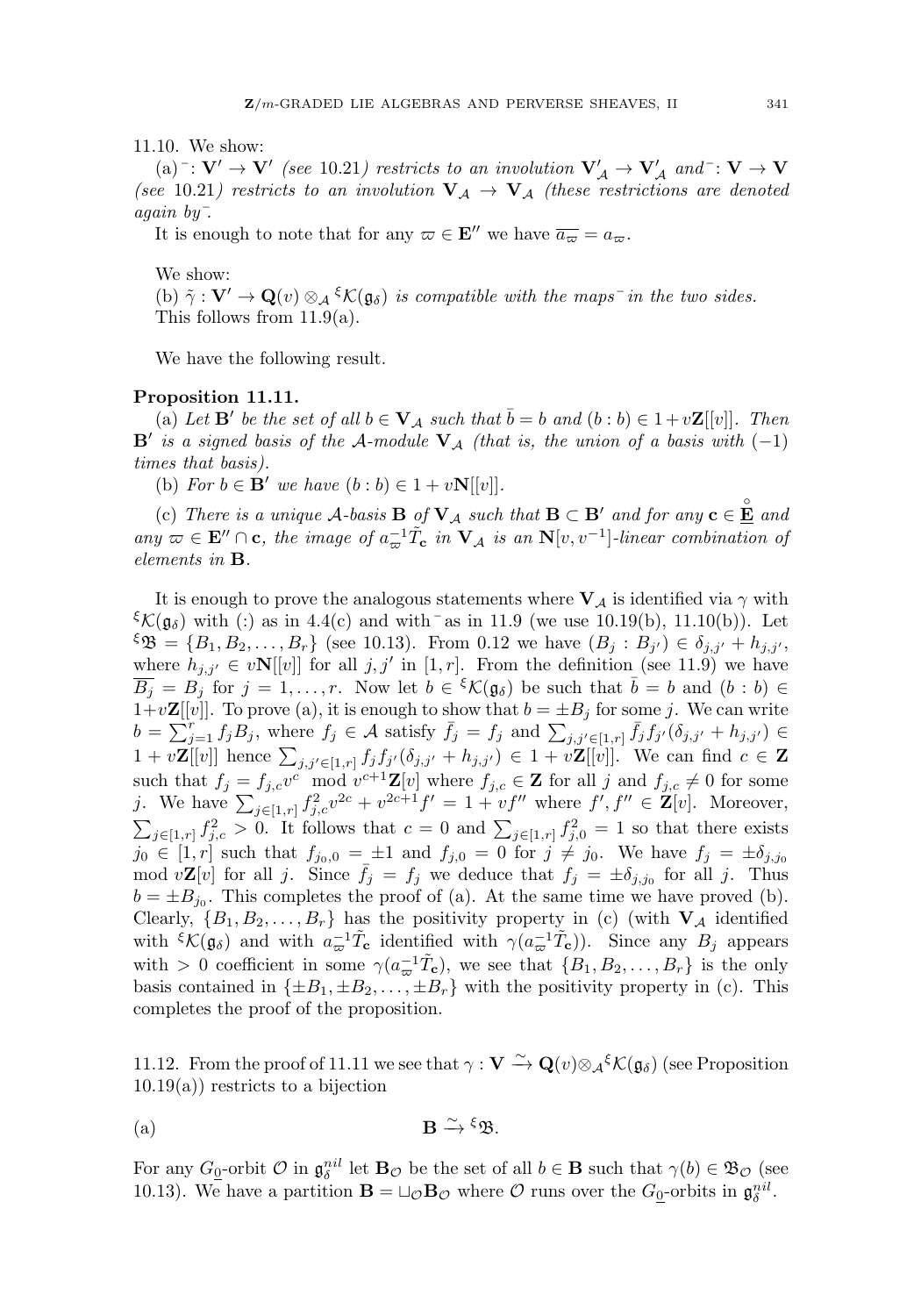11.10. We show:

 $(a)$ <sup> $-$ </sup>: **V'**  $\rightarrow$  **V'** (see 10.21) restricts to an involution  $V'_A \rightarrow V'_A$  and  $\rightarrow$  **V**  $\rightarrow$  **V** (see 10.21) restricts to an involution  $V_A \rightarrow V_A$  (these restrictions are denoted again by¯.

It is enough to note that for any  $\varpi \in \mathbf{E}''$  we have  $\overline{a_{\varpi}} = a_{\varpi}$ .

We show:

(b)  $\tilde{\gamma}: \mathbf{V}' \to \mathbf{Q}(v) \otimes_{\mathcal{A}} \xi \mathcal{K}(\mathfrak{g}_{\delta})$  is compatible with the maps<sup>-</sup> in the two sides. This follows from 11.9(a).

We have the following result.

## **Proposition 11.11.**

(a) Let **B**' be the set of all  $b \in V_A$  such that  $\overline{b} = b$  and  $(b:b) \in 1+v\mathbf{Z}[[v]]$ . Then **B**' is a signed basis of the A-module  $V_A$  (that is, the union of a basis with  $(-1)$ ) times that basis).

(b) For  $b \in \mathbf{B}'$  we have  $(b:b) \in 1+v\mathbf{N}[[v]].$ 

(c) There is a unique  $\mathcal{A}$ -basis  $\mathbf{B}$  of  $\mathbf{V}_{\mathcal{A}}$  such that  $\mathbf{B} \subset \mathbf{B}'$  and for any  $\mathbf{c} \in \mathbf{E}$  and any  $\varpi \in \mathbf{E}'' \cap \mathbf{c}$ , the image of  $a_{\varpi}^{-1} \tilde{T}_{\mathbf{c}}$  in  $\mathbf{V}_{\mathcal{A}}$  is an  $\mathbf{N}[v, v^{-1}]$ -linear combination of elements in **B**.

It is enough to prove the analogous statements where  $V_A$  is identified via  $\gamma$  with <sup>ξ</sup>K( $\mathfrak{g}_{\delta}$ ) with (:) as in 4.4(c) and with <sup>-</sup> as in 11.9 (we use 10.19(b), 11.10(b)). Let  $\mathfrak{B} = \{B_1, B_2, \ldots, B_r\}$  (see 10.13). From 0.12 we have  $(B_j : B_{j'}) \in \delta_{j,j'} + h_{j,j'},$ where  $h_{j,j'} \in v\mathbf{N}[[v]]$  for all  $j, j'$  in  $[1, r]$ . From the definition (see 11.9) we have  $\overline{B_i} = B_j$  for  $j = 1, \ldots, r$ . Now let  $b \in {^{\xi}}\mathcal{K}(\mathfrak{g}_{\delta})$  be such that  $\overline{b} = b$  and  $(b : b) \in$  $1+v\mathbf{Z}[[v]]$ . To prove (a), it is enough to show that  $b=\pm B_j$  for some j. We can write  $\begin{align} \mathcal{L}(\mathfrak{g}_{\delta}) &= \{ \text{where } h \ \overline{B}_j &= E \ 1 + v\mathbf{Z}[[v_{\delta}]) \end{align}$  $\mathcal{E}_{\mathcal{K}}(\mathfrak{g}_{\delta})$  with (:) as in 4.4(c) and with as in 11.9 (we use 10.19(b), 11.10(b)). Let  $\mathcal{E}_{\mathcal{B}} = \{B_1, B_2, ..., B_r\}$  (see 10.13). From 0.12 we have  $(B_j : B_{j'}) \in \delta_{j,j'} + h_{j,j'},$  where  $h_{j,j'} \in v\mathbf{N}[[v]]$  for all  $\mathcal{L}^{\mathcal{L}}\mathcal{D} = \{B_1, B_2, \ldots, B_r\}$  (see 10.13). From 0.12 we nave  $(B_j : B_{j'}) \in o_{j,j'} + h_{j,j'},$ <br>where  $h_{j,j'} \in v\mathbf{N}[[v]]$  for all  $j, j'$  in  $[1, r]$ . From the definition (see 11.9) we have<br> $\overline{B_j} = B_j$  for  $j = 1, \ldots, r$ . Now such that  $f_j = f_{j,c}v^c \mod v^{c+1}\mathbf{Z}[v]$  where  $f_{j,c} \in \mathbf{Z}$  for all j and  $f_{j,c} \neq 0$  for some  $D_j = D_j$  for  $j = 1, ..., r$ . Now let  $b \in \mathcal{P}(\mathbf{Q}_\delta)$  be such that  $b = b$  and  $(b : b) \in$ <br>  $1+v\mathbf{Z}[[v]]$ . To prove (a), it is enough to show that  $b = \pm B_j$  for some *j*. We can write<br>  $b = \sum_{j=1}^r f_jB_j$ , where  $f_j \in \mathcal{A}$  satis  $\sum_{j\in[1,r]}f_{j,c}^2>0.$  It follows that  $c=0$  and  $\sum_{j\in[1,r]}f_{j,0}^2=1$  so that there exists  $\begin{array}{l} j_1 f_j B_j, \text{ where } f_j \in \mathcal{A} \text{ satisfy } \bar{f}_j = f_j, \ j_2 = 0, \end{array}$ <br>  $\begin{array}{l} \text{hence } \sum_{j,j' \in [1,r]} f_j f_{j'} (\delta_{j,j'} + h_{j,j'}) \ \text{where } \sum_{j \in [1,r]} f_{j,c}^{2c} v^{2c} + v^{2c+1} f' = 1 + v_j, \ \text{where } f_{j,c} \geq 0. \end{array}$  It follows that  $c = 0$  and  $\sum_{j,c}$  $j_0 \in [1, r]$  such that  $f_{j_0,0} = \pm 1$  and  $f_{j,0} = 0$  for  $j \neq j_0$ . We have  $f_j = \pm \delta_{j,j_0}$ mod  $v\mathbf{Z}[v]$  for all j. Since  $\bar{f}_j = f_j$  we deduce that  $f_j = \pm \delta_{j,j_0}$  for all j. Thus  $b = \pm B_{j_0}$ . This completes the proof of (a). At the same time we have proved (b). Clearly,  $\{B_1, B_2, \ldots, B_r\}$  has the positivity property in (c) (with  $\mathbf{V}_\mathcal{A}$  identified with  ${}^{\xi}$ K( $\mathfrak{g}_{\delta}$ ) and with  $a_{\varpi}^{-1}\tilde{T}_{c}$  identified with  $\gamma(a_{\varpi}^{-1}\tilde{T}_{c})$ ). Since any  $B_{j}$  appears with > 0 coefficient in some  $\gamma(a_{\varpi}^{-1}\tilde{T}_{c})$ , we see that  $\{B_1, B_2, \ldots, B_r\}$  is the only basis contained in  $\{\pm B_1, \pm B_2, \ldots, \pm B_r\}$  with the positivity property in (c). This completes the proof of the proposition.

11.12. From the proof of 11.11 we see that  $\gamma : \mathbf{V} \xrightarrow{\sim} \mathbf{Q}(v) \otimes_{\mathcal{A}} \mathcal{K}(\mathfrak{g}_{\delta})$  (see Proposition  $10.19(a)$  restricts to a bijection

(a) 
$$
\mathbf{B} \xrightarrow{\sim} \mathbf{B} \mathbf{B}.
$$

For any  $G_{\underline{0}}$ -orbit  $\mathcal{O}$  in  $\mathfrak{g}_{\delta}^{nil}$  let  $\mathbf{B}_{\mathcal{O}}$  be the set of all  $b \in \mathbf{B}$  such that  $\gamma(b) \in \mathfrak{B}_{\mathcal{O}}$  (see 10.13). We have a partition  $\mathbf{B} = \sqcup_{\mathcal{O}} \mathbf{B}_{\mathcal{O}}$  where  $\mathcal{O}$  runs over the  $G_0$ -orbits in  $\mathfrak{g}_{\delta}^{nil}$ .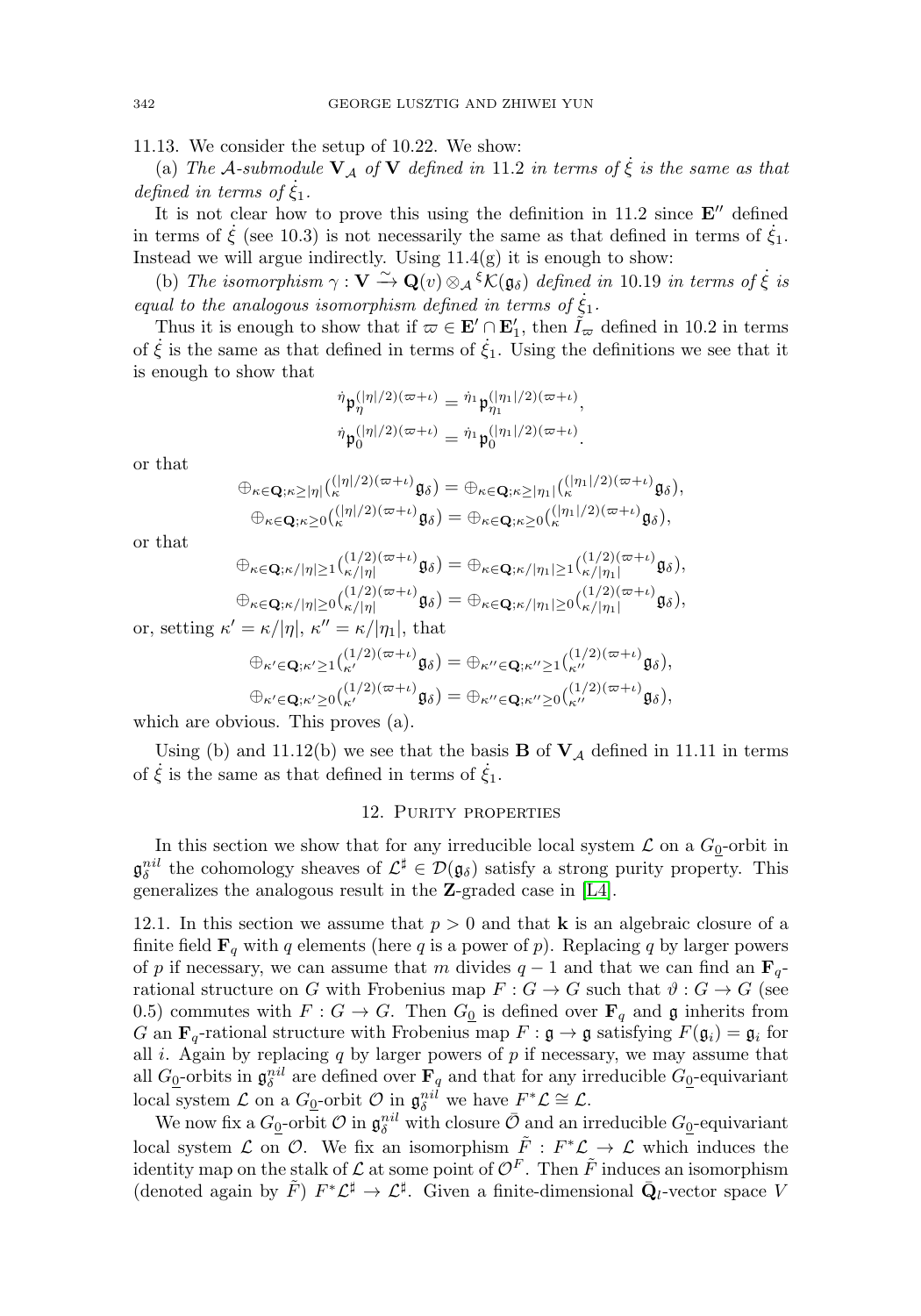11.13. We consider the setup of 10.22. We show:

(a) The A-submodule  $V_A$  of  $V$  defined in 11.2 in terms of  $\dot{\xi}$  is the same as that defined in terms of  $\dot{\xi}_1$ .

It is not clear how to prove this using the definition in  $11.2$  since  $E''$  defined in terms of  $\dot{\xi}$  (see 10.3) is not necessarily the same as that defined in terms of  $\dot{\xi}_1$ . Instead we will argue indirectly. Using  $11.4(g)$  it is enough to show:

(b) The isomorphism  $\gamma : \mathbf{V} \xrightarrow{\sim} \mathbf{Q}(v) \otimes_{\mathcal{A}} {\xi} \mathcal{K}(\mathfrak{g}_{\delta})$  defined in 10.19 in terms of  $\dot{\xi}$  is equal to the analogous isomorphism defined in terms of  $\dot{\xi}_1$ .

Thus it is enough to show that if  $\omega \in \mathbf{E}' \cap \mathbf{E}'_1$ , then  $\tilde{I}_{\omega}$  defined in 10.2 in terms of  $\dot{\xi}$  is the same as that defined in terms of  $\dot{\xi}_1$ . Using the definitions we see that it is enough to show that

$$
\eta \mathfrak{p}_{\eta}^{(|\eta|/2)(\varpi + \iota)} = \eta_1 \mathfrak{p}_{\eta_1}^{(|\eta_1|/2)(\varpi + \iota)},
$$
  

$$
\eta \mathfrak{p}_0^{(|\eta|/2)(\varpi + \iota)} = \eta_1 \mathfrak{p}_0^{(|\eta_1|/2)(\varpi + \iota)}.
$$

or that

$$
\oplus_{\kappa \in \mathbf{Q}; \kappa \geq |\eta|} {(|\eta|/2)(\varpi + \iota) \mathfrak{g}_{\delta}} = \oplus_{\kappa \in \mathbf{Q}; \kappa \geq |\eta_1|} {(|\eta_1|/2)(\varpi + \iota) \mathfrak{g}_{\delta}},
$$
  

$$
\oplus_{\kappa \in \mathbf{Q}; \kappa \geq 0} {(|\eta|/2)(\varpi + \iota) \mathfrak{g}_{\delta}} = \oplus_{\kappa \in \mathbf{Q}; \kappa \geq 0} {(|\eta_1|/2)(\varpi + \iota) \mathfrak{g}_{\delta}},
$$

or that

⊕κ∈**Q**;κ/|η|≥1( (1/2)(+ι) κ/|η<sup>|</sup> <sup>g</sup>δ) = <sup>⊕</sup>κ∈**Q**;κ/|η1|≥1( (1/2)(+ι) κ/|η1<sup>|</sup> <sup>g</sup>δ), ⊕κ∈**Q**;κ/|η|≥0( (1/2)(+ι) κ/|η<sup>|</sup> <sup>g</sup>δ) = <sup>⊕</sup>κ∈**Q**;κ/|η1|≥0( (1/2)(+ι) κ/|η1<sup>|</sup> <sup>g</sup>δ), or, setting κ = κ/|η|, κ = κ/|η1|, that ⊕κ∈**Q**;κ≥1( (1/2)(+ι) <sup>κ</sup> gδ) = ⊕κ∈**Q**;κ≥1( (1/2)(+ι) <sup>κ</sup> gδ),

$$
\oplus_{\kappa'\in\mathbf{Q};\kappa'\geq 0} \binom{(1/2)(\varpi+\iota)}{\kappa'}\mathfrak{g}_{\delta} = \oplus_{\kappa''\in\mathbf{Q};\kappa''\geq 0} \binom{(1/2)(\varpi+\iota)}{\kappa''}\mathfrak{g}_{\delta},
$$

which are obvious. This proves (a).

<span id="page-20-0"></span>Using (b) and 11.12(b) we see that the basis  $\bf{B}$  of  $\bf{V}_{\mathcal{A}}$  defined in 11.11 in terms of  $\dot{\xi}$  is the same as that defined in terms of  $\dot{\xi}_1$ .

#### 12. Purity properties

In this section we show that for any irreducible local system  $\mathcal L$  on a  $G_0$ -orbit in  $\mathfrak{g}_{\delta}^{nil}$  the cohomology sheaves of  $\mathcal{L}^{\sharp} \in \mathcal{D}(\mathfrak{g}_{\delta})$  satisfy a strong purity property. This generalizes the analogous result in the **Z**-graded case in [\[L4\]](#page-31-2).

12.1. In this section we assume that  $p > 0$  and that **k** is an algebraic closure of a finite field  $\mathbf{F}_q$  with q elements (here q is a power of p). Replacing q by larger powers of p if necessary, we can assume that m divides  $q - 1$  and that we can find an  $\mathbf{F}_{q-1}$ rational structure on G with Frobenius map  $F: G \to G$  such that  $\vartheta: G \to G$  (see 0.5) commutes with  $F: G \to G$ . Then  $G_0$  is defined over  $\mathbf{F}_q$  and g inherits from G an  $\mathbf{F}_q$ -rational structure with Frobenius map  $F : \mathfrak{g} \to \mathfrak{g}$  satisfying  $F(\mathfrak{g}_i) = \mathfrak{g}_i$  for all i. Again by replacing  $q$  by larger powers of  $p$  if necessary, we may assume that all  $G_0$ -orbits in  $\mathfrak{g}_{\delta}^{nil}$  are defined over  $\mathbf{F}_q$  and that for any irreducible  $G_0$ -equivariant local system  $\mathcal L$  on a  $G_0$ -orbit  $\mathcal O$  in  $\mathfrak g_\delta^{nil}$  we have  $F^*\mathcal L \cong \mathcal L$ .

We now fix a  $G_0$ -orbit  $\mathcal O$  in  $\mathfrak g_\delta^{nil}$  with closure  $\bar{\mathcal O}$  and an irreducible  $G_0$ -equivariant local system  $\mathcal L$  on  $\mathcal O$ . We fix an isomorphism  $\tilde F: F^*\mathcal L \to \mathcal L$  which induces the identity map on the stalk of  $\mathcal L$  at some point of  $\mathcal O^F$ . Then  $\tilde F$  induces an isomorphism (denoted again by  $\tilde{F}$ )  $F^*\mathcal{L}^\sharp \to \mathcal{L}^\sharp$ . Given a finite-dimensional  $\bar{Q}_l$ -vector space V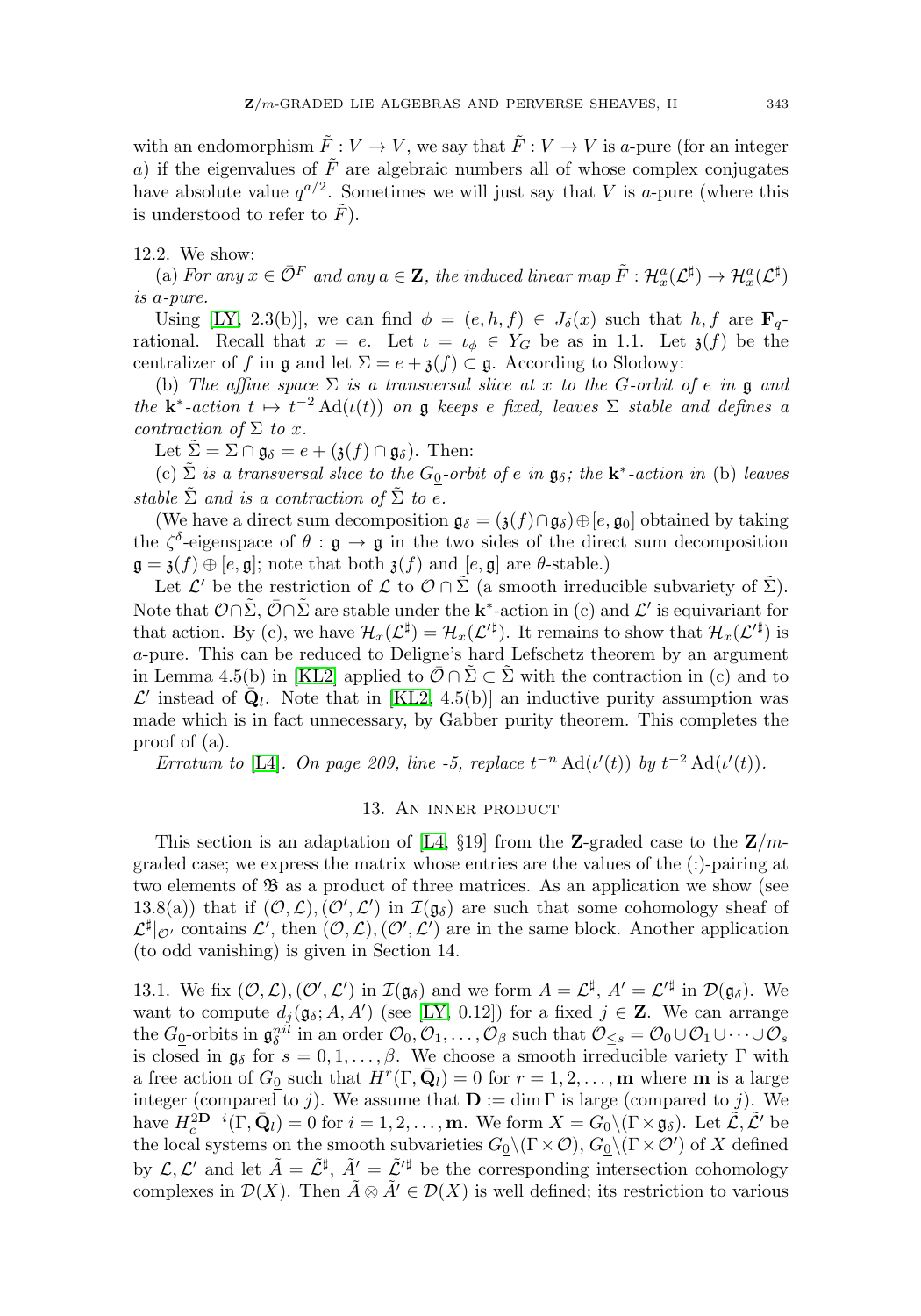with an endomorphism  $\tilde{F}: V \to V$ , we say that  $\tilde{F}: V \to V$  is a-pure (for an integer a) if the eigenvalues of  $\tilde{F}$  are algebraic numbers all of whose complex conjugates have absolute value  $q^{a/2}$ . Sometimes we will just say that V is a-pure (where this is understood to refer to  $\tilde{F}$ ).

# 12.2. We show:

(a) For any  $x \in \overline{\mathcal{O}}^F$  and any  $a \in \mathbf{Z}$ , the induced linear map  $\tilde{F}: \mathcal{H}_x^a(\mathcal{L}^{\sharp}) \to \mathcal{H}_x^a(\mathcal{L}^{\sharp})$ is a-pure.

Using [\[LY,](#page-31-1) 2.3(b)], we can find  $\phi = (e, h, f) \in J_{\delta}(x)$  such that  $h, f$  are  $\mathbf{F}_q$ rational. Recall that  $x = e$ . Let  $\iota = \iota_{\phi} \in Y_G$  be as in 1.1. Let  $\iota(f)$  be the centralizer of f in g and let  $\Sigma = e + \mathfrak{z}(f) \subset \mathfrak{g}$ . According to Slodowy:

(b) The affine space  $\Sigma$  is a transversal slice at x to the G-orbit of e in g and the **k**<sup>\*</sup>-action  $t \mapsto t^{-2} \text{Ad}(\iota(t))$  on g keeps e fixed, leaves  $\Sigma$  stable and defines a contraction of  $\Sigma$  to x.

Let  $\Sigma = \Sigma \cap \mathfrak{g}_{\delta} = e + (\mathfrak{z}(f) \cap \mathfrak{g}_{\delta}).$  Then:

(c)  $\Sigma$  is a transversal slice to the G<sub>0</sub>-orbit of e in  $\mathfrak{g}_{\delta}$ ; the **k**<sup>\*</sup>-action in (b) leaves stable  $\tilde{\Sigma}$  and is a contraction of  $\tilde{\Sigma}$  to e.

(We have a direct sum decomposition  $\mathfrak{g}_{\delta} = (\mathfrak{z}(f) \cap \mathfrak{g}_{\delta}) \oplus [e, \mathfrak{g}_{0}]$  obtained by taking the  $\zeta^{\delta}$ -eigenspace of  $\theta : \mathfrak{g} \to \mathfrak{g}$  in the two sides of the direct sum decomposition  $\mathfrak{g} = \mathfrak{z}(f) \oplus [e, \mathfrak{g}]$ ; note that both  $\mathfrak{z}(f)$  and  $[e, \mathfrak{g}]$  are  $\theta$ -stable.)

Let  $\mathcal{L}'$  be the restriction of  $\mathcal{L}$  to  $\mathcal{O} \cap \Sigma$  (a smooth irreducible subvariety of  $\Sigma$ ). Note that  $\mathcal{O}\cap\Sigma$ ,  $\overline{\mathcal{O}}\cap\Sigma$  are stable under the **k**<sup>\*</sup>-action in (c) and  $\mathcal{L}'$  is equivariant for that action. By (c), we have  $\mathcal{H}_x(\mathcal{L}^{\sharp}) = \mathcal{H}_x(\mathcal{L}^{\sharp})$ . It remains to show that  $\mathcal{H}_x(\mathcal{L}^{\sharp})$  is a-pure. This can be reduced to Deligne's hard Lefschetz theorem by an argument in Lemma 4.5(b) in [\[KL2\]](#page-31-3) applied to  $\overline{O} \cap \overline{\Sigma} \subset \overline{\Sigma}$  with the contraction in (c) and to  $\mathcal{L}'$  instead of  $\bar{Q}_l$ . Note that in [\[KL2,](#page-31-3) 4.5(b)] an inductive purity assumption was made which is in fact unnecessary, by Gabber purity theorem. This completes the proof of (a).

<span id="page-21-0"></span>Erratum to [\[L4\]](#page-31-2). On page 209, line -5, replace  $t^{-n} \text{Ad}(\iota'(t))$  by  $t^{-2} \text{Ad}(\iota'(t))$ .

# 13. An inner product

This section is an adaptation of [\[L4,](#page-31-2)  $\S 19$ ] from the **Z**-graded case to the **Z**/mgraded case; we express the matrix whose entries are the values of the (:)-pairing at two elements of  $\mathfrak{B}$  as a product of three matrices. As an application we show (see 13.8(a)) that if  $(0, \mathcal{L}), (0', \mathcal{L}')$  in  $\mathcal{I}(\mathfrak{g}_{\delta})$  are such that some cohomology sheaf of  $\mathcal{L}^{\sharp}|_{\mathcal{O}'}$  contains  $\mathcal{L}'$ , then  $(\mathcal{O},\mathcal{L}),(\mathcal{O}',\mathcal{L}')$  are in the same block. Another application (to odd vanishing) is given in Section 14.

13.1. We fix  $(\mathcal{O}, \mathcal{L}), (\mathcal{O}', \mathcal{L}')$  in  $\mathcal{I}(\mathfrak{g}_{\delta})$  and we form  $A = \mathcal{L}^{\sharp}, A' = \mathcal{L}'^{\sharp}$  in  $\mathcal{D}(\mathfrak{g}_{\delta})$ . We want to compute  $d_j(\mathfrak{g}_{\delta}; A, A')$  (see [\[LY,](#page-31-1) 0.12]) for a fixed  $j \in \mathbb{Z}$ . We can arrange the  $G_0$ -orbits in  $\mathfrak{g}_{\delta}^{nil}$  in an order  $\mathcal{O}_0, \mathcal{O}_1, \ldots, \mathcal{O}_{\beta}$  such that  $\mathcal{O}_{\leq s} = \mathcal{O}_0 \cup \mathcal{O}_1 \cup \cdots \cup \mathcal{O}_{s}$ is closed in  $\mathfrak{g}_{\delta}$  for  $s = 0, 1, \ldots, \beta$ . We choose a smooth irreducible variety  $\Gamma$  with a free action of  $G_0$  such that  $H^r(\Gamma, \mathbf{Q}_l) = 0$  for  $r = 1, 2, \ldots, \mathbf{m}$  where **m** is a large integer (compared to j). We assume that  $\mathbf{D} := \dim \Gamma$  is large (compared to j). We have  $H_c^{2D-i}(\Gamma, \bar{Q}_l) = 0$  for  $i = 1, 2, \ldots, m$ . We form  $X = G_0 \setminus (\Gamma \times \mathfrak{g}_{\delta})$ . Let  $\mathcal{L}, \mathcal{L}'$  be the local systems on the smooth subvarieties  $G_0 \setminus (\Gamma \times \mathcal{O}), G_0 \setminus (\Gamma \times \mathcal{O}')$  of X defined by  $\mathcal{L}, \mathcal{L}'$  and let  $\tilde{A} = \tilde{\mathcal{L}}^{\sharp}, \tilde{A}' = \tilde{\mathcal{L}}'^{\sharp}$  be the corresponding intersection cohomology complexes in  $\mathcal{D}(X)$ . Then  $\tilde{A} \otimes \tilde{A}' \in \mathcal{D}(X)$  is well defined; its restriction to various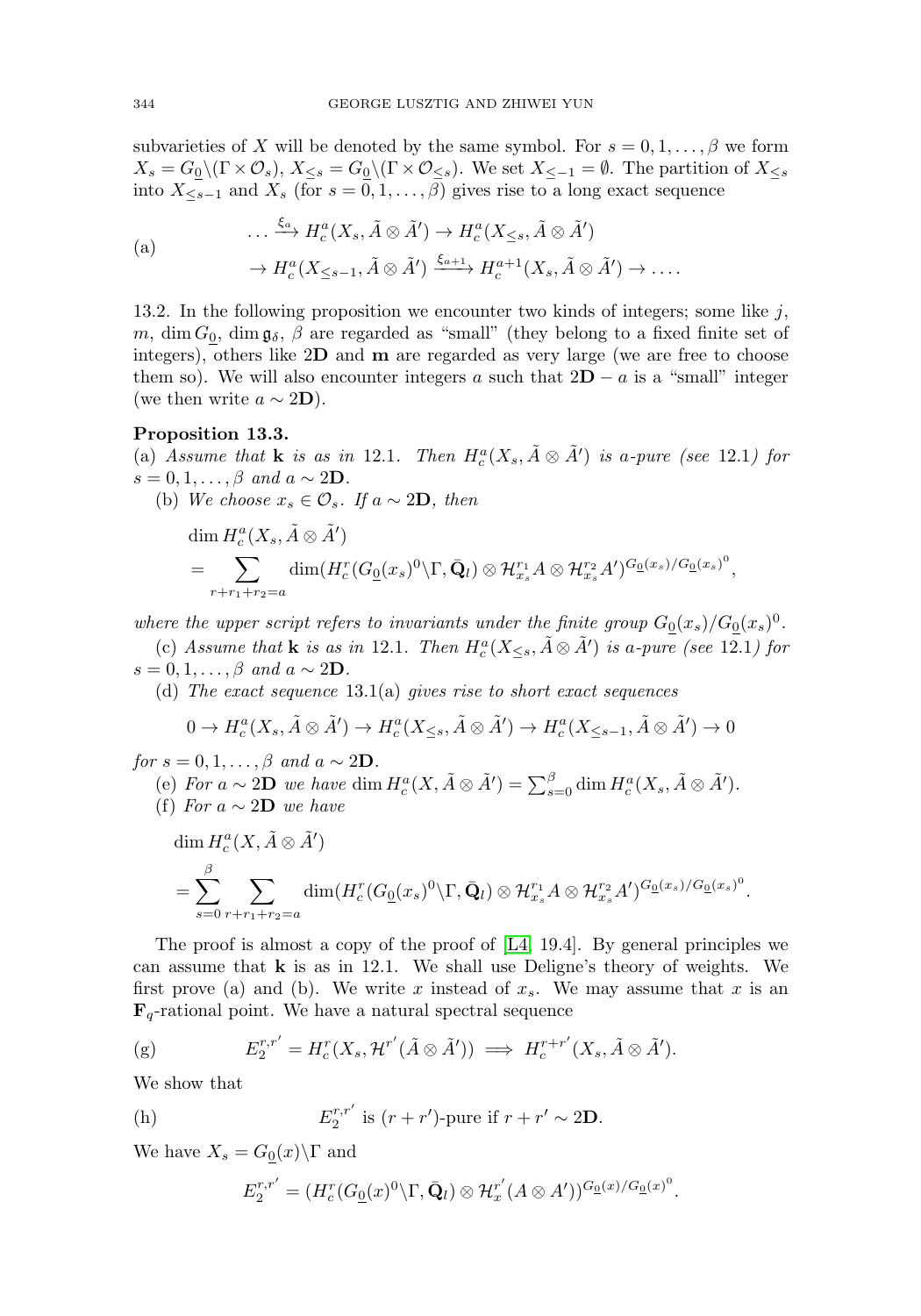subvarieties of X will be denoted by the same symbol. For  $s = 0, 1, \ldots, \beta$  we form  $X_s = G_0 \setminus (\Gamma \times \mathcal{O}_s), X_{\leq s} = G_0 \setminus (\Gamma \times \mathcal{O}_{\leq s}).$  We set  $X_{\leq -1} = \emptyset$ . The partition of  $X_{\leq s}$ into  $X_{\leq s-1}$  and  $X_s$  (for  $s = 0, 1, \ldots, \beta$ ) gives rise to a long exact sequence

(a)  
\n
$$
\cdots \xrightarrow{\xi_a} H_c^a(X_s, \tilde{A} \otimes \tilde{A}') \to H_c^a(X_{\leq s}, \tilde{A} \otimes \tilde{A}')
$$
\n
$$
\to H_c^a(X_{\leq s-1}, \tilde{A} \otimes \tilde{A}') \xrightarrow{\xi_{a+1}} H_c^{a+1}(X_s, \tilde{A} \otimes \tilde{A}') \to \dots
$$

13.2. In the following proposition we encounter two kinds of integers; some like  $j$ , m, dim  $G_0$ , dim  $\mathfrak{g}_{\delta}$ ,  $\beta$  are regarded as "small" (they belong to a fixed finite set of integers), others like 2**D** and **m** are regarded as very large (we are free to choose them so). We will also encounter integers a such that  $2D - a$  is a "small" integer (we then write  $a \sim 2D$ ).

## **Proposition 13.3.**

(a) Assume that **k** is as in 12.1. Then  $H_c^a(X_s, \tilde{A} \otimes \tilde{A}')$  is a-pure (see 12.1) for  $s = 0, 1, \ldots, \beta$  and  $a \sim 2D$ .

(b) We choose  $x_s \in \mathcal{O}_s$ . If  $a \sim 2\mathbf{D}$ , then

sume that **k** is as in 12.1. Then 
$$
H_c^a(X_s, A \otimes A')
$$
 is a-pure (see 12  
\n $\cup, \dots, \beta$  and  $a \sim 2\mathbf{D}$ .  
\nWe choose  $x_s \in \mathcal{O}_s$ . If  $a \sim 2\mathbf{D}$ , then  
\n
$$
\dim H_c^a(X_s, \tilde{A} \otimes \tilde{A}')
$$
\n
$$
= \sum_{r+r_1+r_2=a} \dim(H_c^r(G_{\underline{0}}(x_s)^0 \setminus \Gamma, \bar{Q}_l) \otimes \mathcal{H}_{x_s}^{r_1} A \otimes \mathcal{H}_{x_s}^{r_2} A')^{G_{\underline{0}}(x_s)/G_{\underline{0}}(x_s)^0},
$$

where the upper script refers to invariants under the finite group  $G_0(x_s)/G_0(x_s)^0$ .

(c) Assume that **k** is as in 12.1. Then  $H_c^a(X_{\leq s}, \tilde{A} \otimes \tilde{A}')$  is a-pure (see 12.1) for  $s = 0, 1, \ldots, \beta$  and  $a \sim 2D$ .

(d) The exact sequence  $13.1(a)$  gives rise to short exact sequences

$$
0 \to H_c^a(X_s, \tilde{A} \otimes \tilde{A}') \to H_c^a(X_{\leq s}, \tilde{A} \otimes \tilde{A}') \to H_c^a(X_{\leq s-1}, \tilde{A} \otimes \tilde{A}') \to 0
$$

for  $s = 0, 1, \ldots, \beta$  and  $a \sim 2D$ .

(f) For a ∼ 2**D** we have

\n- (d) The exact sequence 13.1(a) gives rise to short exact sequences
\n- (d) The exact sequence 13.1(a) gives rise to short exact sequences
\n- $$
0 \rightarrow H_c^a(X_s, \tilde{A} \otimes \tilde{A}') \rightarrow H_c^a(X_{\leq s}, \tilde{A} \otimes \tilde{A}') \rightarrow H_c^a(X_{\leq s-1}, \tilde{A} \otimes \tilde{A}') \rightarrow 0
$$
\n- (e) For  $a \sim 2\mathbf{D}$  we have dim  $H_c^a(X, \tilde{A} \otimes \tilde{A}') = \sum_{s=0}^{\beta} \dim H_c^a(X_s, \tilde{A} \otimes \tilde{A}')$ .
\n- (f) For  $a \sim 2\mathbf{D}$  we have
\n- $$
\dim H_c^a(X, \tilde{A} \otimes \tilde{A}')
$$
\n- $$
= \sum_{s=0}^{\beta} \sum_{r+r_1+r_2=a} \dim(H_c^r(G_{\underline{0}}(x_s)^0 \setminus \Gamma, \bar{Q}_l) \otimes \mathcal{H}_{x_s}^{r_1} A \otimes \mathcal{H}_{x_s}^{r_2} A')^{\underline{G_{\underline{0}}(x_s)/G_{\underline{0}}(x_s)^0}.
$$
\n

The proof is almost a copy of the proof of [\[L4,](#page-31-2) 19.4]. By general principles we can assume that **k** is as in 12.1. We shall use Deligne's theory of weights. We first prove (a) and (b). We write x instead of  $x_s$ . We may assume that x is an  $\mathbf{F}_q$ -rational point. We have a natural spectral sequence

$$
\text{(g)} \quad E_2^{r,r'} = H_c^r(X_s, \mathcal{H}^{r'}(\tilde{A} \otimes \tilde{A}')) \implies H_c^{r+r'}(X_s, \tilde{A} \otimes \tilde{A}').
$$

We show that

(h) 
$$
E_2^{r,r'}
$$
 is  $(r + r')$ -pure if  $r + r' \sim 2D$ .

We have  $X_s = G_0(x) \backslash \Gamma$  and

$$
E_2^{r,r'} = (H_c^r(G_0(x)^0 \backslash \Gamma, \bar{\mathbf{Q}}_l) \otimes \mathcal{H}_x^{r'}(A \otimes A'))^{G_0(x)/G_0(x)^0}.
$$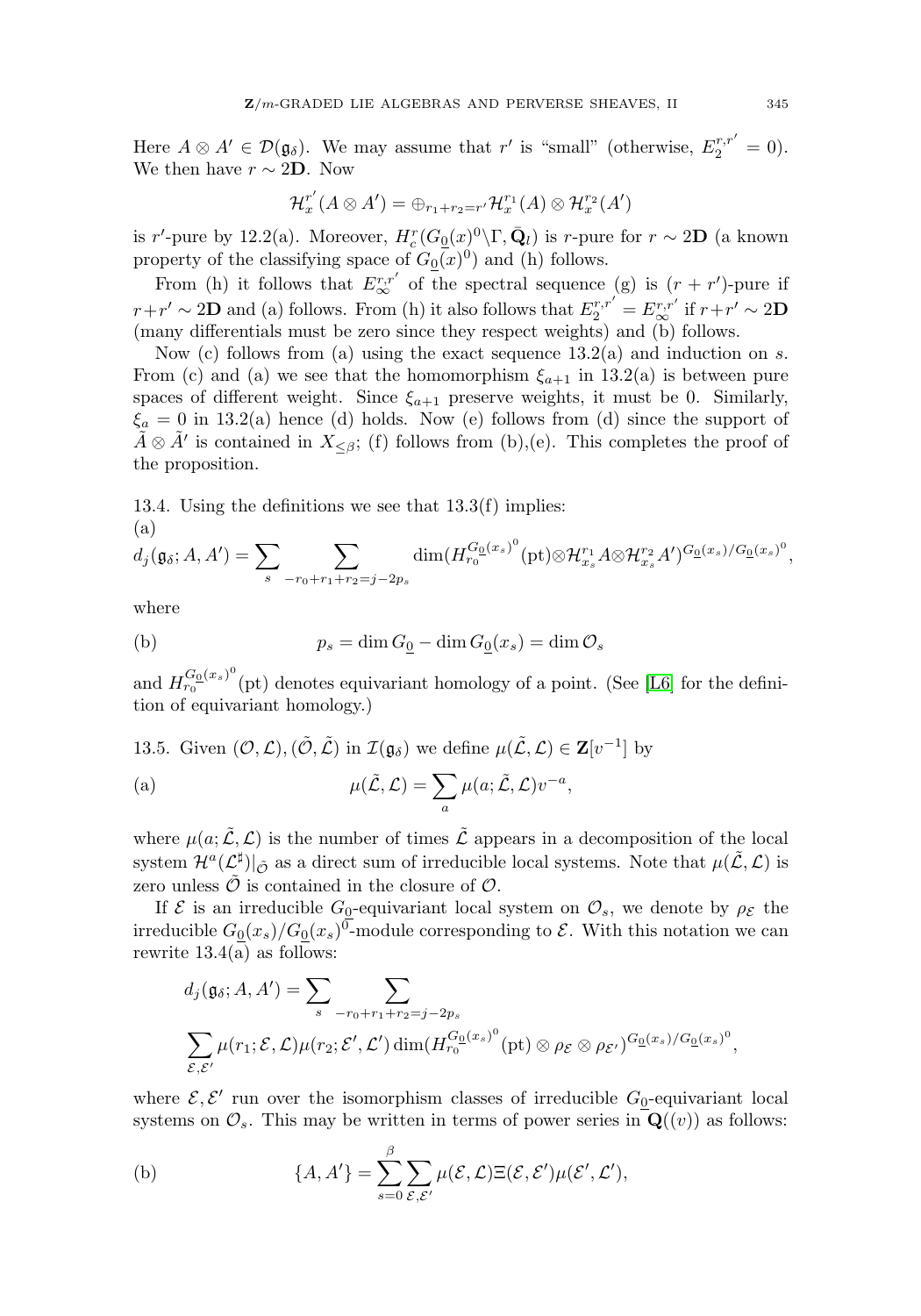Here  $A \otimes A' \in \mathcal{D}(\mathfrak{g}_{\delta})$ . We may assume that r' is "small" (otherwise,  $E_2^{r,r'} = 0$ ). We then have  $r \sim 2D$ . Now

$$
\mathcal{H}^{r'}_x(A \otimes A') = \bigoplus_{r_1+r_2=r'} \mathcal{H}^{r_1}_x(A) \otimes \mathcal{H}^{r_2}_x(A')
$$

is r'-pure by 12.2(a). Moreover,  $H_c^r(G_0(x)^0 \setminus \Gamma, \bar{Q}_l)$  is r-pure for  $r \sim 2\mathbf{D}$  (a known property of the classifying space of  $G_0(x)^0$  and (h) follows.

From (h) it follows that  $E^{r,r'}_{\infty}$  of the spectral sequence (g) is  $(r + r')$ -pure if  $r+r' \sim 2D$  and (a) follows. From (h) it also follows that  $E_2^{r,r'} = E_{\infty}^{r,r'}$  if  $r+r' \sim 2D$ (many differentials must be zero since they respect weights) and (b) follows.

Now (c) follows from (a) using the exact sequence  $13.2(a)$  and induction on s. From (c) and (a) we see that the homomorphism  $\xi_{a+1}$  in 13.2(a) is between pure spaces of different weight. Since  $\xi_{a+1}$  preserve weights, it must be 0. Similarly,  $\xi_a = 0$  in 13.2(a) hence (d) holds. Now (e) follows from (d) since the support of  $\tilde{A} \otimes \tilde{A}'$  is contained in  $X_{\leq \beta}$ ; (f) follows from (b),(e). This completes the proof of the proposition.

13.4. Using the definitions we see that 13.3(f) implies: (a) ontaine<br>
ion.<br>  $\phi$ ; the de

$$
d_j(\mathfrak{g}_{\delta}; A, A') = \sum_{s} \sum_{-r_0+r_1+r_2=j-2p_s} \dim(H_{r_0}^{G_0(x_s)^0}(\text{pt}) \otimes \mathcal{H}_{x_s}^{r_1} A \otimes \mathcal{H}_{x_s}^{r_2} A')^{G_0(x_s)/G_0(x_s)^0},
$$

where

(b) 
$$
p_s = \dim G_{\underline{0}} - \dim G_{\underline{0}}(x_s) = \dim \mathcal{O}_s
$$

and  $H_{r_0}^{G_0(x_s)^0}(\text{pt})$  denotes equivariant homology of a point. (See [\[L6\]](#page-31-4) for the defini-<br>tion of equivariant homology.)<br>13.5. Given  $(\mathcal{O}, \mathcal{L}), (\tilde{\mathcal{O}}, \tilde{\mathcal{L}})$  in  $\mathcal{I}(\mathfrak{g}_{\delta})$  we define  $\mu(\tilde{\mathcal{L}}, \mathcal{L})$ tion of equivariant homology.)

13.5. Given  $(0, \mathcal{L}), (\tilde{0}, \tilde{\mathcal{L}})$  in  $\mathcal{I}(\mathfrak{g}_{\delta})$  we define  $\mu(\tilde{\mathcal{L}}, \mathcal{L}) \in \mathbf{Z}[v^{-1}]$  by

(a) 
$$
\mu(\tilde{\mathcal{L}}, \mathcal{L}) = \sum_{a} \mu(a; \tilde{\mathcal{L}}, \mathcal{L}) v^{-a},
$$

where  $\mu(a; \tilde{\mathcal{L}}, \mathcal{L})$  is the number of times  $\tilde{\mathcal{L}}$  appears in a decomposition of the local system  $\mathcal{H}^{a}(\mathcal{L}^{\sharp})|_{\tilde{\mathcal{O}}}$  as a direct sum of irreducible local systems. Note that  $\mu(\tilde{\mathcal{L}}, \mathcal{L})$  is zero unless  $\widetilde{\mathcal{O}}$  is contained in the closure of  $\mathcal{O}$ .

If  $\mathcal E$  is an irreducible  $G_{\underline{0}}$ -equivariant local system on  $\mathcal O_s$ , we denote by  $\rho_{\mathcal E}$  the irreducible  $G_{\underline{0}}(x_s)/G_{\underline{0}}(x_s)^0$ -module corresponding to  $\mathcal{E}$ . With this notation we can rewrite  $13.4(a)$  as follows: ontaine<br>  $|u$ cible<br>  $)/G_0(x_s)$ <br>
follows<br>  $) = \sum$ 

$$
d_j(\mathfrak{g}_{\delta}; A, A') = \sum_{s} \sum_{-r_0 + r_1 + r_2 = j - 2p_s} \sum_{\mathcal{E}, \mathcal{E}'} \mu(r_1; \mathcal{E}, \mathcal{L}) \mu(r_2; \mathcal{E}', \mathcal{L}') \dim(H_{r_0}^{G_0(x_s)^0}(\text{pt}) \otimes \rho_{\mathcal{E}} \otimes \rho_{\mathcal{E}'})^{G_0(x_s)/G_0(x_s)^0},
$$

where  $\mathcal{E}, \mathcal{E}'$  run over the isomorphism classes of irreducible  $G_0$ -equivariant local systems on  $\mathcal{O}_s$ . This may be written in terms of power series in  $\mathbf{Q}((v))$  as follows: isomorp<br>be writt<br> $} = \sum_{n=1}^{\beta}$ 

(b) 
$$
\{A, A'\} = \sum_{s=0}^{\beta} \sum_{\mathcal{E}, \mathcal{E}'} \mu(\mathcal{E}, \mathcal{L}) \Xi(\mathcal{E}, \mathcal{E}') \mu(\mathcal{E}', \mathcal{L}'),
$$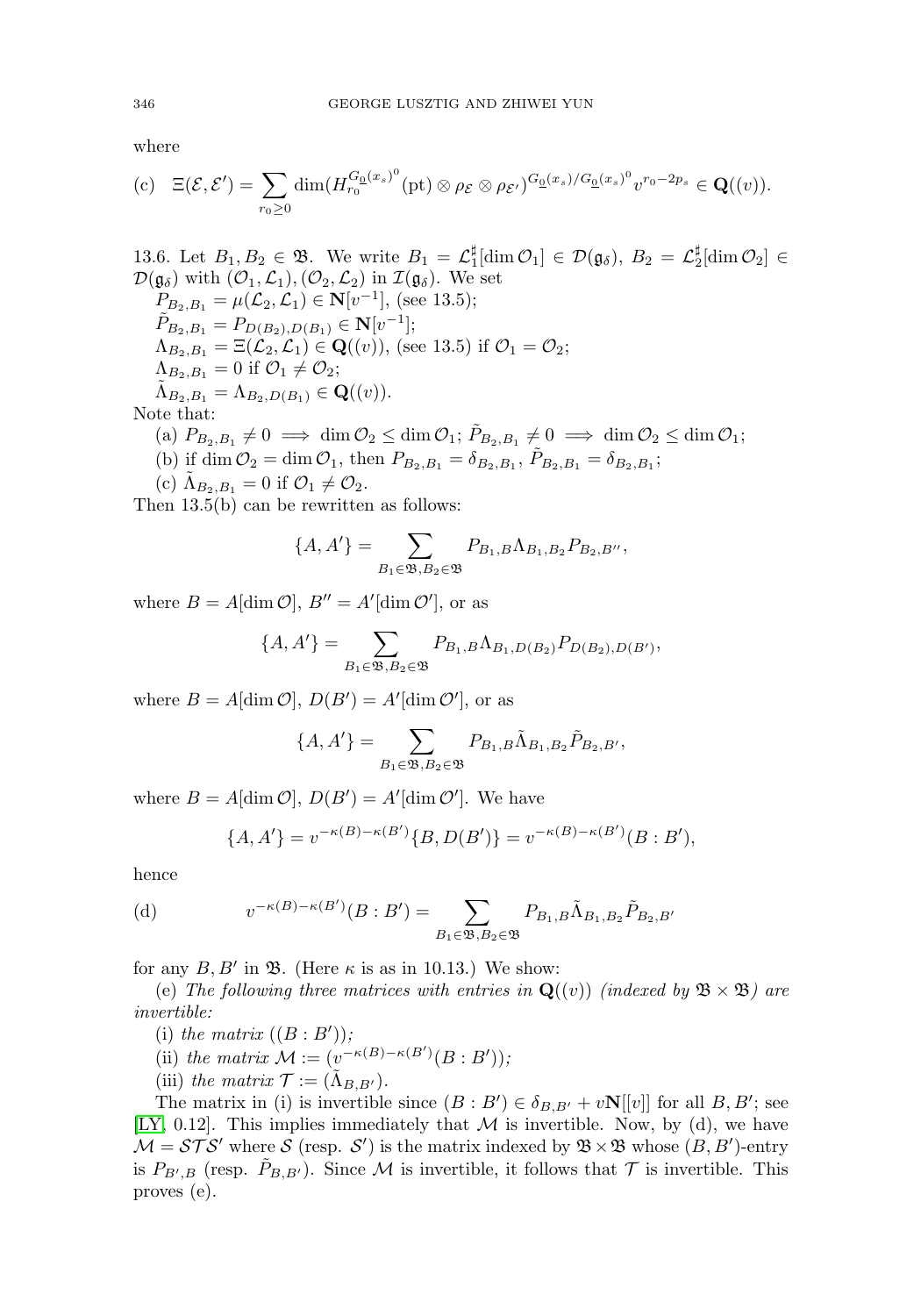where

346  
 *GEORGE LUSZTIG AND ZHIWEI YUN*  
where  
(c) 
$$
\Xi(\mathcal{E}, \mathcal{E}') = \sum_{r_0 \geq 0} \dim(H_{r_0}^{G_0(x_s)^0}(\text{pt}) \otimes \rho_{\mathcal{E}} \otimes \rho_{\mathcal{E}'})^{G_0(x_s)/G_0(x_s)^0} v^{r_0-2p_s} \in \mathbf{Q}((v)).
$$

13.6. Let  $B_1, B_2 \in \mathfrak{B}$ . We write  $B_1 = \mathcal{L}_1^{\sharp}[\dim \mathcal{O}_1] \in \mathcal{D}(\mathfrak{g}_{\delta}), B_2 = \mathcal{L}_2^{\sharp}[\dim \mathcal{O}_2] \in$  $\mathcal{D}(\mathfrak{g}_{\delta})$  with  $(\mathcal{O}_1,\mathcal{L}_1),(\mathcal{O}_2,\mathcal{L}_2)$  in  $\mathcal{I}(\mathfrak{g}_{\delta})$ . We set  $P_{B_2,B_1} = \mu(\mathcal{L}_2,\mathcal{L}_1) \in \mathbf{N}[v^{-1}],$  (see 13.5);  $\tilde{P}_{B_2,B_1} = P_{D(B_2),D(B_1)} \in \mathbf{N}[v^{-1}];$  $\Lambda_{B_2,B_1} = \Xi(\mathcal{L}_2,\mathcal{L}_1) \in \mathbf{Q}((v)),$  (see 13.5) if  $\mathcal{O}_1 = \mathcal{O}_2;$  $\Lambda_{B_2,B_1}=0$  if  $\mathcal{O}_1\neq\mathcal{O}_2;$  $\tilde{\Lambda}_{B_2,B_1} = \Lambda_{B_2,D(B_1)} \in \mathbf{Q}((v)).$ Note that: (a)  $P_{B_2,B_1} \neq 0 \implies \dim \mathcal{O}_2 \leq \dim \mathcal{O}_1$ ;  $\tilde{P}_{B_2,B_1} \neq 0 \implies \dim \mathcal{O}_2 \leq \dim \mathcal{O}_1$ ;

- (b) if dim  $\mathcal{O}_2 = \dim \mathcal{O}_1$ , then  $P_{B_2, B_1} = \delta_{B_2, B_1}$ ,  $\tilde{P}_{B_2, B_1} = \delta_{B_2, B_1}$ ;  ${}_{0} O_{2} \leq \text{dim}$ <br>then  $P_{B_{2},E}$ <br> $O_{2}.$ <br>tten as follo<br>} =  $\sum$
- 
- (c)  $\Lambda_{B_2,B_1} = 0$  if  $\mathcal{O}_1 \neq \mathcal{O}_2$ .

Then 13.5(b) can be rewritten as follows:

$$
\{A, A'\} = \sum_{B_1 \in \mathfrak{B}, B_2 \in \mathfrak{B}} P_{B_1, B} \Lambda_{B_1, B_2} P_{B_2, B''},
$$
  
\n
$$
B'' = A'[\dim \mathcal{O}'], \text{ or as}
$$
  
\n
$$
A'\} = \sum_{B_1, B} P_{B_1, B} \Lambda_{B_1, D(B_2)} P_{D(B_2), D}
$$

where  $B = A[\dim \mathcal{O}], B'' = A'[\dim \mathcal{O}'],$  or as

$$
\{A, A'\} = \sum_{B_1 \in \mathfrak{B}, B_2 \in \mathfrak{B}} P_{B_1, B} \Lambda_{B_1, D(B_2)} P_{D(B_2), D(B')},
$$
  
\n
$$
m \mathcal{O}, D(B') = A'[\dim \mathcal{O}'], \text{ or as}
$$
  
\n
$$
\{A, A'\} = \sum_{B_1, B} \tilde{\Lambda}_{B_1, B_2} \tilde{P}_{B_2, B'},
$$

where  $B = A[\dim \mathcal{O}], D(B') = A'[\dim \mathcal{O}'],$  or as

$$
\{A, A'\} = \sum_{B_1 \in \mathfrak{B}, B_2 \in \mathfrak{B}} P_{B_1, B} \tilde{\Lambda}_{B_1, B_2} \tilde{P}_{B_2, B'},
$$

where  $B = A[\dim \mathcal{O}], D(B') = A'[\dim \mathcal{O}']$ . We have

$$
A[\dim \mathcal{O}], D(B') = A'[\dim \mathcal{O}'], \text{ We have}
$$
  

$$
\{A, A'\} = v^{-\kappa(B) - \kappa(B')} \{B, D(B')\} = v^{-\kappa(B) - \kappa(B')} (B : B'),
$$
  

$$
v^{-\kappa(B) - \kappa(B')} (B : B') = \sum_{B_1, B} \tilde{\Lambda}_{B_1, B_2} \tilde{P}_{B_2, B'}
$$

hence

(d) 
$$
v^{-\kappa(B)-\kappa(B')} (B : B') = \sum_{B_1 \in \mathfrak{B}, B_2 \in \mathfrak{B}} P_{B_1, B} \tilde{\Lambda}_{B_1, B_2} \tilde{P}_{B_2, B'}
$$

for any  $B, B'$  in  $\mathfrak{B}$ . (Here  $\kappa$  is as in 10.13.) We show:

(e) The following three matrices with entries in  $\mathbf{Q}((v))$  (indexed by  $\mathfrak{B} \times \mathfrak{B}$ ) are invertible:

- (i) the matrix  $((B : B'))$ ;
- (ii) the matrix  $\mathcal{M} := (v^{-\kappa(B)-\kappa(B')}(B:B'));$
- (iii) the matrix  $\mathcal{T} := (\Lambda_{B,B'})$ .

The matrix in (i) is invertible since  $(B : B') \in \delta_{B,B'} + v\mathbf{N}[[v]]$  for all  $B, B'$ ; see  $|LY, 0.12|$ . This implies immediately that M is invertible. Now, by (d), we have  $\mathcal{M} = \mathcal{STS}'$  where  $\mathcal S$  (resp.  $\mathcal S'$ ) is the matrix indexed by  $\mathfrak{B} \times \mathfrak{B}$  whose  $(B, B')$ -entry is  $P_{B',B}$  (resp.  $P_{B,B'}$ ). Since M is invertible, it follows that T is invertible. This proves (e).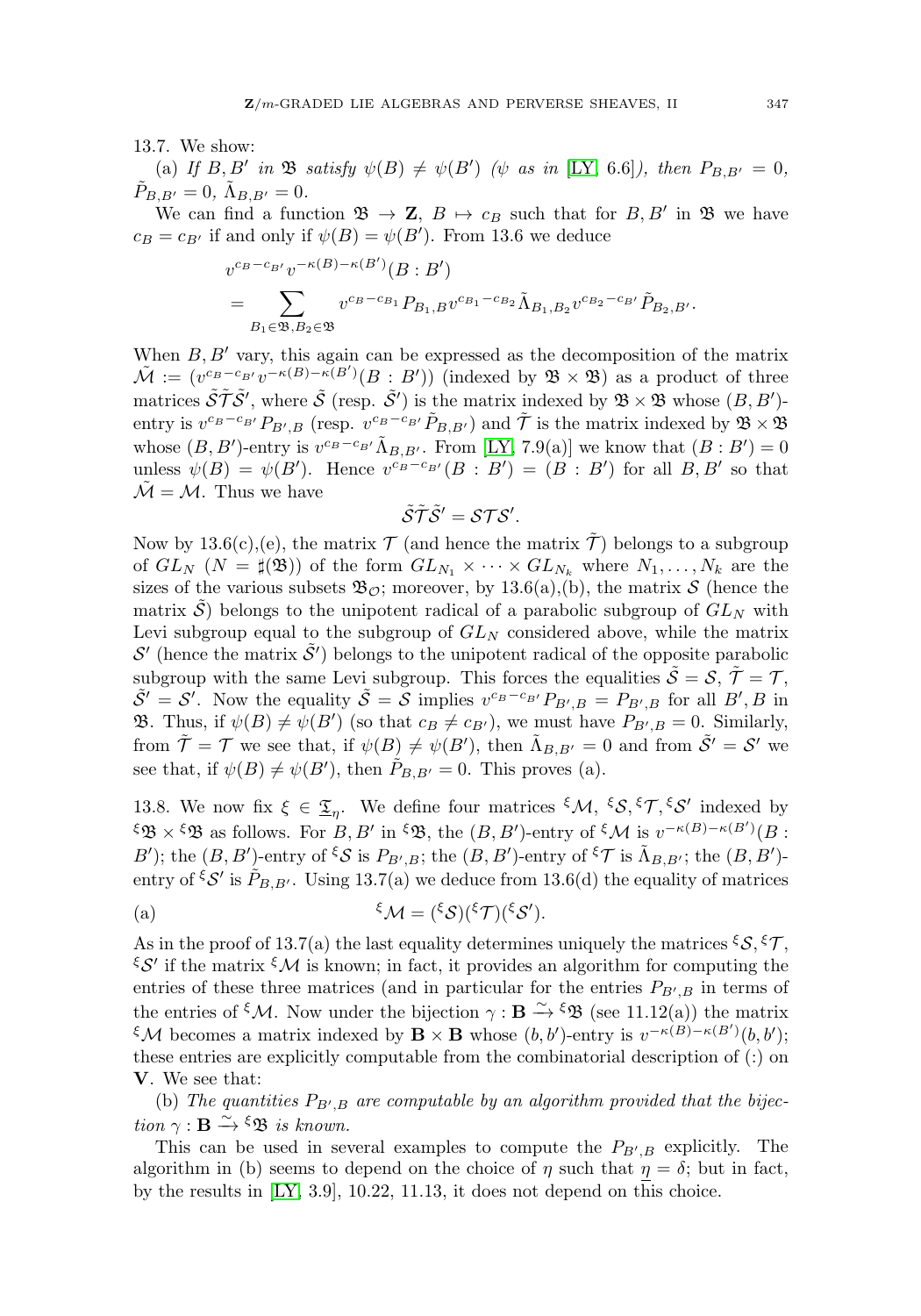13.7. We show:

(a) If  $B, B'$  in  $\mathfrak{B}$  satisfy  $\psi(B) \neq \psi(B')$  ( $\psi$  as in [\[LY,](#page-31-1) 6.6]), then  $P_{B,B'} = 0$ ,  $\tilde{P}_{B,B'}=0$ ,  $\tilde{\Lambda}_{B,B'}=0$ .

We can find a function  $\mathfrak{B} \to \mathbf{Z}$ ,  $B \mapsto c_B$  such that for  $B, B'$  in  $\mathfrak{B}$  we have  $c_B = c_{B'}$  if and only if  $\psi(B) = \psi(B')$ . From 13.6 we deduce

$$
\Lambda_{B,B'} = 0.
$$
  
find a function  $\mathfrak{B} \to \mathbf{Z}$ ,  $B \mapsto c_B$  such that for  $B, B'$  in  
and only if  $\psi(B) = \psi(B')$ . From 13.6 we deduce  

$$
v^{c_B - c_{B'}} v^{-\kappa(B) - \kappa(B')} (B : B')
$$

$$
= \sum_{B_1 \in \mathfrak{B}, B_2 \in \mathfrak{B}} v^{c_B - c_{B_1}} P_{B_1, B} v^{c_{B_1} - c_{B_2}} \tilde{\Lambda}_{B_1, B_2} v^{c_{B_2} - c_{B'}} \tilde{P}_{B_2, B'}.
$$

When  $B, B'$  vary, this again can be expressed as the decomposition of the matrix  $\tilde{\mathcal{M}} := (v^{c_B - c_{B'}}v^{-\kappa(B) - \kappa(B')}(B : B'))$  (indexed by  $\mathfrak{B} \times \mathfrak{B}$ ) as a product of three matrices  $\tilde{\mathcal{S}} \tilde{\mathcal{T}} \tilde{\mathcal{S}}'$ , where  $\tilde{\mathcal{S}}$  (resp.  $\tilde{\mathcal{S}}'$ ) is the matrix indexed by  $\mathfrak{B} \times \mathfrak{B}$  whose  $(B, B')$ entry is  $v^{c_B-c_{B'}}P_{B',B}$  (resp.  $v^{c_B-c_{B'}}\tilde{P}_{B,B'}$ ) and  $\tilde{\mathcal{T}}$  is the matrix indexed by  $\mathfrak{B} \times \mathfrak{B}$ whose  $(B, B')$ -entry is  $v^{c_B-c_{B'}} \tilde{\Lambda}_{B, B'}$ . From [\[LY,](#page-31-1) 7.9(a)] we know that  $(B : B') = 0$ unless  $\psi(B) = \psi(B')$ . Hence  $v^{c_B-c_{B'}}(B : B') = (B : B')$  for all  $B, B'$  so that  $\mathcal{\tilde{M}} = \mathcal{M}$ . Thus we have

$$
\tilde{\mathcal{S}}\tilde{\mathcal{T}}\tilde{\mathcal{S}}'=\mathcal{S}\mathcal{T}\mathcal{S}'.
$$

Now by 13.6(c),(e), the matrix  $\mathcal T$  (and hence the matrix  $\mathcal T$ ) belongs to a subgroup of  $GL_N$   $(N = \sharp(\mathfrak{B}))$  of the form  $GL_{N_1} \times \cdots \times GL_{N_k}$  where  $N_1, \ldots, N_k$  are the sizes of the various subsets  $\mathfrak{B}_{\mathcal{O}}$ ; moreover, by 13.6(a),(b), the matrix S (hence the matrix S belongs to the unipotent radical of a parabolic subgroup of  $GL_N$  with Levi subgroup equal to the subgroup of  $GL_N$  considered above, while the matrix  $\mathcal{S}'$  (hence the matrix  $\tilde{\mathcal{S}}'$ ) belongs to the unipotent radical of the opposite parabolic subgroup with the same Levi subgroup. This forces the equalities  $\tilde{\mathcal{S}} = \mathcal{S}, \tilde{\mathcal{T}} = \mathcal{T},$  $\tilde{S}' = S'$ . Now the equality  $\tilde{S} = S$  implies  $v^{c_B-c_{B'}} P_{B',B} = P_{B',B}$  for all  $B', B$  in **33.** Thus, if  $\psi(B) \neq \psi(B')$  (so that  $c_B \neq c_{B'}$ ), we must have  $P_{B',B} = 0$ . Similarly, from  $\tilde{\mathcal{T}} = \mathcal{T}$  we see that, if  $\psi(B) \neq \psi(B')$ , then  $\tilde{\Lambda}_{B,B'} = 0$  and from  $\tilde{\mathcal{S}}' = \mathcal{S}'$  we see that, if  $\psi(B) \neq \psi(B')$ , then  $\tilde{P}_{B,B'} = 0$ . This proves (a).

13.8. We now fix  $\xi \in \underline{\mathfrak{T}}_n$ . We define four matrices  $\xi \mathcal{M}, \xi \mathcal{S}, \xi \mathcal{T}, \xi \mathcal{S}'$  indexed by  $\mathfrak{g} \times \mathfrak{g}$  as follows. For  $B, B'$  in  $\mathfrak{g}$ , the  $(B, B')$ -entry of  $\mathfrak{g} \mathcal{M}$  is  $v^{-\kappa(B)-\kappa(B')}(B)$ : B'); the  $(B, B')$ -entry of  $\zeta S$  is  $P_{B', B}$ ; the  $(B, B')$ -entry of  $\zeta \mathcal{T}$  is  $\tilde{\Lambda}_{B, B'}$ ; the  $(B, B')$ entry of  $\zeta S'$  is  $P_{B,B'}$ . Using 13.7(a) we deduce from 13.6(d) the equality of matrices

(a) 
$$
\mathcal{E}_{\mathcal{M}} = (\mathcal{E}_{\mathcal{S}})(\mathcal{E}_{\mathcal{T}})(\mathcal{E}_{\mathcal{S}}').
$$

As in the proof of 13.7(a) the last equality determines uniquely the matrices  $\mathcal{S}$ ,  $\mathcal{S}$ ,  $\mathcal{T}$ ,  $\mathcal{E}$ ' if the matrix  $\mathcal{E}$ M is known; in fact, it provides an algorithm for computing the entries of these three matrices (and in particular for the entries  $P_{B',B}$  in terms of the entries of <sup> $\xi$ </sup>*M*. Now under the bijection  $\gamma : \mathbf{B} \xrightarrow{\sim} \xi \mathfrak{B}$  (see 11.12(a)) the matrix  $\mathcal{L} \mathcal{M}$  becomes a matrix indexed by  $\mathbf{B} \times \mathbf{B}$  whose  $(b, b')$ -entry is  $v^{-\kappa(B)-\kappa(B')}(b, b')$ ; these entries are explicitly computable from the combinatorial description of (:) on **V**. We see that:

(b) The quantities  $P_{B',B}$  are computable by an algorithm provided that the bijection  $\gamma : \mathbf{B} \xrightarrow{\sim} \xi \mathfrak{B}$  is known.

This can be used in several examples to compute the  $P_{B',B}$  explicitly. The algorithm in (b) seems to depend on the choice of  $\eta$  such that  $\eta = \delta$ ; but in fact, by the results in [\[LY,](#page-31-1) 3.9], 10.22, 11.13, it does not depend on this choice.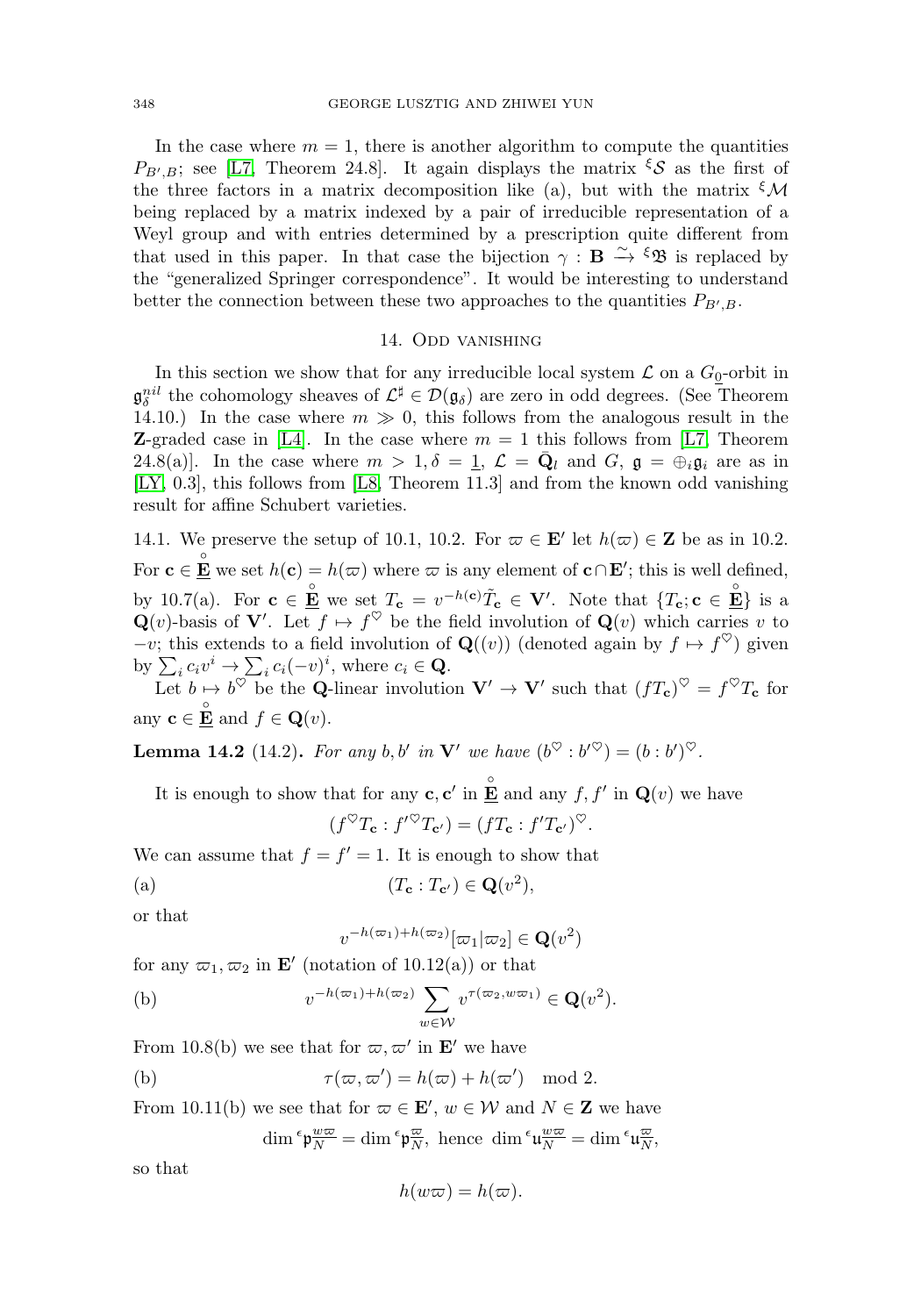In the case where  $m = 1$ , there is another algorithm to compute the quantities  $P_{B',B}$ ; see [\[L7,](#page-31-5) Theorem 24.8]. It again displays the matrix  $\zeta$  as the first of the three factors in a matrix decomposition like (a), but with the matrix  ${}^{\xi}$ M being replaced by a matrix indexed by a pair of irreducible representation of a Weyl group and with entries determined by a prescription quite different from that used in this paper. In that case the bijection  $\gamma : \mathbf{B} \xrightarrow{\sim} {}^{\xi} \mathfrak{B}$  is replaced by the "generalized Springer correspondence". It would be interesting to understand better the connection between these two approaches to the quantities  $P_{B,B}$ .

### 14. Odd vanishing

<span id="page-26-0"></span>In this section we show that for any irreducible local system  $\mathcal L$  on a  $G_0$ -orbit in  $\mathfrak{g}_{\delta}^{nil}$  the cohomology sheaves of  $\mathcal{L}^{\sharp} \in \mathcal{D}(\mathfrak{g}_{\delta})$  are zero in odd degrees. (See Theorem 14.10.) In the case where  $m \gg 0$ , this follows from the analogous result in the **Z**-graded case in [\[L4\]](#page-31-2). In the case where  $m = 1$  this follows from [\[L7,](#page-31-5) Theorem 24.8(a)]. In the case where  $m > 1, \delta = 1, \mathcal{L} = \mathbf{Q}_l$  and  $G, \mathbf{g} = \bigoplus_i \mathbf{g}_i$  are as in [\[LY,](#page-31-1) 0.3], this follows from [\[L8,](#page-31-6) Theorem 11.3] and from the known odd vanishing result for affine Schubert varieties.

14.1. We preserve the setup of 10.1, 10.2. For  $\varpi \in \mathbf{E}'$  let  $h(\varpi) \in \mathbf{Z}$  be as in 10.2. For  $\mathbf{c} \in \mathbf{E}$  we set  $h(\mathbf{c}) = h(\varpi)$  where  $\varpi$  is any element of  $\mathbf{c} \cap \mathbf{E}'$ ; this is well defined, by 10.7(a). For  $\mathbf{c} \in \mathbf{E}$  we set  $T_{\mathbf{c}} = v^{-h(\mathbf{c})} \tilde{T}_{\mathbf{c}} \in \mathbf{V}'$ . Note that  $\{T_{\mathbf{c}}; \mathbf{c} \in \mathbf{E}\}$  is a  $\mathbf{Q}(v)$ -basis of  $\mathbf{V}'$ . Let  $f \mapsto f^{\vee}$  be the field involution of  $\mathbf{Q}(v)$  which carries v to  $-v$ ; this extends to a field involution of **Q**((v)) (denoted again by  $f \mapsto f^{\heartsuit}$ ) given For  $\mathbf{c} \in \mathbf{\underline{\mathring{E}}}$  we set<br>by 10.7(a). For<br> $\mathbf{Q}(v)$ -basis of  $\mathbf{V}$ <br> $-v$ ; this extends<br>by  $\sum_i c_i v^i \to \sum$  $c_i(c_i(-v)^i)$ , where  $c_i \in \mathbf{Q}$ .

Let  $b \mapsto b^{\vee}$  be the **Q**-linear involution  $V' \to V'$  such that  $(fT_c)^{\vee} = f^{\vee}T_c$  for any  $\mathbf{c} \in \mathbf{\underline{\mathring{E}}}$  and  $f \in \mathbf{Q}(v)$ .

**Lemma 14.2** (14.2). For any b, b' in **V**' we have  $(b^{\heartsuit} : b'^{\heartsuit}) = (b : b')^{\heartsuit}$ .

It is enough to show that for any **c**, **c**' in  $\frac{\circ}{\mathbf{E}}$  and any  $f, f'$  in  $\mathbf{Q}(v)$  we have

$$
(f^{\heartsuit}T_{\mathbf{c}}:f'^{\heartsuit}T_{\mathbf{c}'})=(fT_{\mathbf{c}}:f'T_{\mathbf{c}'})^{\heartsuit}.
$$

We can assume that  $f = f' = 1$ . It is enough to show that

(a) 
$$
(T_{\mathbf{c}} : T_{\mathbf{c'}}) \in \mathbf{Q}(v^2),
$$

or that

$$
v^{-h(\varpi_1)+h(\varpi_2)}[\varpi_1|\varpi_2] \in \mathbf{Q}(v^2)
$$

for any  $\varpi_1, \varpi_2$  in **E**' (notation of 10.12(a)) or that

(a) 
$$
(T_{\mathbf{c}} : T_{\mathbf{c'}}) \in \mathbf{Q}(v^2)
$$
,  
or that  
 $v^{-h(\varpi_1)+h(\varpi_2)}[\varpi_1|\varpi_2] \in \mathbf{Q}(v^2)$   
for any  $\varpi_1, \varpi_2$  in **E'** (notation of 10.12(a)) or that  
(b)  $v^{-h(\varpi_1)+h(\varpi_2)} \sum_{w \in W} v^{\tau(\varpi_2, w\varpi_1)} \in \mathbf{Q}(v^2)$ .

From 10.8(b) we see that for  $\varpi, \varpi'$  in **E'** we have

(b) 
$$
\tau(\varpi,\varpi') = h(\varpi) + h(\varpi') \mod 2.
$$

From 10.11(b) we see that for  $\varpi \in \mathbf{E}'$ ,  $w \in \mathcal{W}$  and  $N \in \mathbf{Z}$  we have  $\dim^{\epsilon} \mathfrak{p}_{\overline{N}}^{\underline{w}\overline{\underline{\omega}}} = \dim^{\epsilon} \mathfrak{p}_{\overline{N}}^{\overline{\underline{\omega}}}, \text{ hence } \dim^{\epsilon} \mathfrak{u}_{\overline{N}}^{\underline{w}\overline{\underline{\omega}}} = \dim^{\epsilon} \mathfrak{u}_{\overline{N}}^{\overline{\underline{\omega}}},$ 

so that

$$
h(w\varpi) = h(\varpi).
$$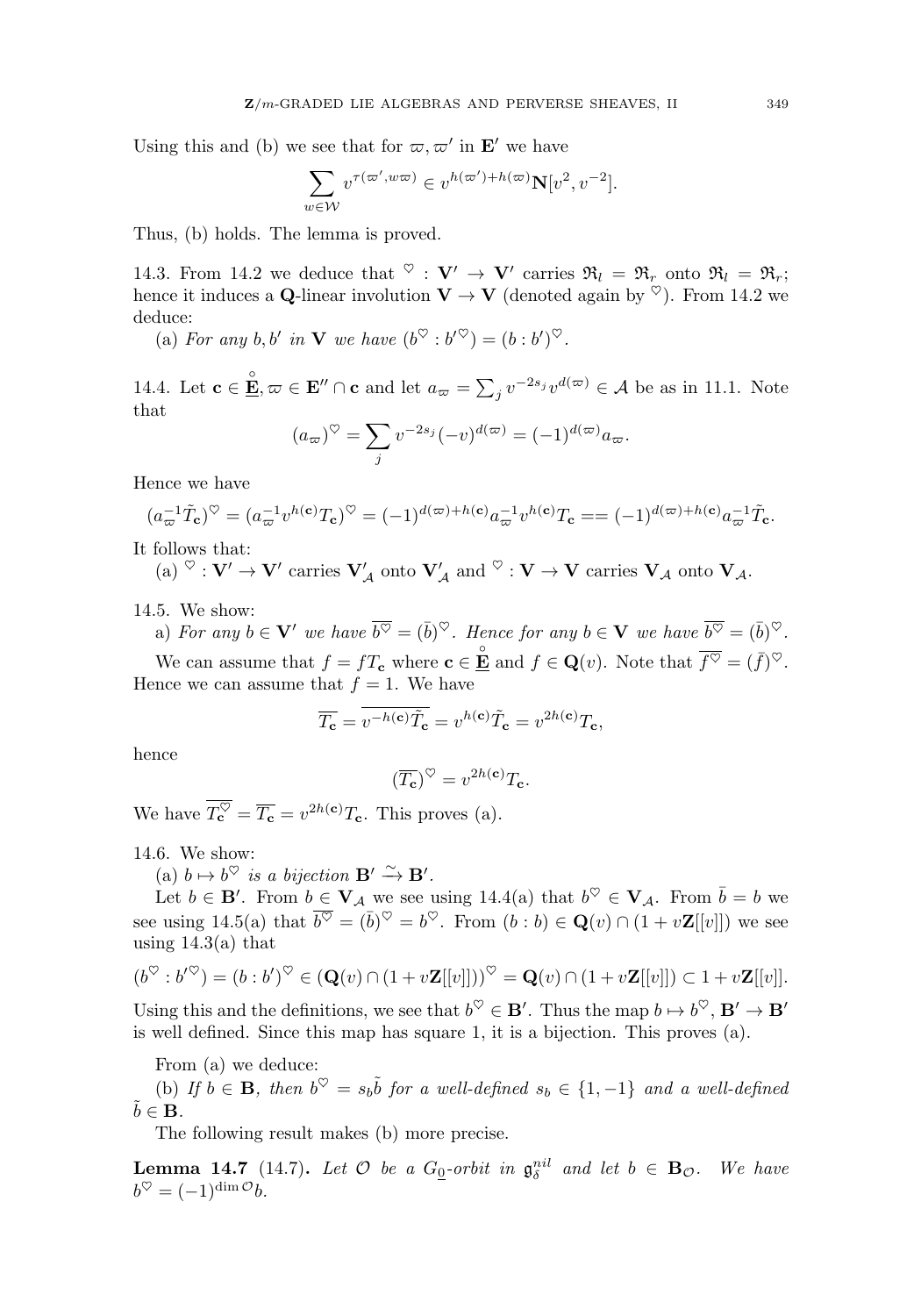Using this and (b) we see that for  $\varpi, \varpi'$  in **E**' we have

$$
\sum_{w \in \mathcal{W}} v^{\tau(\varpi', w\varpi)} \in v^{h(\varpi')+h(\varpi)} \mathbf{N}[v^2, v^{-2}].
$$

Thus, (b) holds. The lemma is proved.

14.3. From 14.2 we deduce that  $\sqrt{\ }$  :  $V' \rightarrow V'$  carries  $\mathfrak{R}_l = \mathfrak{R}_r$  onto  $\mathfrak{R}_l = \mathfrak{R}_r$ ; hence it induces a **Q**-linear involution  $V \rightarrow V$  (denoted again by  $\heartsuit$ ). From 14.2 we deduce: 14.5. From 14.2 we deduce that  $\mathbf{v} : \mathbf{v} \to \mathbf{v}$  carries  $\mathfrak{R}_l = \mathfrak{R}_r$  onto  $\mathfrak{R}_l = \mathfrak{R}_r$ ;<br>hence it induces a **Q**-linear involution  $\mathbf{V} \to \mathbf{V}$  (denoted again by  $\heartsuit$ ). From 14.2 we<br>deduce:<br>(a) Fo

(a) For any b, b' in **V** we have  $(b^{\vee} : b^{\prime\vee}) = (b : b^{\prime})^{\vee}$ .

that we have<br> $\bigcap$ **c** and<br> $\bigcirc$  =  $\sum$ 

$$
(a_{\varpi})^{\heartsuit} = \sum_{j} v^{-2s_j} (-v)^{d(\varpi)} = (-1)^{d(\varpi)} a_{\varpi}.
$$

Hence we have

$$
(a_{\varpi}^{-1}\tilde{T}_{\mathbf{c}})^{\heartsuit} = (a_{\varpi}^{-1}v^{h(\mathbf{c})}T_{\mathbf{c}})^{\heartsuit} = (-1)^{d(\varpi)+h(\mathbf{c})}a_{\varpi}^{-1}v^{h(\mathbf{c})}T_{\mathbf{c}} = (-1)^{d(\varpi)+h(\mathbf{c})}a_{\varpi}^{-1}\tilde{T}_{\mathbf{c}}.
$$

It follows that:

 $(X) \circ \cdot \mathbf{V}' \to \mathbf{V}'$  carries  $\mathbf{V}'_{\mathcal{A}}$  onto  $\mathbf{V}'_{\mathcal{A}}$  and  $\circ \cdot \mathbf{V} \to \mathbf{V}$  carries  $\mathbf{V}_{\mathcal{A}}$  onto  $\mathbf{V}_{\mathcal{A}}$ .

14.5. We show:

a) For any 
$$
b \in V'
$$
 we have  $\overline{b^{\heartsuit}} = (\overline{b})^{\heartsuit}$ . Hence for any  $b \in V$  we have  $\overline{b^{\heartsuit}} = (\overline{b})^{\heartsuit}$ .

We can assume that  $f = fT_c$  where  $\mathbf{c} \in \mathbf{\mathring{E}}$  and  $f \in \mathbf{Q}(v)$ . Note that  $\overline{f^{\heartsuit}} = (\overline{f})^{\heartsuit}$ . Hence we can assume that  $f = 1$ . We have

$$
\overline{T_{\mathbf{c}}} = \overline{v^{-h(\mathbf{c})}\tilde{T}_{\mathbf{c}}} = v^{h(\mathbf{c})}\tilde{T}_{\mathbf{c}} = v^{2h(\mathbf{c})}T_{\mathbf{c}},
$$

hence

$$
(\overline{T_{\mathbf{c}}})^{\heartsuit}=v^{2h(\mathbf{c})}T_{\mathbf{c}}.
$$

We have  $T_{\mathbf{c}}^{\heartsuit} = \overline{T_{\mathbf{c}}} = v^{2h(\mathbf{c})} T_{\mathbf{c}}$ . This proves (a).

14.6. We show:

(a)  $b \mapsto b^{\heartsuit}$  is a bijection  $\mathbf{B}' \xrightarrow{\sim} \mathbf{B}'$ .

Let  $b \in \mathbf{B}'$ . From  $b \in \mathbf{V}_{\mathcal{A}}$  we see using 14.4(a) that  $b^{\heartsuit} \in \mathbf{V}_{\mathcal{A}}$ . From  $\overline{b} = b$  we see using 14.5(a) that  $\overline{b^{\heartsuit}} = (\overline{b})^{\heartsuit} = b^{\heartsuit}$ . From  $(b:b) \in \mathbf{Q}(v) \cap (1+v\mathbf{Z}[[v]])$  we see using  $14.3(a)$  that

$$
(b^{\heartsuit}:b'^{\heartsuit})=(b:b')^{\heartsuit}\in (\mathbf{Q}(v)\cap (1+v\mathbf{Z}[[v]])^{\heartsuit})=\mathbf{Q}(v)\cap (1+v\mathbf{Z}[[v]])\subset 1+v\mathbf{Z}[[v]].
$$

Using this and the definitions, we see that  $b^{\heartsuit} \in \mathbf{B}'$ . Thus the map  $b \mapsto b^{\heartsuit}, \mathbf{B}' \to \mathbf{B}'$ is well defined. Since this map has square 1, it is a bijection. This proves (a).

From (a) we deduce:

(b) If  $b \in \mathbf{B}$ , then  $b^{\heartsuit} = s_b \tilde{b}$  for a well-defined  $s_b \in \{1, -1\}$  and a well-defined  $\tilde{b} \in \mathbf{B}$ .

The following result makes (b) more precise.

**Lemma 14.7** (14.7). Let  $\mathcal{O}$  be a  $G_0$ -orbit in  $\mathfrak{g}_{\delta}^{nil}$  and let  $b \in \mathbf{B}_{\mathcal{O}}$ . We have  $b^{\heartsuit} = (-1)^{\dim \mathcal{O}} b.$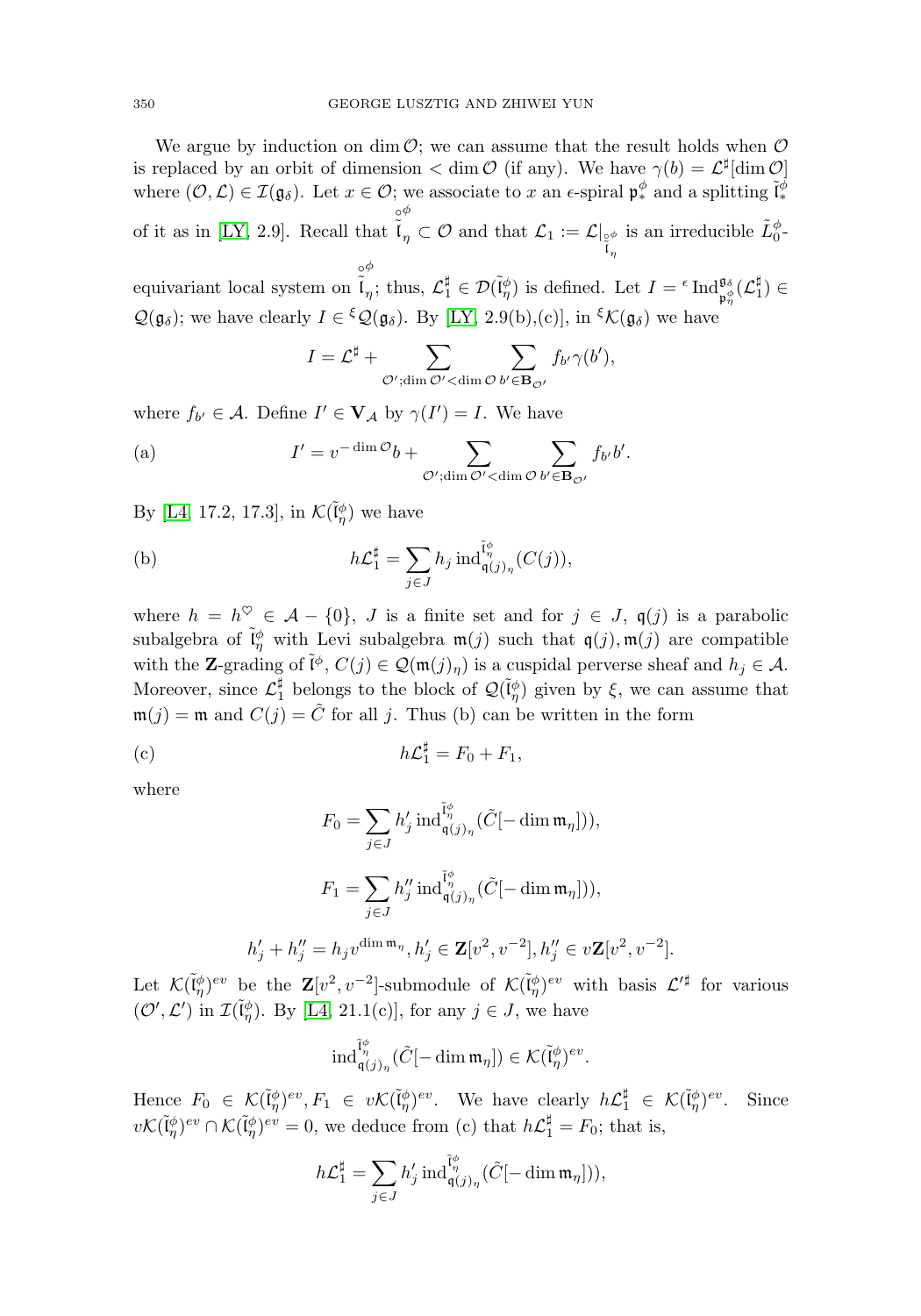We argue by induction on dim  $\mathcal{O}$ ; we can assume that the result holds when  $\mathcal{O}$ is replaced by an orbit of dimension  $\langle$  dim  $\mathcal{O}$  (if any). We have  $\gamma(b) = \mathcal{L}^{\sharp}[\dim \mathcal{O}]$ where  $(\mathcal{O}, \mathcal{L}) \in \mathcal{I}(\mathfrak{g}_{\delta})$ . Let  $x \in \mathcal{O}$ ; we associate to x an  $\epsilon$ -spiral  $\mathfrak{p}_*^{\phi}$  and a splitting  $\tilde{\mathfrak{l}}_*^{\phi}$ ∗ of it as in [\[LY,](#page-31-1) 2.9]. Recall that  $\int_{0}^{\infty}$ φ  $\mathcal{L}_{\eta} \subset \mathcal{O} \text{ and that } \mathcal{L}_1 := \mathcal{L}|_{\overset{\circ}{\mathfrak{g}}_{\eta}}$ η at  $\mathcal{L}_1 := \mathcal{L}|_{\substack{\circ \phi \\ \tilde{\mathfrak{l}}_n}}$  is an irreducible  $\tilde{L}_0^{\phi}$ . φ

equivariant local system on  $\hat{\tilde{l}}$  $\eta$ ; thus,  $\mathcal{L}_1^{\sharp} \in \mathcal{D}(\tilde{\mathfrak{l}}_{\eta}^{\phi})$  is defined. Let  $I = \iota$  Ind $\mathfrak{g}_{\phi}^{\mathfrak{g}_{\phi}}(\mathcal{L}_1^{\sharp}) \in$  $\mathcal{Q}(\mathfrak{g}_{\delta})$ ; we have clearly  $I \in {}^{\xi}\mathcal{Q}(\mathfrak{g}_{\delta})$ . By [\[LY,](#page-31-1) 2.9(b),(c)], in  ${}^{\xi}\mathcal{K}(\mathfrak{g}_{\delta})$  we have  $\lim_{I} \overbrace{\mathfrak{l}}^{\circ \phi}$  finds,  $\mathcal{L}_1^{\sharp}$ <br>  $\mathfrak{l} \in \mathfrak{c} \mathcal{Q}(\mathfrak{g}_{\delta}).$  By [1]<br>  $I = \mathcal{L}^{\sharp} + \sum_{I}$ 

$$
I = \mathcal{L}^{\sharp} + \sum_{\mathcal{O}': \dim \mathcal{O}'} \sum_{\mathbf{dim} \mathcal{O}} \sum_{b' \in \mathbf{B}_{\mathcal{O}'}} f_{b'} \gamma(b'),
$$

where  $f_{b'} \in \mathcal{A}$ . Define  $I' \in \mathbf{V}_{\mathcal{A}}$  by  $\gamma(I') = I$ . We have

$$
I = \mathcal{L}^{\sharp} + \sum_{\mathcal{O}': \dim \mathcal{O}'} \sum_{\mathcal{O}' \in \mathbf{B}_{\mathcal{O}'}} f_{b'} \gamma(b'),
$$
  
where  $f_{b'} \in \mathcal{A}$ . Define  $I' \in \mathbf{V}_{\mathcal{A}}$  by  $\gamma(I') = I$ . We have  
(a) 
$$
I' = v^{-\dim \mathcal{O}} b + \sum_{\mathcal{O}': \dim \mathcal{O}' < \dim \mathcal{O}} \sum_{b' \in \mathbf{B}_{\mathcal{O}'}} f_{b'} b'.
$$
  
By [L4, 17.2, 17.3], in  $\mathcal{K}(\tilde{\mathfrak{l}}_{\eta}^{\phi})$  we have  
(b) 
$$
h\mathcal{L}_{1}^{\sharp} = \sum h_{j} \operatorname{ind}_{\mathfrak{q}(j)_{n}}^{\tilde{\mathfrak{l}}_{\eta}^{\phi}}(C(j)),
$$

By [\[L4,](#page-31-2) 17.2, 17.3], in  $\mathcal{K}(\tilde{\mathfrak{l}}_{\eta}^{\phi})$  we have

(b) 
$$
h\mathcal{L}_1^{\sharp} = \sum_{j \in J} h_j \operatorname{ind}_{\mathfrak{q}(j)_\eta}^{\tilde{\mathfrak{l}}_{\eta}^{\phi}}(C(j)),
$$

where  $h = h^{\heartsuit} \in \mathcal{A} - \{0\}, J$  is a finite set and for  $j \in J$ ,  $\mathfrak{q}(j)$  is a parabolic subalgebra of  $\tilde{\mathfrak{l}}_{\eta}^{\phi}$  with Levi subalgebra  $\mathfrak{m}(j)$  such that  $\mathfrak{q}(j), \mathfrak{m}(j)$  are compatible with the **Z**-grading of  $\tilde{\mathfrak{l}}^{\phi}$ ,  $C(j) \in \mathcal{Q}(\mathfrak{m}(j)_{\eta})$  is a cuspidal perverse sheaf and  $h_j \in \mathcal{A}$ . Moreover, since  $\mathcal{L}_1^{\sharp}$  belongs to the block of  $\mathcal{Q}(\tilde{I}_{\eta}^{\phi})$  given by  $\xi$ , we can assume that  $\mathfrak{m}(j) = \mathfrak{m}$  and  $C(j) = \tilde{C}$  for all j. Thus (b) can be written in the form<br>
(c)  $h\mathcal{L}_1^{\sharp} = F_0 + F_1,$ <br>
where  $F_0 = \sum h'_j \operatorname{ind}_{\mathfrak{a}(j)_*}^{\tilde{\mathfrak{a}}^{\sharp}}(\tilde{C}[-\dim \mathfrak{m}_{\eta}])).$ 

(c) 
$$
h\mathcal{L}_1^{\sharp} = F_0 + F_1,
$$

where

$$
F_0 = \sum_{j \in J} h'_j \operatorname{ind}_{\mathfrak{q}(j)_{\eta}}^{\tilde{l}_{\eta}^{\phi}} (\tilde{C}[-\dim \mathfrak{m}_{\eta}])),
$$
  

$$
F_1 = \sum_{j \in J} h''_j \operatorname{ind}_{\mathfrak{q}(j)_{\eta}}^{\tilde{l}_{\eta}^{\phi}} (\tilde{C}[-\dim \mathfrak{m}_{\eta}])),
$$
  

$$
h'_j + h''_j = h_j v^{\dim \mathfrak{m}_{\eta}}, h'_j \in \mathbf{Z}[v^2, v^{-2}], h''_j \in v\mathbf{Z}[v^2, v^{-2}].
$$

Let  $\mathcal{K}(\tilde{V}_{\eta}^{\phi})^{ev}$  be the  $\mathbf{Z}[v^2, v^{-2}]$ -submodule of  $\mathcal{K}(\tilde{V}_{\eta}^{\phi})^{ev}$  with basis  $\mathcal{L}'^{\sharp}$  for various  $(\mathcal{O}', \mathcal{L}')$  in  $\mathcal{I}(\tilde{\mathfrak{l}}_q^{\phi})$ . By [\[L4,](#page-31-2) 21.1(c)], for any  $j \in J$ , we have

$$
\mathrm{ind}_{\mathfrak{q}(j)_{\eta}}^{\tilde{\mathfrak{l}}_{\eta}^{\phi}}(\tilde{C}[-\dim \mathfrak{m}_{\eta}]) \in \mathcal{K}(\tilde{\mathfrak{l}}_{\eta}^{\phi})^{ev}.
$$

Hence  $F_0 \in \mathcal{K}(\tilde{V}_\eta^{\phi})^{ev}, F_1 \in v\mathcal{K}(\tilde{V}_\eta^{\phi})^{ev}$ . We have clearly  $h\mathcal{L}_1^{\sharp} \in \mathcal{K}(\tilde{V}_\eta^{\phi})^{ev}$ . Since  $v\mathcal{K}(\tilde{\mathfrak{l}}_{\eta}^{\phi})^{ev} \cap \mathcal{K}(\tilde{\mathfrak{l}}_{\eta}^{\phi})^{ev} = 0$ , we deduce from (c) that  $h\mathcal{L}_{1}^{\sharp} = F_{0}$ ; that is,  $\operatorname{ind}_{\mathfrak{q}(j)_{\eta}}^{\mathfrak{q}}(\mathfrak{g})_{\mathfrak{q}}$ <br>  $\in v\mathcal{K}(\mathfrak{g})$ <br>  $\stackrel{\text{d}}{\mathfrak{q}}$  =  $\sum$ 

$$
h\mathcal{L}_1^{\sharp} = \sum_{j \in J} h'_j \operatorname{ind}_{\mathfrak{q}(j)_{\eta}}^{\tilde{\mathfrak{l}}_{\eta}^{\phi}} (\tilde{C}[-\dim \mathfrak{m}_{\eta}])),
$$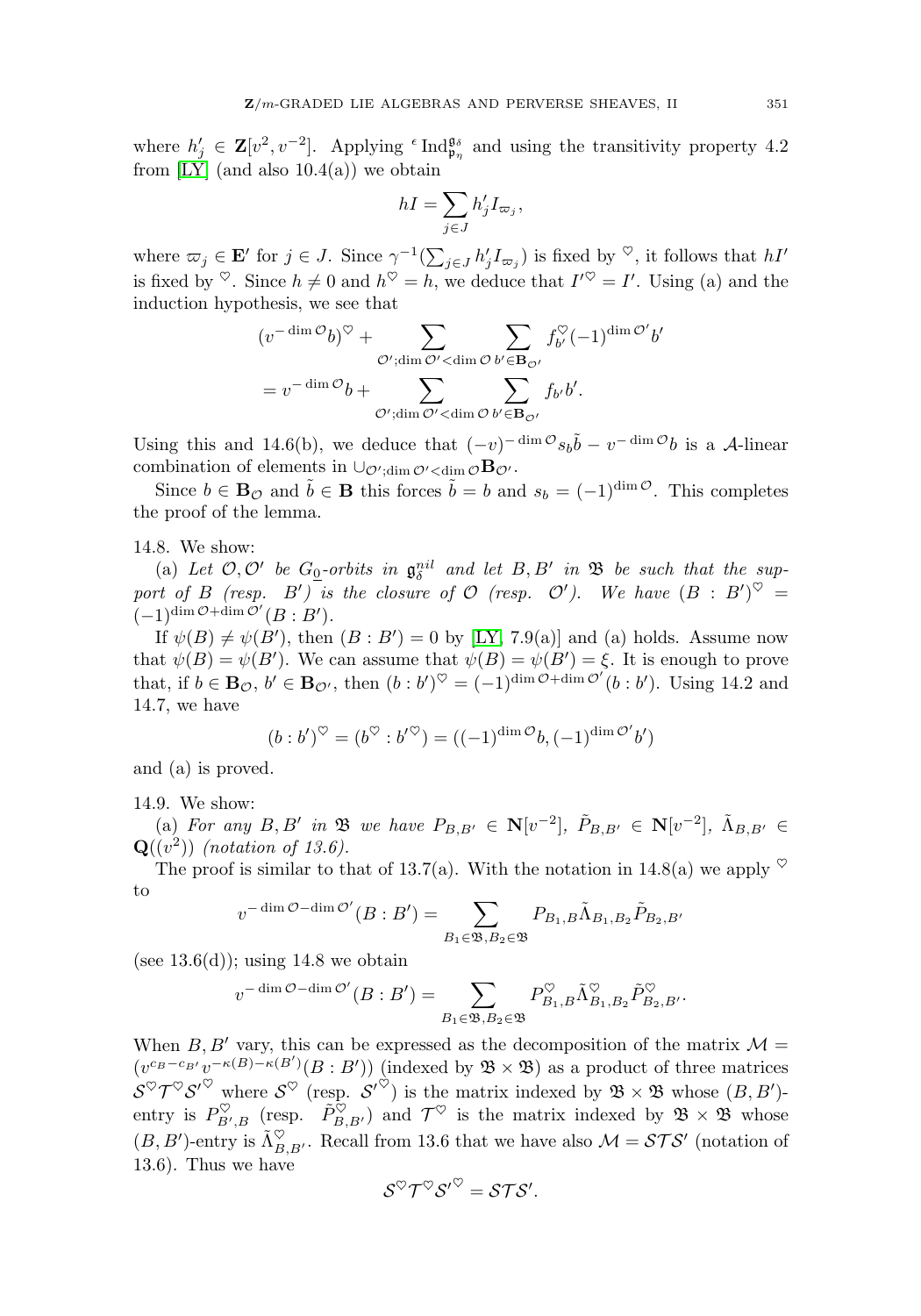where  $h'_j \in \mathbf{Z}[v^2, v^{-2}]$ . Applying <sup> $\epsilon$ </sup>Ind<sub> $\mathfrak{p}_\eta$ </sub> and using the transitivity property 4.2 from  $[LY]$  (and also  $10.4(a)$ ) we obtain GEBRAS.<br>
g <sup>e</sup> Ind<sup>g<sub>o</sup>n</sub><br>
btain<br>  $hI = \sum$ </sup>  $\operatorname{nc}$ 

$$
hI = \sum_{j \in J} h'_j I_{\varpi_j},
$$

where  $\varpi_j \in \mathbf{E}'$  for  $j \in J$ . Since  $\gamma^{-1}(\sum_{j \in J} h'_j I_{\varpi_j})$  is fixed by  $\heartsuit$ , it follows that  $hI'$ induction hypothesis, we see that Since  $\gamma^{-1}(\sum)$ <br>and  $h^{\heartsuit} = h$ , ee that<br> ${}^{\heartsuit} + \sum$ 

is fixed by 
$$
\heartsuit
$$
. Since  $h \neq 0$  and  $h^{\heartsuit} = h$ , we deduce that  $I'^{\heartsuit} = I'$ . Using (a) and the  
induction hypothesis, we see that  

$$
(v^{-\dim \mathcal{O}}b)^{\heartsuit} + \sum_{\mathcal{O}'; \dim \mathcal{O}' < \dim \mathcal{O}} \sum_{b' \in \mathbf{B}_{\mathcal{O}'}} f_{b'}^{\heartsuit}(-1)^{\dim \mathcal{O}'}b'
$$

$$
= v^{-\dim \mathcal{O}}b + \sum_{\mathcal{O}'; \dim \mathcal{O}' < \dim \mathcal{O}} \sum_{b' \in \mathbf{B}_{\mathcal{O}'}} f_{b'}b'.
$$

Using this and 14.6(b), we deduce that  $(-v)^{-\dim \mathcal{O}} s_b \tilde{b} - v^{-\dim \mathcal{O}} b$  is a A-linear combination of elements in  $\cup_{\mathcal{O}';dim \mathcal{O}' < dim \mathcal{O}}$ **B** $_{\mathcal{O}'}$ .

Since  $b \in \mathbf{B}_{\mathcal{O}}$  and  $\tilde{b} \in \mathbf{B}$  this forces  $\tilde{b} = b$  and  $s_b = (-1)^{\dim \mathcal{O}}$ . This completes the proof of the lemma.

#### 14.8. We show:

(a) Let  $\mathcal{O}, \mathcal{O}'$  be  $G_0$ -orbits in  $\mathfrak{g}_{\delta}^{nil}$  and let  $B, B'$  in  $\mathfrak{B}$  be such that the support of B (resp. B') is the closure of  $\mathcal O$  (resp.  $\mathcal O'$ ). We have  $(B : B')^{\heartsuit} =$  $(-1)^{\dim \mathcal{O} + \dim \mathcal{O}'}(B:B').$ 

If  $\psi(B) \neq \psi(B')$ , then  $(B : B') = 0$  by [\[LY,](#page-31-1) 7.9(a)] and (a) holds. Assume now that  $\psi(B) = \psi(B')$ . We can assume that  $\psi(B) = \psi(B') = \xi$ . It is enough to prove that, if  $b \in \mathbf{B}_{\mathcal{O}}$ ,  $b' \in \mathbf{B}_{\mathcal{O}}$ , then  $(b:b')^{\heartsuit} = (-1)^{\dim \mathcal{O} + \dim \mathcal{O}'}(b:b')$ . Using 14.2 and 14.7, we have

$$
(b:b')^{\heartsuit}=(b^{\heartsuit}:b'^{\heartsuit})=((-1)^{\dim \mathcal{O}}b,(-1)^{\dim \mathcal{O}'}b')
$$

and (a) is proved.

# 14.9. We show:

(a) For any  $B, B'$  in  $\mathfrak{B}$  we have  $P_{B,B'} \in \mathbb{N}[v^{-2}]$ ,  $\tilde{P}_{B,B'} \in \mathbb{N}[v^{-2}]$ ,  $\tilde{\Lambda}_{B,B'} \in$  $\mathbf{Q}((v^2))$  (notation of 13.6).

The proof is similar to that of 13.7(a). With the notation in 14.8(a) we apply  $\heartsuit$ to be  $P_{B,B'} \in$ <br>3.7(a). With  $=$   $\sum$ 

$$
v^{-\dim \mathcal{O} - \dim \mathcal{O}'}(B : B') = \sum_{B_1 \in \mathfrak{B}, B_2 \in \mathfrak{B}} P_{B_1, B} \tilde{\Lambda}_{B_1, B_2} \tilde{P}_{B_2, B'}
$$
  
 ; using 14.8 we obtain  
 
$$
v^{-\dim \mathcal{O} - \dim \mathcal{O}'}(B : B') = \sum_{B_1, B_2 \in \mathfrak{B}} P_{B_1, B_1}^{\heartsuit} \tilde{\Lambda}_{B_1, B_2}^{\heartsuit} \tilde{P}_{B_2, B'}^{\heartsuit}
$$

(see  $13.6(d)$ ); using 14.8 we obtain

$$
v^{-\dim \mathcal{O} - \dim \mathcal{O}'}(B:B') = \sum_{B_1 \in \mathfrak{B}, B_2 \in \mathfrak{B}} P_{B_1, B}^{\heartsuit} \tilde{\Lambda}_{B_1, B_2}^{\heartsuit} \tilde{P}_{B_2, B'}^{\heartsuit}.
$$

When  $B, B'$  vary, this can be expressed as the decomposition of the matrix  $\mathcal{M} =$  $(v^{c_B-c_{B'}}v^{-\kappa(B)-\kappa(B')}(B:B'))$  (indexed by  $\mathfrak{B}\times\mathfrak{B}$ ) as a product of three matrices  $\mathcal{S}^{\heartsuit}\mathcal{T}^{\heartsuit}\mathcal{S}'^{\heartsuit}$  where  $\mathcal{S}^{\heartsuit}$  (resp.  $\mathcal{S}'^{\heartsuit}$ ) is the matrix indexed by  $\mathfrak{B} \times \mathfrak{B}$  whose  $(B, B')$ entry is  $P_{B',B}^{\heartsuit}$  (resp.  $\tilde{P}_{B,B'}^{\heartsuit}$ ) and  $\mathcal{T}^{\heartsuit}$  is the matrix indexed by  $\mathfrak{B} \times \mathfrak{B}$  whose  $(B, B')$ -entry is  $\tilde{\Lambda}_{B,B'}^{\heartsuit}$ . Recall from 13.6 that we have also  $\mathcal{M} = \mathcal{STS}'$  (notation of 13.6). Thus we have

$$
\mathcal{S}^{\heartsuit}\mathcal{T}^{\heartsuit}\mathcal{S}'^{\heartsuit}=\mathcal{S}\mathcal{T}\mathcal{S}'.
$$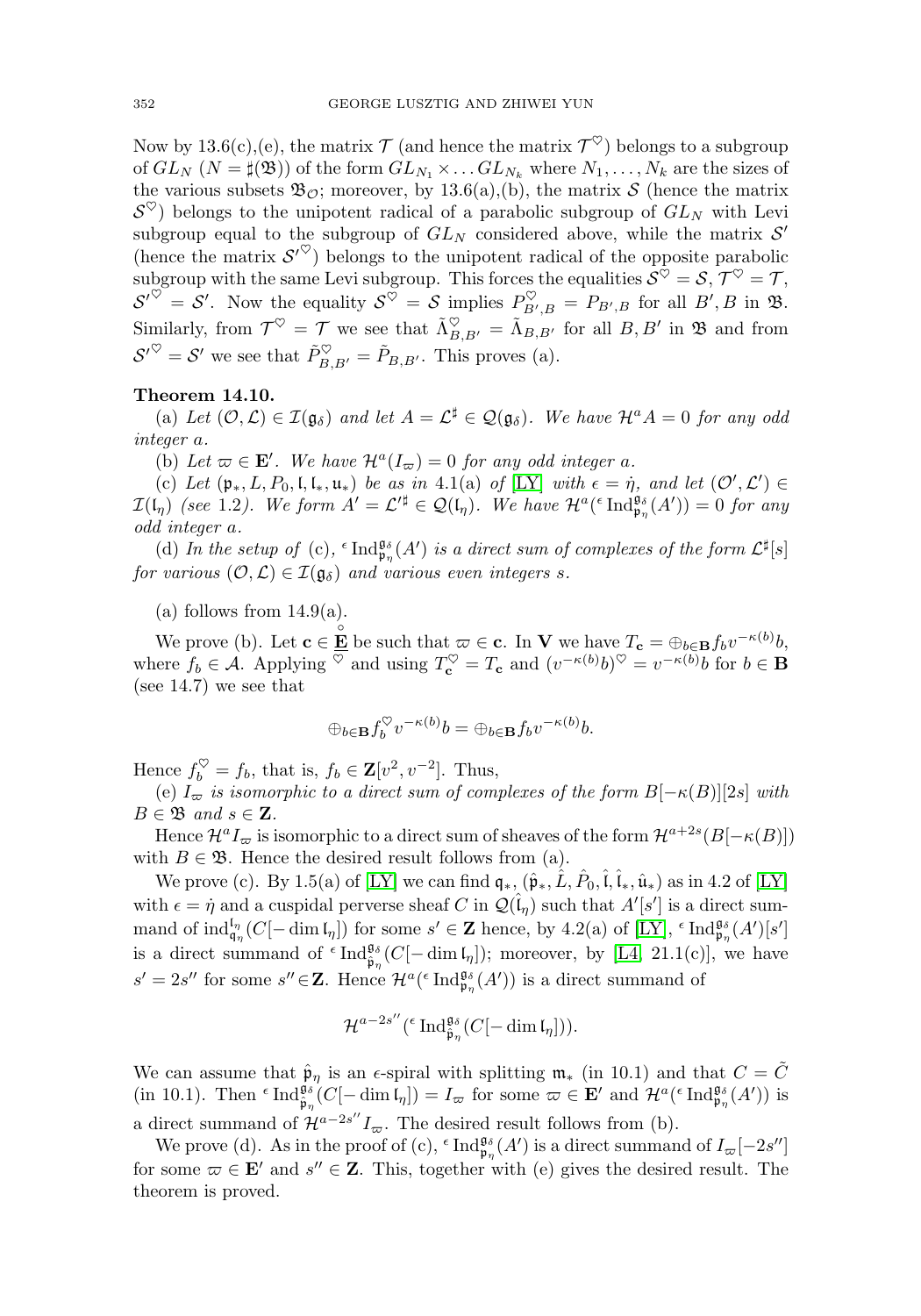Now by 13.6(c),(e), the matrix  $\mathcal{T}$  (and hence the matrix  $\mathcal{T}^{\heartsuit}$ ) belongs to a subgroup of  $GL_N$   $(N = \sharp(\mathfrak{B}))$  of the form  $GL_{N_1} \times \ldots GL_{N_k}$  where  $N_1, \ldots, N_k$  are the sizes of the various subsets  $\mathfrak{B}_{\mathcal{O}}$ ; moreover, by 13.6(a),(b), the matrix S (hence the matrix  $\mathcal{S}^{\heartsuit}$ ) belongs to the unipotent radical of a parabolic subgroup of  $GL_N$  with Levi subgroup equal to the subgroup of  $GL_N$  considered above, while the matrix  $\mathcal{S}'$ (hence the matrix  $S^{\prime\heartsuit}$ ) belongs to the unipotent radical of the opposite parabolic subgroup with the same Levi subgroup. This forces the equalities  $S^{\heartsuit} = S, \mathcal{T}^{\heartsuit} = \mathcal{T},$  $\mathcal{S}'^{\vee} = \mathcal{S}'$ . Now the equality  $\mathcal{S}^{\heartsuit} = \mathcal{S}$  implies  $P_{B',B}^{\vee} = P_{B',B}$  for all  $B', B$  in  $\mathfrak{B}$ . Similarly, from  $\mathcal{T}^{\heartsuit} = \mathcal{T}$  we see that  $\tilde{\Lambda}_{B,B'}^{\heartsuit} = \tilde{\Lambda}_{B,B'}$  for all  $B, B'$  in  $\mathfrak{B}$  and from  $S^{\prime\heartsuit} = S'$  we see that  $\tilde{P}_{B,B'}^{\heartsuit} = \tilde{P}_{B,B'}$ . This proves (a).

## **Theorem 14.10.**

(a) Let  $(0, \mathcal{L}) \in \mathcal{I}(\mathfrak{g}_{\delta})$  and let  $A = \mathcal{L}^{\sharp} \in \mathcal{Q}(\mathfrak{g}_{\delta})$ . We have  $\mathcal{H}^{a}A = 0$  for any odd integer a.

(b) Let  $\varpi \in \mathbf{E}'$ . We have  $\mathcal{H}^a(I_{\varpi})=0$  for any odd integer a.

(c) Let  $(\mathfrak{p}_*, L, P_0, \mathfrak{l}, \mathfrak{l}_*, \mathfrak{u}_*)$  be as in 4.1(a) of [\[LY\]](#page-31-1) with  $\epsilon = \eta$ , and let  $(\mathcal{O}', \mathcal{L}') \in$  $\mathcal{I}(\mathfrak{l}_{\eta})$  (see 1.2). We form  $A' = \mathcal{L}'^{\sharp} \in \mathcal{Q}(\mathfrak{l}_{\eta})$ . We have  $\mathcal{H}^{a}({^{\epsilon}}\operatorname{Ind}^{\mathfrak{g}_{\delta}}_{\mathfrak{p}_{\eta}}(A')) = 0$  for any odd integer a.

(d) In the setup of (c),  $\epsilon$  Ind $_{\mathfrak{p}_{\eta}}^{\mathfrak{g}_{\delta}}(A')$  is a direct sum of complexes of the form  $\mathcal{L}^{\sharp}[s]$ for various  $(0, \mathcal{L}) \in \mathcal{I}(\mathfrak{g}_{\delta})$  and various even integers s.

 $(a)$  follows from 14.9 $(a)$ .

We prove (b). Let  $\mathbf{c} \in \mathbf{E} \to \infty$  be such that  $\varpi \in \mathbf{c}$ . In **V** we have  $T_{\mathbf{c}} = \bigoplus_{b \in \mathbf{B}} f_b v^{-\kappa(b)} b$ , where  $f_b \in \mathcal{A}$ . Applying  $\heartsuit$  and using  $T_{\mathbf{c}}^{\heartsuit} = T_{\mathbf{c}}$  and  $(v^{-\kappa(b)}b)^{\heartsuit} = v^{-\kappa(b)}b$  for  $b \in \mathbf{B}$ (see 14.7) we see that

$$
\oplus_{b\in \mathbf{B}} f_b^{\heartsuit} v^{-\kappa(b)} b = \oplus_{b\in \mathbf{B}} f_b v^{-\kappa(b)} b.
$$

Hence  $f_b^{\heartsuit} = f_b$ , that is,  $f_b \in \mathbf{Z}[v^2, v^{-2}]$ . Thus,

(e)  $I_{\varpi}$  is isomorphic to a direct sum of complexes of the form  $B[-\kappa(B)][2s]$  with  $B \in \mathfrak{B}$  and  $s \in \mathbf{Z}$ .

Hence  $\mathcal{H}^a I_\varpi$  is isomorphic to a direct sum of sheaves of the form  $\mathcal{H}^{a+2s}(B[-\kappa(B)])$ with  $B \in \mathfrak{B}$ . Hence the desired result follows from (a).

We prove (c). By 1.5(a) of [\[LY\]](#page-31-1) we can find  $\mathfrak{q}_*, (\hat{\mathfrak{p}}_*, \hat{L}, P_0, \hat{\mathfrak{l}}, \hat{\mathfrak{l}}_*, \hat{\mathfrak{u}}_*)$  as in 4.2 of [LY] with  $\epsilon = \dot{\eta}$  and a cuspidal perverse sheaf C in  $\mathcal{Q}(\hat{\mathfrak{l}}_{\eta})$  such that  $A'[s']$  is a direct summand of  $\text{ind}_{\mathfrak{q}_\eta}^{\mathfrak{l}_\eta}(C[-\dim \mathfrak{l}_\eta])$  for some  $s' \in \mathbb{Z}$  hence, by 4.2(a) of [\[LY\]](#page-31-1),  $\epsilon \text{Ind}_{\mathfrak{p}_\eta}^{\mathfrak{g}_{\delta}}(A')[s']$ is a direct summand of  $\epsilon \text{Ind}_{\hat{\mathfrak{p}}_{\eta}}^{\mathfrak{g}_{\delta}}(C[-\dim \mathfrak{l}_{\eta}])$ ; moreover, by [\[L4,](#page-31-2) 21.1(c)], we have  $s' = 2s''$  for some  $s'' \in \mathbb{Z}$ . Hence  $\mathcal{H}^a({}^{\epsilon} \operatorname{Ind}_{\mathfrak{p}_\eta}^{\mathfrak{g}_{\delta}}(A'))$  is a direct summand of

$$
\mathcal{H}^{a-2s''}({}^{\epsilon}\operatorname{Ind}_{\hat{\mathfrak{p}}_{\eta}}^{\mathfrak{g}_{\delta}}(C[-\dim\mathfrak{l}_{\eta}])).
$$

We can assume that  $\hat{\mathfrak{p}}_{\eta}$  is an  $\epsilon$ -spiral with splitting  $\mathfrak{m}_*$  (in 10.1) and that  $C = \tilde{C}$ (in 10.1). Then  $\epsilon$  Ind $\frac{\mathfrak{g}_{\delta}}{\mathfrak{p}_{\eta}}(C[-\dim I_{\eta}]) = I_{\varpi}$  for some  $\varpi \in \mathbf{E}'$  and  $\mathcal{H}^{a}(\epsilon \operatorname{Ind}_{\mathfrak{p}_{\eta}}^{\mathfrak{g}_{\delta}}(A'))$  is a direct summand of  $\mathcal{H}^{a-2s''}I_{\overline{\omega}}$ . The desired result follows from (b).

We prove (d). As in the proof of (c),  $\epsilon$  Ind $\frac{\mathfrak{g}_{\delta}}{\mathfrak{p}_{\eta}}(A')$  is a direct summand of  $I_{\varpi}[-2s'']$ for some  $\varpi \in \mathbf{E}'$  and  $s'' \in \mathbf{Z}$ . This, together with (e) gives the desired result. The theorem is proved.